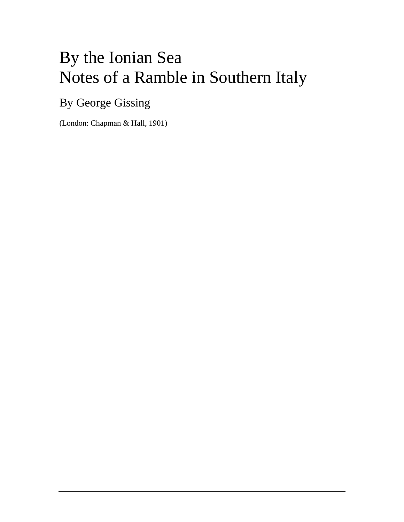# By the Ionian Sea Notes of a Ramble in Southern Italy

# By George Gissing

(London: Chapman & Hall, 1901)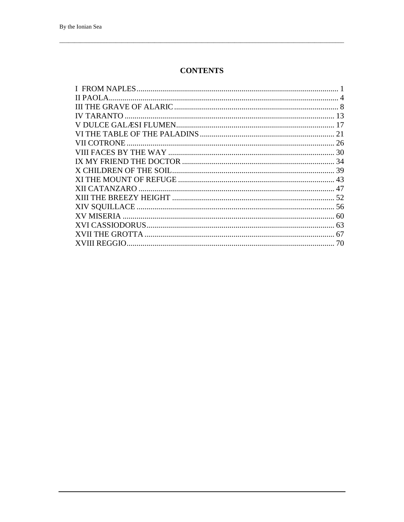#### **CONTENTS**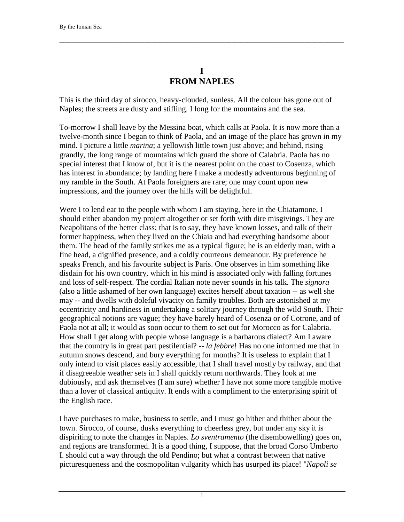#### **I FROM NAPLES**

<span id="page-2-0"></span> $\Box$ 

This is the third day of sirocco, heavy-clouded, sunless. All the colour has gone out of Naples; the streets are dusty and stifling. I long for the mountains and the sea.

To-morrow I shall leave by the Messina boat, which calls at Paola. It is now more than a twelve-month since I began to think of Paola, and an image of the place has grown in my mind. I picture a little *marina*; a yellowish little town just above; and behind, rising grandly, the long range of mountains which guard the shore of Calabria. Paola has no special interest that I know of, but it is the nearest point on the coast to Cosenza, which has interest in abundance; by landing here I make a modestly adventurous beginning of my ramble in the South. At Paola foreigners are rare; one may count upon new impressions, and the journey over the hills will be delightful.

Were I to lend ear to the people with whom I am staying, here in the Chiatamone, I should either abandon my project altogether or set forth with dire misgivings. They are Neapolitans of the better class; that is to say, they have known losses, and talk of their former happiness, when they lived on the Chiaia and had everything handsome about them. The head of the family strikes me as a typical figure; he is an elderly man, with a fine head, a dignified presence, and a coldly courteous demeanour. By preference he speaks French, and his favourite subject is Paris. One observes in him something like disdain for his own country, which in his mind is associated only with falling fortunes and loss of self-respect. The cordial Italian note never sounds in his talk. The *signora* (also a little ashamed of her own language) excites herself about taxation -- as well she may -- and dwells with doleful vivacity on family troubles. Both are astonished at my eccentricity and hardiness in undertaking a solitary journey through the wild South. Their geographical notions are vague; they have barely heard of Cosenza or of Cotrone, and of Paola not at all; it would as soon occur to them to set out for Morocco as for Calabria. How shall I get along with people whose language is a barbarous dialect? Am I aware that the country is in great part pestilential? -- *la febbre*! Has no one informed me that in autumn snows descend, and bury everything for months? It is useless to explain that I only intend to visit places easily accessible, that I shall travel mostly by railway, and that if disagreeable weather sets in I shall quickly return northwards. They look at me dubiously, and ask themselves (I am sure) whether I have not some more tangible motive than a lover of classical antiquity. It ends with a compliment to the enterprising spirit of the English race.

I have purchases to make, business to settle, and I must go hither and thither about the town. Sirocco, of course, dusks everything to cheerless grey, but under any sky it is dispiriting to note the changes in Naples. *Lo sventramento* (the disembowelling) goes on, and regions are transformed. It is a good thing, I suppose, that the broad Corso Umberto I. should cut a way through the old Pendino; but what a contrast between that native picturesqueness and the cosmopolitan vulgarity which has usurped its place! "*Napoli se* 

1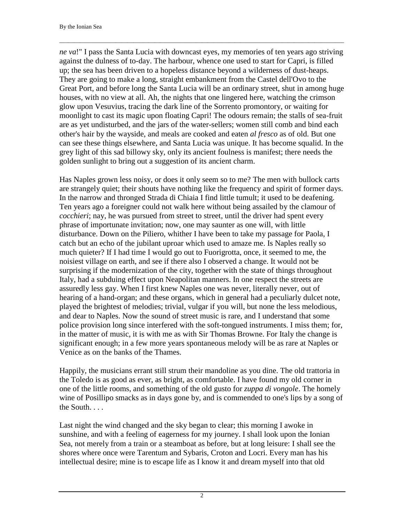*ne va*!" I pass the Santa Lucia with downcast eyes, my memories of ten years ago striving against the dulness of to-day. The harbour, whence one used to start for Capri, is filled up; the sea has been driven to a hopeless distance beyond a wilderness of dust-heaps. They are going to make a long, straight embankment from the Castel dell'Ovo to the Great Port, and before long the Santa Lucia will be an ordinary street, shut in among huge houses, with no view at all. Ah, the nights that one lingered here, watching the crimson glow upon Vesuvius, tracing the dark line of the Sorrento promontory, or waiting for moonlight to cast its magic upon floating Capri! The odours remain; the stalls of sea-fruit are as yet undisturbed, and the jars of the water-sellers; women still comb and bind each other's hair by the wayside, and meals are cooked and eaten *al fresco* as of old. But one can see these things elsewhere, and Santa Lucia was unique. It has become squalid. In the grey light of this sad billowy sky, only its ancient foulness is manifest; there needs the golden sunlight to bring out a suggestion of its ancient charm.

 $\Box$ 

Has Naples grown less noisy, or does it only seem so to me? The men with bullock carts are strangely quiet; their shouts have nothing like the frequency and spirit of former days. In the narrow and thronged Strada di Chiaia I find little tumult; it used to be deafening. Ten years ago a foreigner could not walk here without being assailed by the clamour of *cocchieri*; nay, he was pursued from street to street, until the driver had spent every phrase of importunate invitation; now, one may saunter as one will, with little disturbance. Down on the Piliero, whither I have been to take my passage for Paola, I catch but an echo of the jubilant uproar which used to amaze me. Is Naples really so much quieter? If I had time I would go out to Fuorigrotta, once, it seemed to me, the noisiest village on earth, and see if there also I observed a change. It would not be surprising if the modernization of the city, together with the state of things throughout Italy, had a subduing effect upon Neapolitan manners. In one respect the streets are assuredly less gay. When I first knew Naples one was never, literally never, out of hearing of a hand-organ; and these organs, which in general had a peculiarly dulcet note, played the brightest of melodies; trivial, vulgar if you will, but none the less melodious, and dear to Naples. Now the sound of street music is rare, and I understand that some police provision long since interfered with the soft-tongued instruments. I miss them; for, in the matter of music, it is with me as with Sir Thomas Browne. For Italy the change is significant enough; in a few more years spontaneous melody will be as rare at Naples or Venice as on the banks of the Thames.

Happily, the musicians errant still strum their mandoline as you dine. The old trattoria in the Toledo is as good as ever, as bright, as comfortable. I have found my old corner in one of the little rooms, and something of the old gusto for *zuppa di vongole*. The homely wine of Posillipo smacks as in days gone by, and is commended to one's lips by a song of the South. . . .

Last night the wind changed and the sky began to clear; this morning I awoke in sunshine, and with a feeling of eagerness for my journey. I shall look upon the Ionian Sea, not merely from a train or a steamboat as before, but at long leisure: I shall see the shores where once were Tarentum and Sybaris, Croton and Locri. Every man has his intellectual desire; mine is to escape life as I know it and dream myself into that old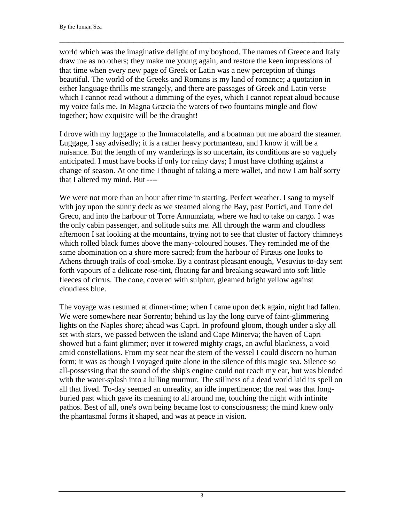world which was the imaginative delight of my boyhood. The names of Greece and Italy draw me as no others; they make me young again, and restore the keen impressions of that time when every new page of Greek or Latin was a new perception of things beautiful. The world of the Greeks and Romans is my land of romance; a quotation in either language thrills me strangely, and there are passages of Greek and Latin verse which I cannot read without a dimming of the eyes, which I cannot repeat aloud because my voice fails me. In Magna Græcia the waters of two fountains mingle and flow together; how exquisite will be the draught!

 $\Box$ 

I drove with my luggage to the Immacolatella, and a boatman put me aboard the steamer. Luggage, I say advisedly; it is a rather heavy portmanteau, and I know it will be a nuisance. But the length of my wanderings is so uncertain, its conditions are so vaguely anticipated. I must have books if only for rainy days; I must have clothing against a change of season. At one time I thought of taking a mere wallet, and now I am half sorry that I altered my mind. But ----

We were not more than an hour after time in starting. Perfect weather. I sang to myself with joy upon the sunny deck as we steamed along the Bay, past Portici, and Torre del Greco, and into the harbour of Torre Annunziata, where we had to take on cargo. I was the only cabin passenger, and solitude suits me. All through the warm and cloudless afternoon I sat looking at the mountains, trying not to see that cluster of factory chimneys which rolled black fumes above the many-coloured houses. They reminded me of the same abomination on a shore more sacred; from the harbour of Piræus one looks to Athens through trails of coal-smoke. By a contrast pleasant enough, Vesuvius to-day sent forth vapours of a delicate rose-tint, floating far and breaking seaward into soft little fleeces of cirrus. The cone, covered with sulphur, gleamed bright yellow against cloudless blue.

The voyage was resumed at dinner-time; when I came upon deck again, night had fallen. We were somewhere near Sorrento; behind us lay the long curve of faint-glimmering lights on the Naples shore; ahead was Capri. In profound gloom, though under a sky all set with stars, we passed between the island and Cape Minerva; the haven of Capri showed but a faint glimmer; over it towered mighty crags, an awful blackness, a void amid constellations. From my seat near the stern of the vessel I could discern no human form; it was as though I voyaged quite alone in the silence of this magic sea. Silence so all-possessing that the sound of the ship's engine could not reach my ear, but was blended with the water-splash into a lulling murmur. The stillness of a dead world laid its spell on all that lived. To-day seemed an unreality, an idle impertinence; the real was that longburied past which gave its meaning to all around me, touching the night with infinite pathos. Best of all, one's own being became lost to consciousness; the mind knew only the phantasmal forms it shaped, and was at peace in vision.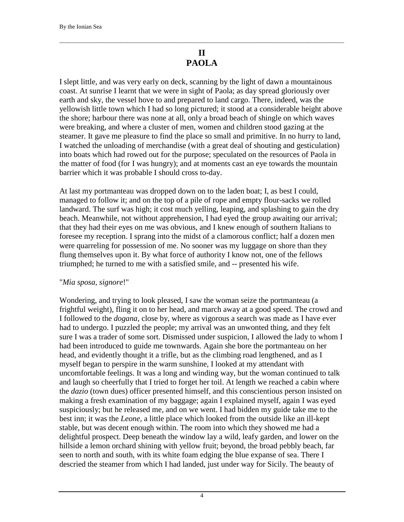#### **II PAOLA**

<span id="page-5-0"></span> $\Box$ 

I slept little, and was very early on deck, scanning by the light of dawn a mountainous coast. At sunrise I learnt that we were in sight of Paola; as day spread gloriously over earth and sky, the vessel hove to and prepared to land cargo. There, indeed, was the yellowish little town which I had so long pictured; it stood at a considerable height above the shore; harbour there was none at all, only a broad beach of shingle on which waves were breaking, and where a cluster of men, women and children stood gazing at the steamer. It gave me pleasure to find the place so small and primitive. In no hurry to land, I watched the unloading of merchandise (with a great deal of shouting and gesticulation) into boats which had rowed out for the purpose; speculated on the resources of Paola in the matter of food (for I was hungry); and at moments cast an eye towards the mountain barrier which it was probable I should cross to-day.

At last my portmanteau was dropped down on to the laden boat; I, as best I could, managed to follow it; and on the top of a pile of rope and empty flour-sacks we rolled landward. The surf was high; it cost much yelling, leaping, and splashing to gain the dry beach. Meanwhile, not without apprehension, I had eyed the group awaiting our arrival; that they had their eyes on me was obvious, and I knew enough of southern Italians to foresee my reception. I sprang into the midst of a clamorous conflict; half a dozen men were quarreling for possession of me. No sooner was my luggage on shore than they flung themselves upon it. By what force of authority I know not, one of the fellows triumphed; he turned to me with a satisfied smile, and -- presented his wife.

#### "*Mia sposa, signore*!"

Wondering, and trying to look pleased, I saw the woman seize the portmanteau (a frightful weight), fling it on to her head, and march away at a good speed. The crowd and I followed to the *dogana*, close by, where as vigorous a search was made as I have ever had to undergo. I puzzled the people; my arrival was an unwonted thing, and they felt sure I was a trader of some sort. Dismissed under suspicion, I allowed the lady to whom I had been introduced to guide me townwards. Again she bore the portmanteau on her head, and evidently thought it a trifle, but as the climbing road lengthened, and as I myself began to perspire in the warm sunshine, I looked at my attendant with uncomfortable feelings. It was a long and winding way, but the woman continued to talk and laugh so cheerfully that I tried to forget her toil. At length we reached a cabin where the *dazio* (town dues) officer presented himself, and this conscientious person insisted on making a fresh examination of my baggage; again I explained myself, again I was eyed suspiciously; but he released me, and on we went. I had bidden my guide take me to the best inn; it was the *Leone*, a little place which looked from the outside like an ill-kept stable, but was decent enough within. The room into which they showed me had a delightful prospect. Deep beneath the window lay a wild, leafy garden, and lower on the hillside a lemon orchard shining with yellow fruit; beyond, the broad pebbly beach, far seen to north and south, with its white foam edging the blue expanse of sea. There I descried the steamer from which I had landed, just under way for Sicily. The beauty of

4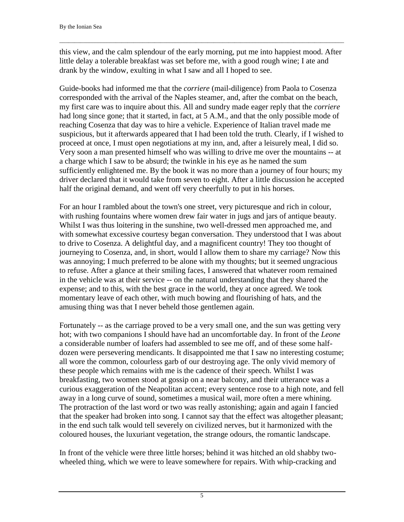this view, and the calm splendour of the early morning, put me into happiest mood. After little delay a tolerable breakfast was set before me, with a good rough wine; I ate and drank by the window, exulting in what I saw and all I hoped to see.

 $\Box$ 

Guide-books had informed me that the *corriere* (mail-diligence) from Paola to Cosenza corresponded with the arrival of the Naples steamer, and, after the combat on the beach, my first care was to inquire about this. All and sundry made eager reply that the *corriere* had long since gone; that it started, in fact, at 5 A.M., and that the only possible mode of reaching Cosenza that day was to hire a vehicle. Experience of Italian travel made me suspicious, but it afterwards appeared that I had been told the truth. Clearly, if I wished to proceed at once, I must open negotiations at my inn, and, after a leisurely meal, I did so. Very soon a man presented himself who was willing to drive me over the mountains -- at a charge which I saw to be absurd; the twinkle in his eye as he named the sum sufficiently enlightened me. By the book it was no more than a journey of four hours; my driver declared that it would take from seven to eight. After a little discussion he accepted half the original demand, and went off very cheerfully to put in his horses.

For an hour I rambled about the town's one street, very picturesque and rich in colour, with rushing fountains where women drew fair water in jugs and jars of antique beauty. Whilst I was thus loitering in the sunshine, two well-dressed men approached me, and with somewhat excessive courtesy began conversation. They understood that I was about to drive to Cosenza. A delightful day, and a magnificent country! They too thought of journeying to Cosenza, and, in short, would I allow them to share my carriage? Now this was annoying; I much preferred to be alone with my thoughts; but it seemed ungracious to refuse. After a glance at their smiling faces, I answered that whatever room remained in the vehicle was at their service -- on the natural understanding that they shared the expense; and to this, with the best grace in the world, they at once agreed. We took momentary leave of each other, with much bowing and flourishing of hats, and the amusing thing was that I never beheld those gentlemen again.

Fortunately -- as the carriage proved to be a very small one, and the sun was getting very hot; with two companions I should have had an uncomfortable day. In front of the *Leone* a considerable number of loafers had assembled to see me off, and of these some halfdozen were persevering mendicants. It disappointed me that I saw no interesting costume; all wore the common, colourless garb of our destroying age. The only vivid memory of these people which remains with me is the cadence of their speech. Whilst I was breakfasting, two women stood at gossip on a near balcony, and their utterance was a curious exaggeration of the Neapolitan accent; every sentence rose to a high note, and fell away in a long curve of sound, sometimes a musical wail, more often a mere whining. The protraction of the last word or two was really astonishing; again and again I fancied that the speaker had broken into song. I cannot say that the effect was altogether pleasant; in the end such talk would tell severely on civilized nerves, but it harmonized with the coloured houses, the luxuriant vegetation, the strange odours, the romantic landscape.

In front of the vehicle were three little horses; behind it was hitched an old shabby twowheeled thing, which we were to leave somewhere for repairs. With whip-cracking and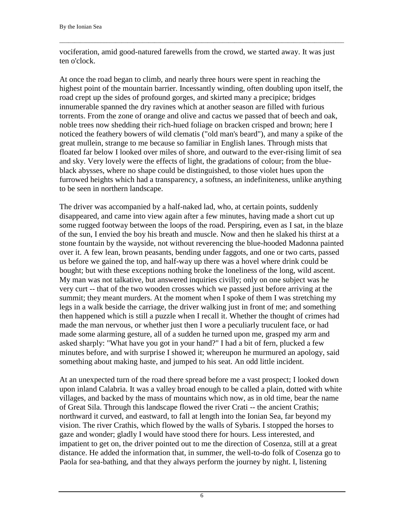vociferation, amid good-natured farewells from the crowd, we started away. It was just ten o'clock.

 $\Box$ 

At once the road began to climb, and nearly three hours were spent in reaching the highest point of the mountain barrier. Incessantly winding, often doubling upon itself, the road crept up the sides of profound gorges, and skirted many a precipice; bridges innumerable spanned the dry ravines which at another season are filled with furious torrents. From the zone of orange and olive and cactus we passed that of beech and oak, noble trees now shedding their rich-hued foliage on bracken crisped and brown; here I noticed the feathery bowers of wild clematis ("old man's beard"), and many a spike of the great mullein, strange to me because so familiar in English lanes. Through mists that floated far below I looked over miles of shore, and outward to the ever-rising limit of sea and sky. Very lovely were the effects of light, the gradations of colour; from the blueblack abysses, where no shape could be distinguished, to those violet hues upon the furrowed heights which had a transparency, a softness, an indefiniteness, unlike anything to be seen in northern landscape.

The driver was accompanied by a half-naked lad, who, at certain points, suddenly disappeared, and came into view again after a few minutes, having made a short cut up some rugged footway between the loops of the road. Perspiring, even as I sat, in the blaze of the sun, I envied the boy his breath and muscle. Now and then he slaked his thirst at a stone fountain by the wayside, not without reverencing the blue-hooded Madonna painted over it. A few lean, brown peasants, bending under faggots, and one or two carts, passed us before we gained the top, and half-way up there was a hovel where drink could be bought; but with these exceptions nothing broke the loneliness of the long, wild ascent. My man was not talkative, but answered inquiries civilly; only on one subject was he very curt -- that of the two wooden crosses which we passed just before arriving at the summit; they meant murders. At the moment when I spoke of them I was stretching my legs in a walk beside the carriage, the driver walking just in front of me; and something then happened which is still a puzzle when I recall it. Whether the thought of crimes had made the man nervous, or whether just then I wore a peculiarly truculent face, or had made some alarming gesture, all of a sudden he turned upon me, grasped my arm and asked sharply: "What have you got in your hand?" I had a bit of fern, plucked a few minutes before, and with surprise I showed it; whereupon he murmured an apology, said something about making haste, and jumped to his seat. An odd little incident.

At an unexpected turn of the road there spread before me a vast prospect; I looked down upon inland Calabria. It was a valley broad enough to be called a plain, dotted with white villages, and backed by the mass of mountains which now, as in old time, bear the name of Great Sila. Through this landscape flowed the river Crati -- the ancient Crathis; northward it curved, and eastward, to fall at length into the Ionian Sea, far beyond my vision. The river Crathis, which flowed by the walls of Sybaris. I stopped the horses to gaze and wonder; gladly I would have stood there for hours. Less interested, and impatient to get on, the driver pointed out to me the direction of Cosenza, still at a great distance. He added the information that, in summer, the well-to-do folk of Cosenza go to Paola for sea-bathing, and that they always perform the journey by night. I, listening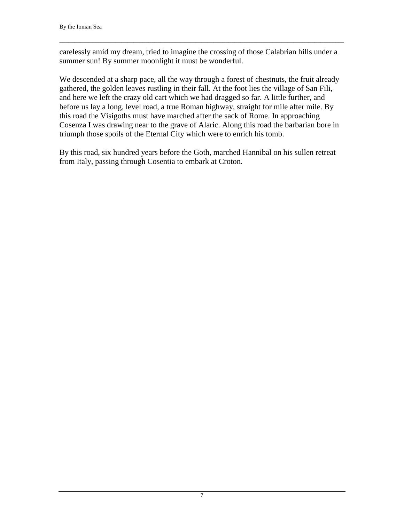carelessly amid my dream, tried to imagine the crossing of those Calabrian hills under a summer sun! By summer moonlight it must be wonderful.

 $\Box$ 

We descended at a sharp pace, all the way through a forest of chestnuts, the fruit already gathered, the golden leaves rustling in their fall. At the foot lies the village of San Fili, and here we left the crazy old cart which we had dragged so far. A little further, and before us lay a long, level road, a true Roman highway, straight for mile after mile. By this road the Visigoths must have marched after the sack of Rome. In approaching Cosenza I was drawing near to the grave of Alaric. Along this road the barbarian bore in triumph those spoils of the Eternal City which were to enrich his tomb.

By this road, six hundred years before the Goth, marched Hannibal on his sullen retreat from Italy, passing through Cosentia to embark at Croton.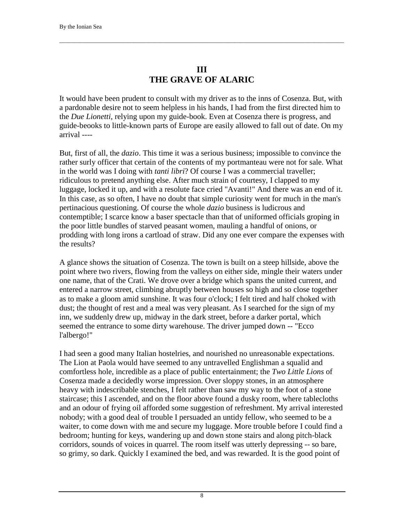#### **III THE GRAVE OF ALARIC**

<span id="page-9-0"></span> $\Box$ 

It would have been prudent to consult with my driver as to the inns of Cosenza. But, with a pardonable desire not to seem helpless in his hands, I had from the first directed him to the *Due Lionetti*, relying upon my guide-book. Even at Cosenza there is progress, and guide-beooks to little-known parts of Europe are easily allowed to fall out of date. On my arrival ----

But, first of all, the *dazio*. This time it was a serious business; impossible to convince the rather surly officer that certain of the contents of my portmanteau were not for sale. What in the world was I doing with *tanti libri*? Of course I was a commercial traveller; ridiculous to pretend anything else. After much strain of courtesy, I clapped to my luggage, locked it up, and with a resolute face cried "Avanti!" And there was an end of it. In this case, as so often, I have no doubt that simple curiosity went for much in the man's pertinacious questioning. Of course the whole *dazio* business is ludicrous and contemptible; I scarce know a baser spectacle than that of uniformed officials groping in the poor little bundles of starved peasant women, mauling a handful of onions, or prodding with long irons a cartload of straw. Did any one ever compare the expenses with the results?

A glance shows the situation of Cosenza. The town is built on a steep hillside, above the point where two rivers, flowing from the valleys on either side, mingle their waters under one name, that of the Crati. We drove over a bridge which spans the united current, and entered a narrow street, climbing abruptly between houses so high and so close together as to make a gloom amid sunshine. It was four o'clock; I felt tired and half choked with dust; the thought of rest and a meal was very pleasant. As I searched for the sign of my inn, we suddenly drew up, midway in the dark street, before a darker portal, which seemed the entrance to some dirty warehouse. The driver jumped down -- "Ecco l'albergo!"

I had seen a good many Italian hostelries, and nourished no unreasonable expectations. The Lion at Paola would have seemed to any untravelled Englishman a squalid and comfortless hole, incredible as a place of public entertainment; the *Two Little Lions* of Cosenza made a decidedly worse impression. Over sloppy stones, in an atmosphere heavy with indescribable stenches, I felt rather than saw my way to the foot of a stone staircase; this I ascended, and on the floor above found a dusky room, where tablecloths and an odour of frying oil afforded some suggestion of refreshment. My arrival interested nobody; with a good deal of trouble I persuaded an untidy fellow, who seemed to be a waiter, to come down with me and secure my luggage. More trouble before I could find a bedroom; hunting for keys, wandering up and down stone stairs and along pitch-black corridors, sounds of voices in quarrel. The room itself was utterly depressing -- so bare, so grimy, so dark. Quickly I examined the bed, and was rewarded. It is the good point of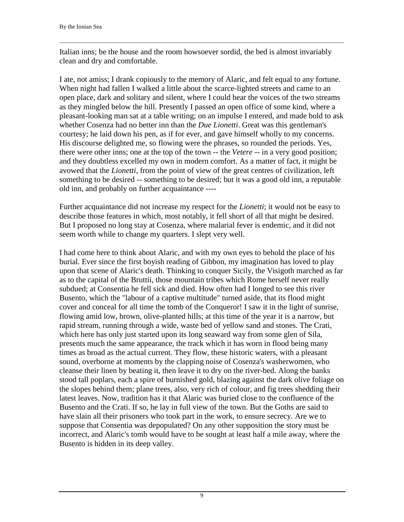Italian inns; be the house and the room howsoever sordid, the bed is almost invariably clean and dry and comfortable.

 $\Box$ 

I ate, not amiss; I drank copiously to the memory of Alaric, and felt equal to any fortune. When night had fallen I walked a little about the scarce-lighted streets and came to an open place, dark and solitary and silent, where I could hear the voices of the two streams as they mingled below the hill. Presently I passed an open office of some kind, where a pleasant-looking man sat at a table writing; on an impulse I entered, and made bold to ask whether Cosenza had no better inn than the *Due Lionetti*. Great was this gentleman's courtesy; he laid down his pen, as if for ever, and gave himself wholly to my concerns. His discourse delighted me, so flowing were the phrases, so rounded the periods. Yes, there were other inns; one at the top of the town -- the *Vetere* -- in a very good position; and they doubtless excelled my own in modern comfort. As a matter of fact, it might be avowed that the *Lionetti*, from the point of view of the great centres of civilization, left something to be desired -- something to be desired; but it was a good old inn, a reputable old inn, and probably on further acquaintance ----

Further acquaintance did not increase my respect for the *Lionetti*; it would not be easy to describe those features in which, most notably, it fell short of all that might be desired. But I proposed no long stay at Cosenza, where malarial fever is endemic, and it did not seem worth while to change my quarters. I slept very well.

I had come here to think about Alaric, and with my own eyes to behold the place of his burial. Ever since the first boyish reading of Gibbon, my imagination has loved to play upon that scene of Alaric's death. Thinking to conquer Sicily, the Visigoth marched as far as to the capital of the Bruttii, those mountain tribes which Rome herself never really subdued; at Consentia he fell sick and died. How often had I longed to see this river Busento, which the "labour of a captive multitude" turned aside, that its flood might cover and conceal for all time the tomb of the Conqueror! I saw it in the light of sunrise, flowing amid low, brown, olive-planted hills; at this time of the year it is a narrow, but rapid stream, running through a wide, waste bed of yellow sand and stones. The Crati, which here has only just started upon its long seaward way from some glen of Sila, presents much the same appearance, the track which it has worn in flood being many times as broad as the actual current. They flow, these historic waters, with a pleasant sound, overborne at moments by the clapping noise of Cosenza's washerwomen, who cleanse their linen by beating it, then leave it to dry on the river-bed. Along the banks stood tall poplars, each a spire of burnished gold, blazing against the dark olive foliage on the slopes behind them; plane trees, also, very rich of colour, and fig trees shedding their latest leaves. Now, tradition has it that Alaric was buried close to the confluence of the Busento and the Crati. If so, he lay in full view of the town. But the Goths are said to have slain all their prisoners who took part in the work, to ensure secrecy. Are we to suppose that Consentia was depopulated? On any other supposition the story must be incorrect, and Alaric's tomb would have to be sought at least half a mile away, where the Busento is hidden in its deep valley.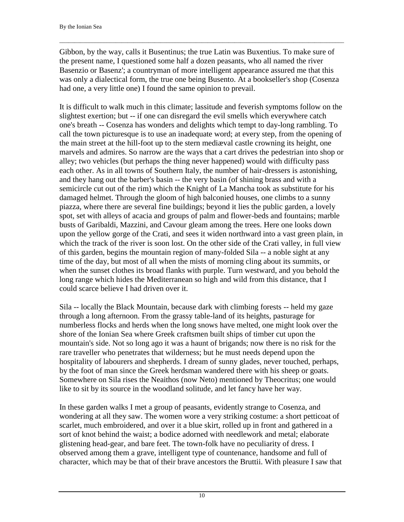Gibbon, by the way, calls it Busentinus; the true Latin was Buxentius. To make sure of the present name, I questioned some half a dozen peasants, who all named the river Basenzio or Basenz'; a countryman of more intelligent appearance assured me that this was only a dialectical form, the true one being Busento. At a bookseller's shop (Cosenza had one, a very little one) I found the same opinion to prevail.

 $\Box$ 

It is difficult to walk much in this climate; lassitude and feverish symptoms follow on the slightest exertion; but -- if one can disregard the evil smells which everywhere catch one's breath -- Cosenza has wonders and delights which tempt to day-long rambling. To call the town picturesque is to use an inadequate word; at every step, from the opening of the main street at the hill-foot up to the stern mediæval castle crowning its height, one marvels and admires. So narrow are the ways that a cart drives the pedestrian into shop or alley; two vehicles (but perhaps the thing never happened) would with difficulty pass each other. As in all towns of Southern Italy, the number of hair-dressers is astonishing, and they hang out the barber's basin -- the very basin (of shining brass and with a semicircle cut out of the rim) which the Knight of La Mancha took as substitute for his damaged helmet. Through the gloom of high balconied houses, one climbs to a sunny piazza, where there are several fine buildings; beyond it lies the public garden, a lovely spot, set with alleys of acacia and groups of palm and flower-beds and fountains; marble busts of Garibaldi, Mazzini, and Cavour gleam among the trees. Here one looks down upon the yellow gorge of the Crati, and sees it widen northward into a vast green plain, in which the track of the river is soon lost. On the other side of the Crati valley, in full view of this garden, begins the mountain region of many-folded Sila -- a noble sight at any time of the day, but most of all when the mists of morning cling about its summits, or when the sunset clothes its broad flanks with purple. Turn westward, and you behold the long range which hides the Mediterranean so high and wild from this distance, that I could scarce believe I had driven over it.

Sila -- locally the Black Mountain, because dark with climbing forests -- held my gaze through a long afternoon. From the grassy table-land of its heights, pasturage for numberless flocks and herds when the long snows have melted, one might look over the shore of the Ionian Sea where Greek craftsmen built ships of timber cut upon the mountain's side. Not so long ago it was a haunt of brigands; now there is no risk for the rare traveller who penetrates that wilderness; but he must needs depend upon the hospitality of labourers and shepherds. I dream of sunny glades, never touched, perhaps, by the foot of man since the Greek herdsman wandered there with his sheep or goats. Somewhere on Sila rises the Neaithos (now Neto) mentioned by Theocritus; one would like to sit by its source in the woodland solitude, and let fancy have her way.

In these garden walks I met a group of peasants, evidently strange to Cosenza, and wondering at all they saw. The women wore a very striking costume: a short petticoat of scarlet, much embroidered, and over it a blue skirt, rolled up in front and gathered in a sort of knot behind the waist; a bodice adorned with needlework and metal; elaborate glistening head-gear, and bare feet. The town-folk have no peculiarity of dress. I observed among them a grave, intelligent type of countenance, handsome and full of character, which may be that of their brave ancestors the Bruttii. With pleasure I saw that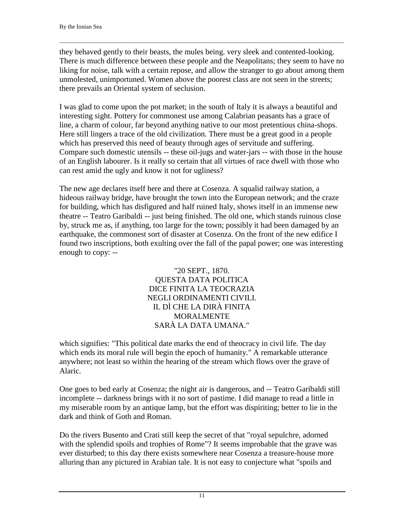they behaved gently to their beasts, the mules being. very sleek and contented-looking. There is much difference between these people and the Neapolitans; they seem to have no liking for noise, talk with a certain repose, and allow the stranger to go about among them unmolested, unimportuned. Women above the poorest class are not seen in the streets; there prevails an Oriental system of seclusion.

 $\Box$ 

I was glad to come upon the pot market; in the south of Italy it is always a beautiful and interesting sight. Pottery for commonest use among Calabrian peasants has a grace of line, a charm of colour, far beyond anything native to our most pretentious china-shops. Here still lingers a trace of the old civilization. There must be a great good in a people which has preserved this need of beauty through ages of servitude and suffering. Compare such domestic utensils -- these oil-jugs and water-jars -- with those in the house of an English labourer. Is it really so certain that all virtues of race dwell with those who can rest amid the ugly and know it not for ugliness?

The new age declares itself here and there at Cosenza. A squalid railway station, a hideous railway bridge, have brought the town into the European network; and the craze for building, which has disfigured and half ruined Italy, shows itself in an immense new theatre -- Teatro Garibaldi -- just being finished. The old one, which stands ruinous close by, struck me as, if anything, too large for the town; possibly it had been damaged by an earthquake, the commonest sort of disaster at Cosenza. On the front of the new edifice I found two inscriptions, both exulting over the fall of the papal power; one was interesting enough to copy: --

> "20 SEPT., 1870. QUESTA DATA POLITICA DICE FINITA LA TEOCRAZIA NEGLI ORDINAMENTI CIVILI. IL DÌ CHE LA DIRÀ FINITA MORALMENTE SARÀ LA DATA UMANA."

which signifies: "This political date marks the end of theocracy in civil life. The day which ends its moral rule will begin the epoch of humanity." A remarkable utterance anywhere; not least so within the hearing of the stream which flows over the grave of Alaric.

One goes to bed early at Cosenza; the night air is dangerous, and -- Teatro Garibaldi still incomplete -- darkness brings with it no sort of pastime. I did manage to read a little in my miserable room by an antique lamp, but the effort was dispiriting; better to lie in the dark and think of Goth and Roman.

Do the rivers Busento and Crati still keep the secret of that "royal sepulchre, adorned with the splendid spoils and trophies of Rome"? It seems improbable that the grave was ever disturbed; to this day there exists somewhere near Cosenza a treasure-house more alluring than any pictured in Arabian tale. It is not easy to conjecture what "spoils and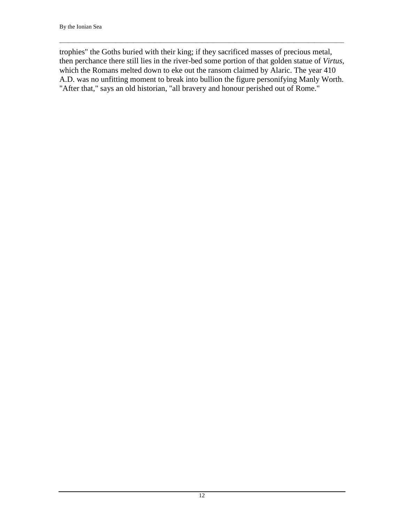trophies" the Goths buried with their king; if they sacrificed masses of precious metal, then perchance there still lies in the river-bed some portion of that golden statue of *Virtus*, which the Romans melted down to eke out the ransom claimed by Alaric. The year 410 A.D. was no unfitting moment to break into bullion the figure personifying Manly Worth. "After that," says an old historian, "all bravery and honour perished out of Rome."

 $\Box$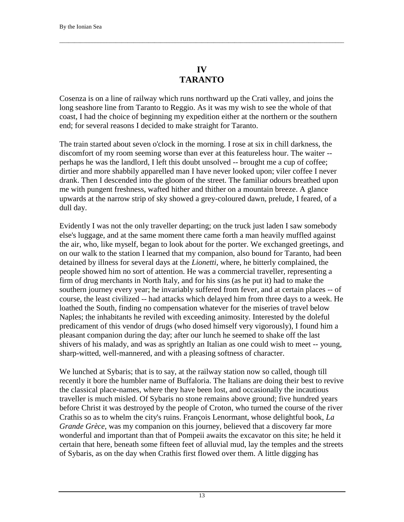### **IV TARANTO**

<span id="page-14-0"></span> $\Box$ 

Cosenza is on a line of railway which runs northward up the Crati valley, and joins the long seashore line from Taranto to Reggio. As it was my wish to see the whole of that coast, I had the choice of beginning my expedition either at the northern or the southern end; for several reasons I decided to make straight for Taranto.

The train started about seven o'clock in the morning. I rose at six in chill darkness, the discomfort of my room seeming worse than ever at this featureless hour. The waiter - perhaps he was the landlord, I left this doubt unsolved -- brought me a cup of coffee; dirtier and more shabbily apparelled man I have never looked upon; viler coffee I never drank. Then I descended into the gloom of the street. The familiar odours breathed upon me with pungent freshness, wafted hither and thither on a mountain breeze. A glance upwards at the narrow strip of sky showed a grey-coloured dawn, prelude, I feared, of a dull day.

Evidently I was not the only traveller departing; on the truck just laden I saw somebody else's luggage, and at the same moment there came forth a man heavily muffled against the air, who, like myself, began to look about for the porter. We exchanged greetings, and on our walk to the station I learned that my companion, also bound for Taranto, had been detained by illness for several days at the *Lionetti*, where, he bitterly complained, the people showed him no sort of attention. He was a commercial traveller, representing a firm of drug merchants in North Italy, and for his sins (as he put it) had to make the southern journey every year; he invariably suffered from fever, and at certain places -- of course, the least civilized -- had attacks which delayed him from three days to a week. He loathed the South, finding no compensation whatever for the miseries of travel below Naples; the inhabitants he reviled with exceeding animosity. Interested by the doleful predicament of this vendor of drugs (who dosed himself very vigorously), I found him a pleasant companion during the day; after our lunch he seemed to shake off the last shivers of his malady, and was as sprightly an Italian as one could wish to meet -- young, sharp-witted, well-mannered, and with a pleasing softness of character.

We lunched at Sybaris; that is to say, at the railway station now so called, though till recently it bore the humbler name of Buffaloria. The Italians are doing their best to revive the classical place-names, where they have been lost, and occasionally the incautious traveller is much misled. Of Sybaris no stone remains above ground; five hundred years before Christ it was destroyed by the people of Croton, who turned the course of the river Crathis so as to whelm the city's ruins. François Lenormant, whose delightful book, *La Grande Grèce*, was my companion on this journey, believed that a discovery far more wonderful and important than that of Pompeii awaits the excavator on this site; he held it certain that here, beneath some fifteen feet of alluvial mud, lay the temples and the streets of Sybaris, as on the day when Crathis first flowed over them. A little digging has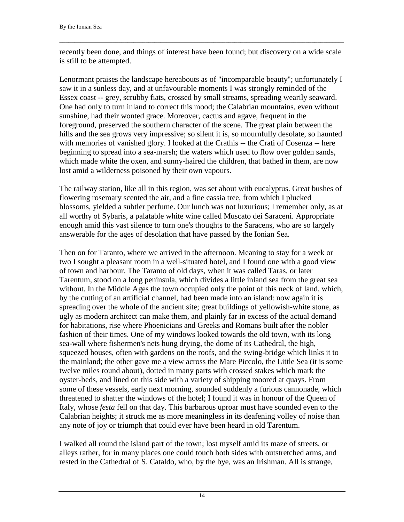recently been done, and things of interest have been found; but discovery on a wide scale is still to be attempted.

 $\Box$ 

Lenormant praises the landscape hereabouts as of "incomparable beauty"; unfortunately I saw it in a sunless day, and at unfavourable moments I was strongly reminded of the Essex coast -- grey, scrubby fiats, crossed by small streams, spreading wearily seaward. One had only to turn inland to correct this mood; the Calabrian mountains, even without sunshine, had their wonted grace. Moreover, cactus and agave, frequent in the foreground, preserved the southern character of the scene. The great plain between the hills and the sea grows very impressive; so silent it is, so mournfully desolate, so haunted with memories of vanished glory. I looked at the Crathis -- the Crati of Cosenza -- here beginning to spread into a sea-marsh; the waters which used to flow over golden sands, which made white the oxen, and sunny-haired the children, that bathed in them, are now lost amid a wilderness poisoned by their own vapours.

The railway station, like all in this region, was set about with eucalyptus. Great bushes of flowering rosemary scented the air, and a fine cassia tree, from which I plucked blossoms, yielded a subtler perfume. Our lunch was not luxurious; I remember only, as at all worthy of Sybaris, a palatable white wine called Muscato dei Saraceni. Appropriate enough amid this vast silence to turn one's thoughts to the Saracens, who are so largely answerable for the ages of desolation that have passed by the Ionian Sea.

Then on for Taranto, where we arrived in the afternoon. Meaning to stay for a week or two I sought a pleasant room in a well-situated hotel, and I found one with a good view of town and harbour. The Taranto of old days, when it was called Taras, or later Tarentum, stood on a long peninsula, which divides a little inland sea from the great sea without. In the Middle Ages the town occupied only the point of this neck of land, which, by the cutting of an artificial channel, had been made into an island: now again it is spreading over the whole of the ancient site; great buildings of yellowish-white stone, as ugly as modern architect can make them, and plainly far in excess of the actual demand for habitations, rise where Phoenicians and Greeks and Romans built after the nobler fashion of their times. One of my windows looked towards the old town, with its long sea-wall where fishermen's nets hung drying, the dome of its Cathedral, the high, squeezed houses, often with gardens on the roofs, and the swing-bridge which links it to the mainland; the other gave me a view across the Mare Piccolo, the Little Sea (it is some twelve miles round about), dotted in many parts with crossed stakes which mark the oyster-beds, and lined on this side with a variety of shipping moored at quays. From some of these vessels, early next morning, sounded suddenly a furious cannonade, which threatened to shatter the windows of the hotel; I found it was in honour of the Queen of Italy, whose *festa* fell on that day. This barbarous uproar must have sounded even to the Calabrian heights; it struck me as more meaningless in its deafening volley of noise than any note of joy or triumph that could ever have been heard in old Tarentum.

I walked all round the island part of the town; lost myself amid its maze of streets, or alleys rather, for in many places one could touch both sides with outstretched arms, and rested in the Cathedral of S. Cataldo, who, by the bye, was an Irishman. All is strange,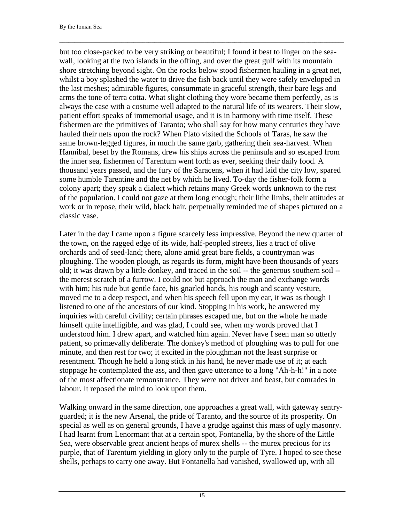but too close-packed to be very striking or beautiful; I found it best to linger on the seawall, looking at the two islands in the offing, and over the great gulf with its mountain shore stretching beyond sight. On the rocks below stood fishermen hauling in a great net, whilst a boy splashed the water to drive the fish back until they were safely enveloped in the last meshes; admirable figures, consummate in graceful strength, their bare legs and arms the tone of terra cotta. What slight clothing they wore became them perfectly, as is always the case with a costume well adapted to the natural life of its wearers. Their slow, patient effort speaks of immemorial usage, and it is in harmony with time itself. These fishermen are the primitives of Taranto; who shall say for how many centuries they have hauled their nets upon the rock? When Plato visited the Schools of Taras, he saw the same brown-legged figures, in much the same garb, gathering their sea-harvest. When Hannibal, beset by the Romans, drew his ships across the peninsula and so escaped from the inner sea, fishermen of Tarentum went forth as ever, seeking their daily food. A thousand years passed, and the fury of the Saracens, when it had laid the city low, spared some humble Tarentine and the net by which he lived. To-day the fisher-folk form a colony apart; they speak a dialect which retains many Greek words unknown to the rest of the population. I could not gaze at them long enough; their lithe limbs, their attitudes at work or in repose, their wild, black hair, perpetually reminded me of shapes pictured on a classic vase.

 $\Box$ 

Later in the day I came upon a figure scarcely less impressive. Beyond the new quarter of the town, on the ragged edge of its wide, half-peopled streets, lies a tract of olive orchards and of seed-land; there, alone amid great bare fields, a countryman was ploughing. The wooden plough, as regards its form, might have been thousands of years old; it was drawn by a little donkey, and traced in the soil -- the generous southern soil - the merest scratch of a furrow. I could not but approach the man and exchange words with him; his rude but gentle face, his gnarled hands, his rough and scanty vesture, moved me to a deep respect, and when his speech fell upon my ear, it was as though I listened to one of the ancestors of our kind. Stopping in his work, he answered my inquiries with careful civility; certain phrases escaped me, but on the whole he made himself quite intelligible, and was glad, I could see, when my words proved that I understood him. I drew apart, and watched him again. Never have I seen man so utterly patient, so primævally deliberate. The donkey's method of ploughing was to pull for one minute, and then rest for two; it excited in the ploughman not the least surprise or resentment. Though he held a long stick in his hand, he never made use of it; at each stoppage he contemplated the ass, and then gave utterance to a long "Ah-h-h!" in a note of the most affectionate remonstrance. They were not driver and beast, but comrades in labour. It reposed the mind to look upon them.

Walking onward in the same direction, one approaches a great wall, with gateway sentryguarded; it is the new Arsenal, the pride of Taranto, and the source of its prosperity. On special as well as on general grounds, I have a grudge against this mass of ugly masonry. I had learnt from Lenormant that at a certain spot, Fontanella, by the shore of the Little Sea, were observable great ancient heaps of murex shells -- the murex precious for its purple, that of Tarentum yielding in glory only to the purple of Tyre. I hoped to see these shells, perhaps to carry one away. But Fontanella had vanished, swallowed up, with all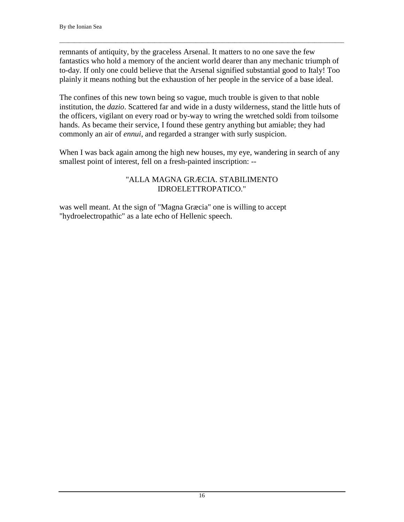remnants of antiquity, by the graceless Arsenal. It matters to no one save the few fantastics who hold a memory of the ancient world dearer than any mechanic triumph of to-day. If only one could believe that the Arsenal signified substantial good to Italy! Too plainly it means nothing but the exhaustion of her people in the service of a base ideal.

 $\Box$ 

The confines of this new town being so vague, much trouble is given to that noble institution, the *dazio*. Scattered far and wide in a dusty wilderness, stand the little huts of the officers, vigilant on every road or by-way to wring the wretched soldi from toilsome hands. As became their service, I found these gentry anything but amiable; they had commonly an air of *ennui*, and regarded a stranger with surly suspicion.

When I was back again among the high new houses, my eye, wandering in search of any smallest point of interest, fell on a fresh-painted inscription: --

#### "ALLA MAGNA GRÆCIA. STABILIMENTO IDROELETTROPATICO."

was well meant. At the sign of "Magna Græcia" one is willing to accept "hydroelectropathic" as a late echo of Hellenic speech.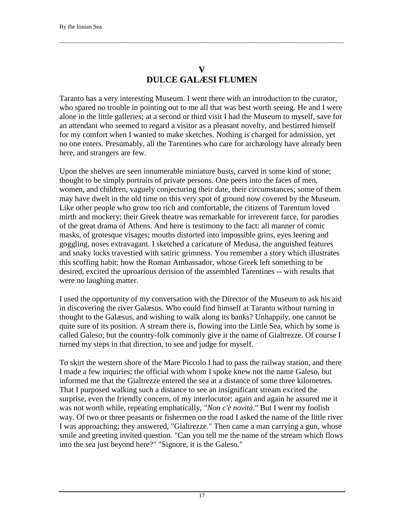## **V DULCE GALÆSI FLUMEN**

<span id="page-18-0"></span> $\Box$ 

Taranto has a very interesting Museum. I went there with an introduction to the curator, who spared no trouble in pointing out to me all that was best worth seeing. He and I were alone in the little galleries; at a second or third visit I had the Museum to myself, save for an attendant who seemed to regard a visitor as a pleasant novelty, and bestirred himself for my comfort when I wanted to make sketches. Nothing is charged for admission, yet no one enters. Presumably, all the Tarentines who care for archæology have already been here, and strangers are few.

Upon the shelves are seen innumerable miniature busts, carved in some kind of stone; thought to be simply portraits of private persons. One peers into the faces of men, women, and children, vaguely conjecturing their date, their circumstances; some of them may have dwelt in the old time on this very spot of ground now covered by the Museum. Like other people who grow too rich and comfortable, the citizens of Tarentum loved mirth and mockery; their Greek theatre was remarkable for irreverent farce, for parodies of the great drama of Athens. And here is testimony to the fact: all manner of comic masks, of grotesque visages; mouths distorted into impossible grins, eyes leering and goggling, noses extravagant. I sketched a caricature of Medusa, the anguished features and snaky locks travestied with satiric grimness. You remember a story which illustrates this scoffing habit: how the Roman Ambassador, whose Greek left something to be desired, excited the uproarious derision of the assembled Tarentines -- with results that were no laughing matter.

I used the opportunity of my conversation with the Director of the Museum to ask his aid in discovering the river Galæsus. Who could find himself at Taranto without turning in thought to the Galæsus, and wishing to walk along its banks? Unhappily, one cannot be quite sure of its position. A stream there is, flowing into the Little Sea, which by some is called Galeso; but the country-folk commonly give it the name of Gialtrezze. Of course I turned my steps in that direction, to see and judge for myself.

To skirt the western shore of the Mare Piccolo I had to pass the railway station, and there I made a few inquiries; the official with whom I spoke knew not the name Galeso, but informed me that the Gialtrezze entered the sea at a distance of some three kilometres. That I purposed walking such a distance to see an insignificant stream excited the surprise, even the friendly concern, of my interlocutor; again and again he assured me it was not worth while, repeating emphatically, "*Non c'è novità*." But I went my foolish way. Of two or three peasants or fishermen on the road I asked the name of the little river I was approaching; they answered, "Gialtrezze." Then came a man carrying a gun, whose smile and greeting invited question. "Can you tell me the name of the stream which flows into the sea just beyond here?" "Signore, it is the Galeso."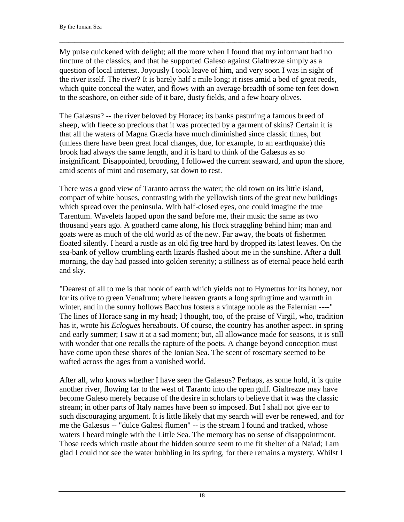My pulse quickened with delight; all the more when I found that my informant had no tincture of the classics, and that he supported Galeso against Gialtrezze simply as a question of local interest. Joyously I took leave of him, and very soon I was in sight of the river itself. The river? It is barely half a mile long; it rises amid a bed of great reeds, which quite conceal the water, and flows with an average breadth of some ten feet down to the seashore, on either side of it bare, dusty fields, and a few hoary olives.

 $\Box$ 

The Galæsus? -- the river beloved by Horace; its banks pasturing a famous breed of sheep, with fleece so precious that it was protected by a garment of skins? Certain it is that all the waters of Magna Græcia have much diminished since classic times, but (unless there have been great local changes, due, for example, to an earthquake) this brook had always the same length, and it is hard to think of the Galæsus as so insignificant. Disappointed, brooding, I followed the current seaward, and upon the shore, amid scents of mint and rosemary, sat down to rest.

There was a good view of Taranto across the water; the old town on its little island, compact of white houses, contrasting with the yellowish tints of the great new buildings which spread over the peninsula. With half-closed eyes, one could imagine the true Tarentum. Wavelets lapped upon the sand before me, their music the same as two thousand years ago. A goatherd came along, his flock straggling behind him; man and goats were as much of the old world as of the new. Far away, the boats of fishermen floated silently. I heard a rustle as an old fig tree hard by dropped its latest leaves. On the sea-bank of yellow crumbling earth lizards flashed about me in the sunshine. After a dull morning, the day had passed into golden serenity; a stillness as of eternal peace held earth and sky.

"Dearest of all to me is that nook of earth which yields not to Hymettus for its honey, nor for its olive to green Venafrum; where heaven grants a long springtime and warmth in winter, and in the sunny hollows Bacchus fosters a vintage noble as the Falernian ----" The lines of Horace sang in my head; I thought, too, of the praise of Virgil, who, tradition has it, wrote his *Eclogues* hereabouts. Of course, the country has another aspect. in spring and early summer; I saw it at a sad moment; but, all allowance made for seasons, it is still with wonder that one recalls the rapture of the poets. A change beyond conception must have come upon these shores of the Ionian Sea. The scent of rosemary seemed to be wafted across the ages from a vanished world.

After all, who knows whether I have seen the Galæsus? Perhaps, as some hold, it is quite another river, flowing far to the west of Taranto into the open gulf. Gialtrezze may have become Galeso merely because of the desire in scholars to believe that it was the classic stream; in other parts of Italy names have been so imposed. But I shall not give ear to such discouraging argument. It is little likely that my search will ever be renewed, and for me the Galæsus -- "dulce Galæsi flumen" -- is the stream I found and tracked, whose waters I heard mingle with the Little Sea. The memory has no sense of disappointment. Those reeds which rustle about the hidden source seem to me fit shelter of a Naiad; I am glad I could not see the water bubbling in its spring, for there remains a mystery. Whilst I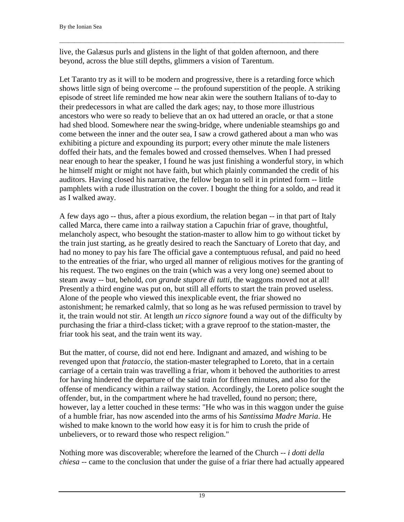live, the Galæsus purls and glistens in the light of that golden afternoon, and there beyond, across the blue still depths, glimmers a vision of Tarentum.

 $\Box$ 

Let Taranto try as it will to be modern and progressive, there is a retarding force which shows little sign of being overcome -- the profound superstition of the people. A striking episode of street life reminded me how near akin were the southern Italians of to-day to their predecessors in what are called the dark ages; nay, to those more illustrious ancestors who were so ready to believe that an ox had uttered an oracle, or that a stone had shed blood. Somewhere near the swing-bridge, where undeniable steamships go and come between the inner and the outer sea, I saw a crowd gathered about a man who was exhibiting a picture and expounding its purport; every other minute the male listeners doffed their hats, and the females bowed and crossed themselves. When I had pressed near enough to hear the speaker, I found he was just finishing a wonderful story, in which he himself might or might not have faith, but which plainly commanded the credit of his auditors. Having closed his narrative, the fellow began to sell it in printed form -- little pamphlets with a rude illustration on the cover. I bought the thing for a soldo, and read it as I walked away.

A few days ago -- thus, after a pious exordium, the relation began -- in that part of Italy called Marca, there came into a railway station a Capuchin friar of grave, thoughtful, melancholy aspect, who besought the station-master to allow him to go without ticket by the train just starting, as he greatly desired to reach the Sanctuary of Loreto that day, and had no money to pay his fare The official gave a contemptuous refusal, and paid no heed to the entreaties of the friar, who urged all manner of religious motives for the granting of his request. The two engines on the train (which was a very long one) seemed about to steam away -- but, behold, *con grande stupore di tutti*, the waggons moved not at all! Presently a third engine was put on, but still all efforts to start the train proved useless. Alone of the people who viewed this inexplicable event, the friar showed no astonishment; he remarked calmly, that so long as he was refused permission to travel by it, the train would not stir. At length *un ricco signore* found a way out of the difficulty by purchasing the friar a third-class ticket; with a grave reproof to the station-master, the friar took his seat, and the train went its way.

But the matter, of course, did not end here. Indignant and amazed, and wishing to be revenged upon that *frataccio*, the station-master telegraphed to Loreto, that in a certain carriage of a certain train was travelling a friar, whom it behoved the authorities to arrest for having hindered the departure of the said train for fifteen minutes, and also for the offense of mendicancy within a railway station. Accordingly, the Loreto police sought the offender, but, in the compartment where he had travelled, found no person; there, however, lay a letter couched in these terms: "He who was in this waggon under the guise of a humble friar, has now ascended into the arms of his *Santissima Madre Maria*. He wished to make known to the world how easy it is for him to crush the pride of unbelievers, or to reward those who respect religion."

Nothing more was discoverable; wherefore the learned of the Church -- *i dotti della chiesa* -- came to the conclusion that under the guise of a friar there had actually appeared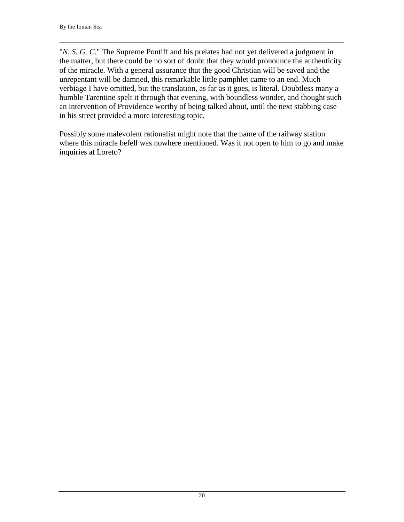"*N. S. G. C.*" The Supreme Pontiff and his prelates had not yet delivered a judgment in the matter, but there could be no sort of doubt that they would pronounce the authenticity of the miracle. With a general assurance that the good Christian will be saved and the unrepentant will be damned, this remarkable little pamphlet came to an end. Much verbiage I have omitted, but the translation, as far as it goes, is literal. Doubtless many a humble Tarentine spelt it through that evening, with boundless wonder, and thought such an intervention of Providence worthy of being talked about, until the next stabbing case in his street provided a more interesting topic.

 $\Box$ 

Possibly some malevolent rationalist might note that the name of the railway station where this miracle befell was nowhere mentioned. Was it not open to him to go and make inquiries at Loreto?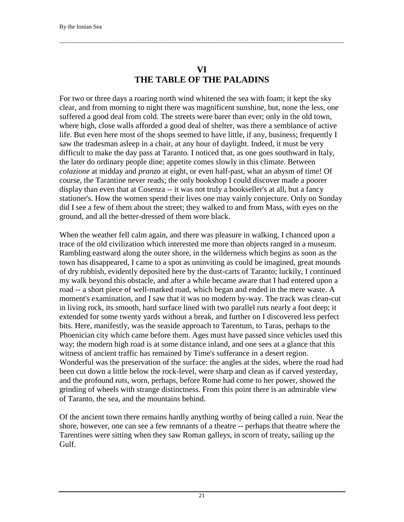#### **VI THE TABLE OF THE PALADINS**

<span id="page-22-0"></span> $\Box$ 

For two or three days a roaring north wind whitened the sea with foam; it kept the sky clear, and from morning to night there was magnificent sunshine, but, none the less, one suffered a good deal from cold. The streets were barer than ever; only in the old town, where high, close walls afforded a good deal of shelter, was there a semblance of active life. But even here most of the shops seemed to have little, if any, business; frequently I saw the tradesman asleep in a chair, at any hour of daylight. Indeed, it must be very difficult to make the day pass at Taranto. I noticed that, as one goes southward in Italy, the later do ordinary people dine; appetite comes slowly in this climate. Between *colazione* at midday and *pranzo* at eight, or even half-past, what an abysm of time! Of course, the Tarantine never reads; the only bookshop I could discover made a poorer display than even that at Cosenza -- it was not truly a bookseller's at all, but a fancy stationer's. How the women spend their lives one may vainly conjecture. Only on Sunday did I see a few of them about the street; they walked to and from Mass, with eyes on the ground, and all the better-dressed of them wore black.

When the weather fell calm again, and there was pleasure in walking, I chanced upon a trace of the old civilization which interested me more than objects ranged in a museum. Rambling eastward along the outer shore, in the wilderness which begins as soon as the town has disappeared, I came to a spot as uninviting as could be imagined, great mounds of dry rubbish, evidently deposited here by the dust-carts of Taranto; luckily, I continued my walk beyond this obstacle, and after a while became aware that I had entered upon a road -- a short piece of well-marked road, which began and ended in the mere waste. A moment's examination, and I saw that it was no modern by-way. The track was clean-cut in living rock, its smooth, hard surface lined with two parallel ruts nearly a foot deep; it extended for some twenty yards without a break, and further on I discovered less perfect bits. Here, manifestly, was the seaside approach to Tarentum, to Taras, perhaps to the Phoenician city which came before them. Ages must have passed since vehicles used this way; the modern high road is at some distance inland, and one sees at a glance that this witness of ancient traffic has remained by Time's sufferance in a desert region. Wonderful was the preservation of the surface: the angles at the sides, where the road had been cut down a little below the rock-level, were sharp and clean as if carved yesterday, and the profound ruts, worn, perhaps, before Rome had come to her power, showed the grinding of wheels with strange distinctness. From this point there is an admirable view of Taranto, the sea, and the mountains behind.

Of the ancient town there remains hardly anything worthy of being called a ruin. Near the shore, however, one can see a few remnants of a theatre -- perhaps that theatre where the Tarentines were sitting when they saw Roman galleys, in scorn of treaty, sailing up the Gulf.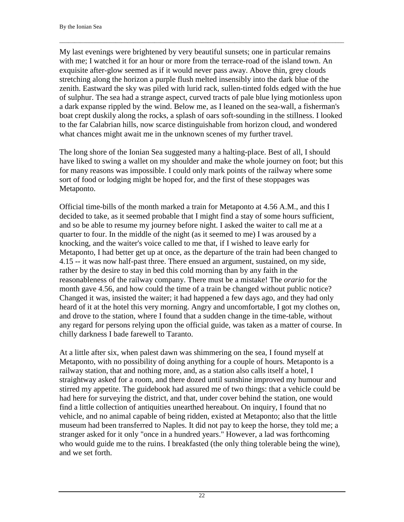My last evenings were brightened by very beautiful sunsets; one in particular remains with me; I watched it for an hour or more from the terrace-road of the island town. An exquisite after-glow seemed as if it would never pass away. Above thin, grey clouds stretching along the horizon a purple flush melted insensibly into the dark blue of the zenith. Eastward the sky was piled with lurid rack, sullen-tinted folds edged with the hue of sulphur. The sea had a strange aspect, curved tracts of pale blue lying motionless upon a dark expanse rippled by the wind. Below me, as I leaned on the sea-wall, a fisherman's boat crept duskily along the rocks, a splash of oars soft-sounding in the stillness. I looked to the far Calabrian hills, now scarce distinguishable from horizon cloud, and wondered what chances might await me in the unknown scenes of my further travel.

 $\Box$ 

The long shore of the Ionian Sea suggested many a halting-place. Best of all, I should have liked to swing a wallet on my shoulder and make the whole journey on foot; but this for many reasons was impossible. I could only mark points of the railway where some sort of food or lodging might be hoped for, and the first of these stoppages was Metaponto.

Official time-bills of the month marked a train for Metaponto at 4.56 A.M., and this I decided to take, as it seemed probable that I might find a stay of some hours sufficient, and so be able to resume my journey before night. I asked the waiter to call me at a quarter to four. In the middle of the night (as it seemed to me) I was aroused by a knocking, and the waiter's voice called to me that, if I wished to leave early for Metaponto, I had better get up at once, as the departure of the train had been changed to 4.15 -- it was now half-past three. There ensued an argument, sustained, on my side, rather by the desire to stay in bed this cold morning than by any faith in the reasonableness of the railway company. There must be a mistake! The *orario* for the month gave 4.56, and how could the time of a train be changed without public notice? Changed it was, insisted the waiter; it had happened a few days ago, and they had only heard of it at the hotel this very morning. Angry and uncomfortable, I got my clothes on, and drove to the station, where I found that a sudden change in the time-table, without any regard for persons relying upon the official guide, was taken as a matter of course. In chilly darkness I bade farewell to Taranto.

At a little after six, when palest dawn was shimmering on the sea, I found myself at Metaponto, with no possibility of doing anything for a couple of hours. Metaponto is a railway station, that and nothing more, and, as a station also calls itself a hotel, I straightway asked for a room, and there dozed until sunshine improved my humour and stirred my appetite. The guidebook had assured me of two things: that a vehicle could be had here for surveying the district, and that, under cover behind the station, one would find a little collection of antiquities unearthed hereabout. On inquiry, I found that no vehicle, and no animal capable of being ridden, existed at Metaponto; also that the little museum had been transferred to Naples. It did not pay to keep the horse, they told me; a stranger asked for it only "once in a hundred years." However, a lad was forthcoming who would guide me to the ruins. I breakfasted (the only thing tolerable being the wine), and we set forth.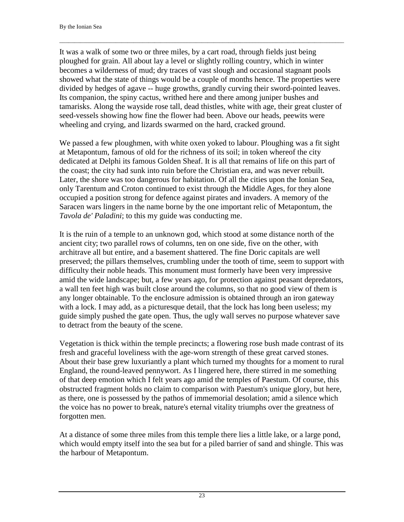It was a walk of some two or three miles, by a cart road, through fields just being ploughed for grain. All about lay a level or slightly rolling country, which in winter becomes a wilderness of mud; dry traces of vast slough and occasional stagnant pools showed what the state of things would be a couple of months hence. The properties were divided by hedges of agave -- huge growths, grandly curving their sword-pointed leaves. Its companion, the spiny cactus, writhed here and there among juniper bushes and tamarisks. Along the wayside rose tall, dead thistles, white with age, their great cluster of seed-vessels showing how fine the flower had been. Above our heads, peewits were wheeling and crying, and lizards swarmed on the hard, cracked ground.

 $\Box$ 

We passed a few ploughmen, with white oxen yoked to labour. Ploughing was a fit sight at Metapontum, famous of old for the richness of its soil; in token whereof the city dedicated at Delphi its famous Golden Sheaf. It is all that remains of life on this part of the coast; the city had sunk into ruin before the Christian era, and was never rebuilt. Later, the shore was too dangerous for habitation. Of all the cities upon the Ionian Sea, only Tarentum and Croton continued to exist through the Middle Ages, for they alone occupied a position strong for defence against pirates and invaders. A memory of the Saracen wars lingers in the name borne by the one important relic of Metapontum, the *Tavola de' Paladini*; to this my guide was conducting me.

It is the ruin of a temple to an unknown god, which stood at some distance north of the ancient city; two parallel rows of columns, ten on one side, five on the other, with architrave all but entire, and a basement shattered. The fine Doric capitals are well preserved; the pillars themselves, crumbling under the tooth of time, seem to support with difficulty their noble heads. This monument must formerly have been very impressive amid the wide landscape; but, a few years ago, for protection against peasant depredators, a wall ten feet high was built close around the columns, so that no good view of them is any longer obtainable. To the enclosure admission is obtained through an iron gateway with a lock. I may add, as a picturesque detail, that the lock has long been useless; my guide simply pushed the gate open. Thus, the ugly wall serves no purpose whatever save to detract from the beauty of the scene.

Vegetation is thick within the temple precincts; a flowering rose bush made contrast of its fresh and graceful loveliness with the age-worn strength of these great carved stones. About their base grew luxuriantly a plant which turned my thoughts for a moment to rural England, the round-leaved pennywort. As I lingered here, there stirred in me something of that deep emotion which I felt years ago amid the temples of Paestum. Of course, this obstructed fragment holds no claim to comparison with Paestum's unique glory, but here, as there, one is possessed by the pathos of immemorial desolation; amid a silence which the voice has no power to break, nature's eternal vitality triumphs over the greatness of forgotten men.

At a distance of some three miles from this temple there lies a little lake, or a large pond, which would empty itself into the sea but for a piled barrier of sand and shingle. This was the harbour of Metapontum.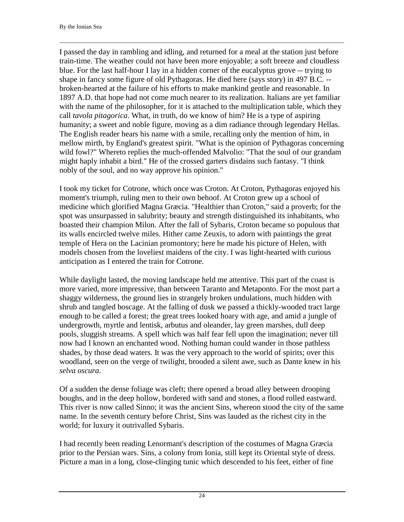I passed the day in rambling and idling, and returned for a meal at the station just before train-time. The weather could not have been more enjoyable; a soft breeze and cloudless blue. For the last half-hour I lay in a hidden corner of the eucalyptus grove -- trying to shape in fancy some figure of old Pythagoras. He died here (says story) in 497 B.C. - broken-hearted at the failure of his efforts to make mankind gentle and reasonable. In 1897 A.D. that hope had not come much nearer to its realization. Italians are yet familiar with the name of the philosopher, for it is attached to the multiplication table, which they call *tavola pitagorica*. What, in truth, do we know of him? He is a type of aspiring humanity; a sweet and noble figure, moving as a dim radiance through legendary Hellas. The English reader hears his name with a smile, recalling only the mention of him, in mellow mirth, by England's greatest spirit. "What is the opinion of Pythagoras concerning wild fowl?" Whereto replies the much-offended Malvolio: "That the soul of our grandam might haply inhabit a bird." He of the crossed garters disdains such fantasy. "I think nobly of the soul, and no way approve his opinion."

 $\Box$ 

I took my ticket for Cotrone, which once was Croton. At Croton, Pythagoras enjoyed his moment's triumph, ruling men to their own behoof. At Croton grew up a school of medicine which glorified Magna Græcia. "Healthier than Croton," said a proverb; for the spot was unsurpassed in salubrity; beauty and strength distinguished its inhabitants, who boasted their champion Milon. After the fall of Sybaris, Croton became so populous that its walls encircled twelve miles. Hither came Zeuxis, to adorn with paintings the great temple of Hera on the Lacinian promontory; here he made his picture of Helen, with models chosen from the loveliest maidens of the city. I was light-hearted with curious anticipation as I entered the train for Cotrone.

While daylight lasted, the moving landscape held me attentive. This part of the coast is more varied, more impressive, than between Taranto and Metaponto. For the most part a shaggy wilderness, the ground lies in strangely broken undulations, much hidden with shrub and tangled boscage. At the falling of dusk we passed a thickly-wooded tract large enough to be called a forest; the great trees looked hoary with age, and amid a jungle of undergrowth, myrtle and lentisk, arbutus and oleander, lay green marshes, dull deep pools, sluggish streams. A spell which was half fear fell upon the imagination; never till now had I known an enchanted wood. Nothing human could wander in those pathless shades, by those dead waters. It was the very approach to the world of spirits; over this woodland, seen on the verge of twilight, brooded a silent awe, such as Dante knew in his *selva oscura*.

Of a sudden the dense foliage was cleft; there opened a broad alley between drooping boughs, and in the deep hollow, bordered with sand and stones, a flood rolled eastward. This river is now called Sinno; it was the ancient Sins, whereon stood the city of the same name. In the seventh century before Christ, Sins was lauded as the richest city in the world; for luxury it outrivalled Sybaris.

I had recently been reading Lenormant's description of the costumes of Magna Græcia prior to the Persian wars. Sins, a colony from Ionia, still kept its Oriental style of dress. Picture a man in a long, close-clinging tunic which descended to his feet, either of fine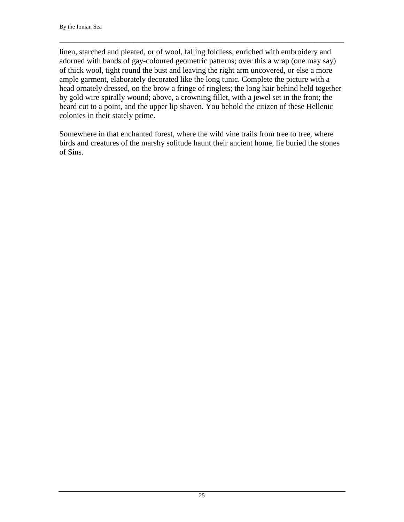linen, starched and pleated, or of wool, falling foldless, enriched with embroidery and adorned with bands of gay-coloured geometric patterns; over this a wrap (one may say) of thick wool, tight round the bust and leaving the right arm uncovered, or else a more ample garment, elaborately decorated like the long tunic. Complete the picture with a head ornately dressed, on the brow a fringe of ringlets; the long hair behind held together by gold wire spirally wound; above, a crowning fillet, with a jewel set in the front; the beard cut to a point, and the upper lip shaven. You behold the citizen of these Hellenic colonies in their stately prime.

 $\Box$ 

Somewhere in that enchanted forest, where the wild vine trails from tree to tree, where birds and creatures of the marshy solitude haunt their ancient home, lie buried the stones of Sins.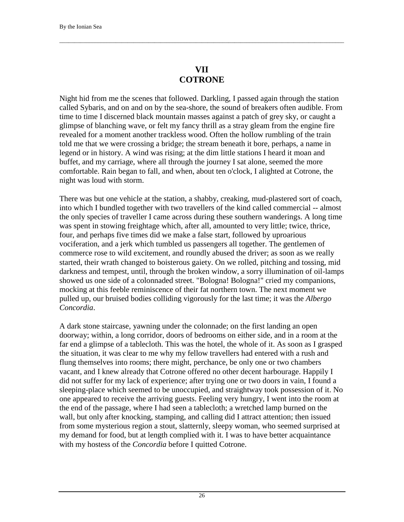### **VII COTRONE**

<span id="page-27-0"></span> $\Box$ 

Night hid from me the scenes that followed. Darkling, I passed again through the station called Sybaris, and on and on by the sea-shore, the sound of breakers often audible. From time to time I discerned black mountain masses against a patch of grey sky, or caught a glimpse of blanching wave, or felt my fancy thrill as a stray gleam from the engine fire revealed for a moment another trackless wood. Often the hollow rumbling of the train told me that we were crossing a bridge; the stream beneath it bore, perhaps, a name in legend or in history. A wind was rising; at the dim little stations I heard it moan and buffet, and my carriage, where all through the journey I sat alone, seemed the more comfortable. Rain began to fall, and when, about ten o'clock, I alighted at Cotrone, the night was loud with storm.

There was but one vehicle at the station, a shabby, creaking, mud-plastered sort of coach, into which I bundled together with two travellers of the kind called commercial -- almost the only species of traveller I came across during these southern wanderings. A long time was spent in stowing freightage which, after all, amounted to very little; twice, thrice, four, and perhaps five times did we make a false start, followed by uproarious vociferation, and a jerk which tumbled us passengers all together. The gentlemen of commerce rose to wild excitement, and roundly abused the driver; as soon as we really started, their wrath changed to boisterous gaiety. On we rolled, pitching and tossing, mid darkness and tempest, until, through the broken window, a sorry illumination of oil-lamps showed us one side of a colonnaded street. "Bologna! Bologna!" cried my companions, mocking at this feeble reminiscence of their fat northern town. The next moment we pulled up, our bruised bodies colliding vigorously for the last time; it was the *Albergo Concordia*.

A dark stone staircase, yawning under the colonnade; on the first landing an open doorway; within, a long corridor, doors of bedrooms on either side, and in a room at the far end a glimpse of a tablecloth. This was the hotel, the whole of it. As soon as I grasped the situation, it was clear to me why my fellow travellers had entered with a rush and flung themselves into rooms; there might, perchance, be only one or two chambers vacant, and I knew already that Cotrone offered no other decent harbourage. Happily I did not suffer for my lack of experience; after trying one or two doors in vain, I found a sleeping-place which seemed to be unoccupied, and straightway took possession of it. No one appeared to receive the arriving guests. Feeling very hungry, I went into the room at the end of the passage, where I had seen a tablecloth; a wretched lamp burned on the wall, but only after knocking, stamping, and calling did I attract attention; then issued from some mysterious region a stout, slatternly, sleepy woman, who seemed surprised at my demand for food, but at length complied with it. I was to have better acquaintance with my hostess of the *Concordia* before I quitted Cotrone.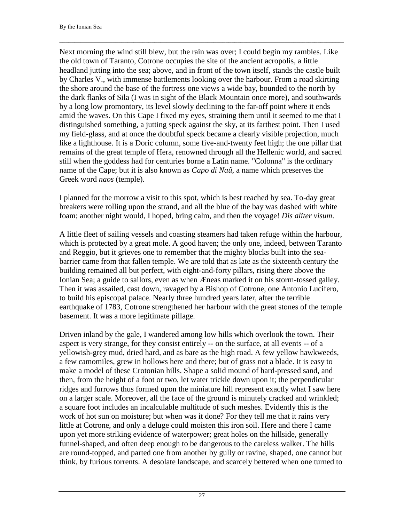Next morning the wind still blew, but the rain was over; I could begin my rambles. Like the old town of Taranto, Cotrone occupies the site of the ancient acropolis, a little headland jutting into the sea; above, and in front of the town itself, stands the castle built by Charles V., with immense battlements looking over the harbour. From a road skirting the shore around the base of the fortress one views a wide bay, bounded to the north by the dark flanks of Sila (I was in sight of the Black Mountain once more), and southwards by a long low promontory, its level slowly declining to the far-off point where it ends amid the waves. On this Cape I fixed my eyes, straining them until it seemed to me that I distinguished something, a jutting speck against the sky, at its farthest point. Then I used my field-glass, and at once the doubtful speck became a clearly visible projection, much like a lighthouse. It is a Doric column, some five-and-twenty feet high; the one pillar that remains of the great temple of Hera, renowned through all the Hellenic world, and sacred still when the goddess had for centuries borne a Latin name. "Colonna" is the ordinary name of the Cape; but it is also known as *Capo di Naû*, a name which preserves the Greek word *naos* (temple).

 $\Box$ 

I planned for the morrow a visit to this spot, which is best reached by sea. To-day great breakers were rolling upon the strand, and all the blue of the bay was dashed with white foam; another night would, I hoped, bring calm, and then the voyage! *Dis aliter visum*.

A little fleet of sailing vessels and coasting steamers had taken refuge within the harbour, which is protected by a great mole. A good haven; the only one, indeed, between Taranto and Reggio, but it grieves one to remember that the mighty blocks built into the seabarrier came from that fallen temple. We are told that as late as the sixteenth century the building remained all but perfect, with eight-and-forty pillars, rising there above the Ionian Sea; a guide to sailors, even as when Æneas marked it on his storm-tossed galley. Then it was assailed, cast down, ravaged by a Bishop of Cotrone, one Antonio Lucifero, to build his episcopal palace. Nearly three hundred years later, after the terrible earthquake of 1783, Cotrone strengthened her harbour with the great stones of the temple basement. It was a more legitimate pillage.

Driven inland by the gale, I wandered among low hills which overlook the town. Their aspect is very strange, for they consist entirely -- on the surface, at all events -- of a yellowish-grey mud, dried hard, and as bare as the high road. A few yellow hawkweeds, a few camomiles, grew in hollows here and there; but of grass not a blade. It is easy to make a model of these Crotonian hills. Shape a solid mound of hard-pressed sand, and then, from the height of a foot or two, let water trickle down upon it; the perpendicular ridges and furrows thus formed upon the miniature hill represent exactly what I saw here on a larger scale. Moreover, all the face of the ground is minutely cracked and wrinkled; a square foot includes an incalculable multitude of such meshes. Evidently this is the work of hot sun on moisture; but when was it done? For they tell me that it rains very little at Cotrone, and only a deluge could moisten this iron soil. Here and there I came upon yet more striking evidence of waterpower; great holes on the hillside, generally funnel-shaped, and often deep enough to be dangerous to the careless walker. The hills are round-topped, and parted one from another by gully or ravine, shaped, one cannot but think, by furious torrents. A desolate landscape, and scarcely bettered when one turned to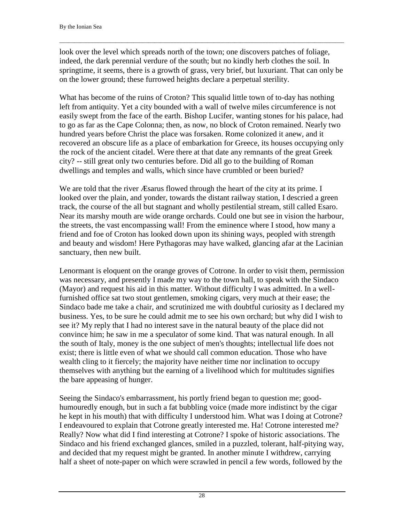look over the level which spreads north of the town; one discovers patches of foliage, indeed, the dark perennial verdure of the south; but no kindly herb clothes the soil. In springtime, it seems, there is a growth of grass, very brief, but luxuriant. That can only be on the lower ground; these furrowed heights declare a perpetual sterility.

 $\Box$ 

What has become of the ruins of Croton? This squalid little town of to-day has nothing left from antiquity. Yet a city bounded with a wall of twelve miles circumference is not easily swept from the face of the earth. Bishop Lucifer, wanting stones for his palace, had to go as far as the Cape Colonna; then, as now, no block of Croton remained. Nearly two hundred years before Christ the place was forsaken. Rome colonized it anew, and it recovered an obscure life as a place of embarkation for Greece, its houses occupying only the rock of the ancient citadel. Were there at that date any remnants of the great Greek city? -- still great only two centuries before. Did all go to the building of Roman dwellings and temples and walls, which since have crumbled or been buried?

We are told that the river *Æsarus* flowed through the heart of the city at its prime. I looked over the plain, and yonder, towards the distant railway station, I descried a green track, the course of the all but stagnant and wholly pestilential stream, still called Esaro. Near its marshy mouth are wide orange orchards. Could one but see in vision the harbour, the streets, the vast encompassing wall! From the eminence where I stood, how many a friend and foe of Croton has looked down upon its shining ways, peopled with strength and beauty and wisdom! Here Pythagoras may have walked, glancing afar at the Lacinian sanctuary, then new built.

Lenormant is eloquent on the orange groves of Cotrone. In order to visit them, permission was necessary, and presently I made my way to the town hall, to speak with the Sindaco (Mayor) and request his aid in this matter. Without difficulty I was admitted. In a wellfurnished office sat two stout gentlemen, smoking cigars, very much at their ease; the Sindaco bade me take a chair, and scrutinized me with doubtful curiosity as I declared my business. Yes, to be sure he could admit me to see his own orchard; but why did I wish to see it? My reply that I had no interest save in the natural beauty of the place did not convince him; he saw in me a speculator of some kind. That was natural enough. In all the south of Italy, money is the one subject of men's thoughts; intellectual life does not exist; there is little even of what we should call common education. Those who have wealth cling to it fiercely; the majority have neither time nor inclination to occupy themselves with anything but the earning of a livelihood which for multitudes signifies the bare appeasing of hunger.

Seeing the Sindaco's embarrassment, his portly friend began to question me; goodhumouredly enough, but in such a fat bubbling voice (made more indistinct by the cigar he kept in his mouth) that with difficulty I understood him. What was I doing at Cotrone? I endeavoured to explain that Cotrone greatly interested me. Ha! Cotrone interested me? Really? Now what did I find interesting at Cotrone? I spoke of historic associations. The Sindaco and his friend exchanged glances, smiled in a puzzled, tolerant, half-pitying way, and decided that my request might be granted. In another minute I withdrew, carrying half a sheet of note-paper on which were scrawled in pencil a few words, followed by the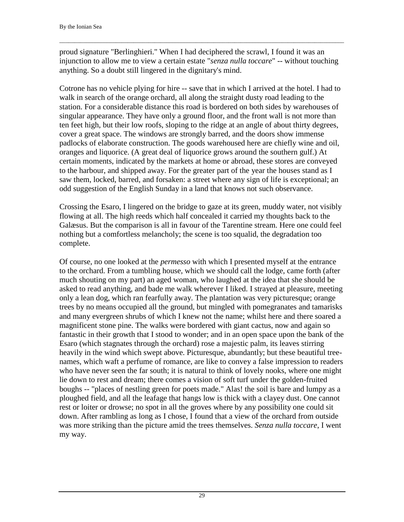proud signature "Berlinghieri." When I had deciphered the scrawl, I found it was an injunction to allow me to view a certain estate "*senza nulla toccare*" -- without touching anything. So a doubt still lingered in the dignitary's mind.

 $\Box$ 

Cotrone has no vehicle plying for hire -- save that in which I arrived at the hotel. I had to walk in search of the orange orchard, all along the straight dusty road leading to the station. For a considerable distance this road is bordered on both sides by warehouses of singular appearance. They have only a ground floor, and the front wall is not more than ten feet high, but their low roofs, sloping to the ridge at an angle of about thirty degrees, cover a great space. The windows are strongly barred, and the doors show immense padlocks of elaborate construction. The goods warehoused here are chiefly wine and oil, oranges and liquorice. (A great deal of liquorice grows around the southern gulf.) At certain moments, indicated by the markets at home or abroad, these stores are conveyed to the harbour, and shipped away. For the greater part of the year the houses stand as I saw them, locked, barred, and forsaken: a street where any sign of life is exceptional; an odd suggestion of the English Sunday in a land that knows not such observance.

Crossing the Esaro, I lingered on the bridge to gaze at its green, muddy water, not visibly flowing at all. The high reeds which half concealed it carried my thoughts back to the Galæsus. But the comparison is all in favour of the Tarentine stream. Here one could feel nothing but a comfortless melancholy; the scene is too squalid, the degradation too complete.

Of course, no one looked at the *permesso* with which I presented myself at the entrance to the orchard. From a tumbling house, which we should call the lodge, came forth (after much shouting on my part) an aged woman, who laughed at the idea that she should be asked to read anything, and bade me walk wherever I liked. I strayed at pleasure, meeting only a lean dog, which ran fearfully away. The plantation was very picturesque; orange trees by no means occupied all the ground, but mingled with pomegranates and tamarisks and many evergreen shrubs of which I knew not the name; whilst here and there soared a magnificent stone pine. The walks were bordered with giant cactus, now and again so fantastic in their growth that I stood to wonder; and in an open space upon the bank of the Esaro (which stagnates through the orchard) rose a majestic palm, its leaves stirring heavily in the wind which swept above. Picturesque, abundantly; but these beautiful treenames, which waft a perfume of romance, are like to convey a false impression to readers who have never seen the far south; it is natural to think of lovely nooks, where one might lie down to rest and dream; there comes a vision of soft turf under the golden-fruited boughs -- "places of nestling green for poets made." Alas! the soil is bare and lumpy as a ploughed field, and all the leafage that hangs low is thick with a clayey dust. One cannot rest or loiter or drowse; no spot in all the groves where by any possibility one could sit down. After rambling as long as I chose, I found that a view of the orchard from outside was more striking than the picture amid the trees themselves. *Senza nulla toccare*, I went my way.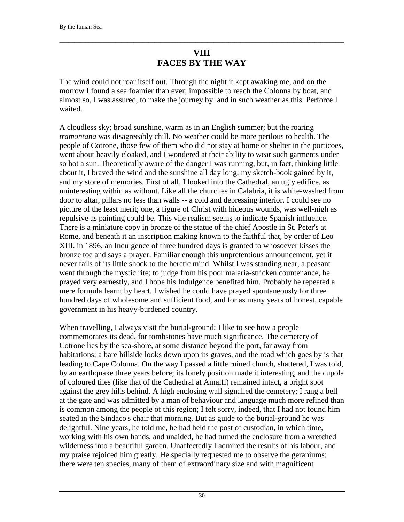# **VIII FACES BY THE WAY**

<span id="page-31-0"></span> $\Box$ 

The wind could not roar itself out. Through the night it kept awaking me, and on the morrow I found a sea foamier than ever; impossible to reach the Colonna by boat, and almost so, I was assured, to make the journey by land in such weather as this. Perforce I waited.

A cloudless sky; broad sunshine, warm as in an English summer; but the roaring *tramontana* was disagreeably chill. No weather could be more perilous to health. The people of Cotrone, those few of them who did not stay at home or shelter in the porticoes, went about heavily cloaked, and I wondered at their ability to wear such garments under so hot a sun. Theoretically aware of the danger I was running, but, in fact, thinking little about it, I braved the wind and the sunshine all day long; my sketch-book gained by it, and my store of memories. First of all, I looked into the Cathedral, an ugly edifice, as uninteresting within as without. Like all the churches in Calabria, it is white-washed from door to altar, pillars no less than walls -- a cold and depressing interior. I could see no picture of the least merit; one, a figure of Christ with hideous wounds, was well-nigh as repulsive as painting could be. This vile realism seems to indicate Spanish influence. There is a miniature copy in bronze of the statue of the chief Apostle in St. Peter's at Rome, and beneath it an inscription making known to the faithful that, by order of Leo XIII. in 1896, an Indulgence of three hundred days is granted to whosoever kisses the bronze toe and says a prayer. Familiar enough this unpretentious announcement, yet it never fails of its little shock to the heretic mind. Whilst I was standing near, a peasant went through the mystic rite; to judge from his poor malaria-stricken countenance, he prayed very earnestly, and I hope his Indulgence benefited him. Probably he repeated a mere formula learnt by heart. I wished he could have prayed spontaneously for three hundred days of wholesome and sufficient food, and for as many years of honest, capable government in his heavy-burdened country.

When travelling, I always visit the burial-ground; I like to see how a people commemorates its dead, for tombstones have much significance. The cemetery of Cotrone lies by the sea-shore, at some distance beyond the port, far away from habitations; a bare hillside looks down upon its graves, and the road which goes by is that leading to Cape Colonna. On the way I passed a little ruined church, shattered, I was told, by an earthquake three years before; its lonely position made it interesting, and the cupola of coloured tiles (like that of the Cathedral at Amalfi) remained intact, a bright spot against the grey hills behind. A high enclosing wall signalled the cemetery; I rang a bell at the gate and was admitted by a man of behaviour and language much more refined than is common among the people of this region; I felt sorry, indeed, that I had not found him seated in the Sindaco's chair that morning. But as guide to the burial-ground he was delightful. Nine years, he told me, he had held the post of custodian, in which time, working with his own hands, and unaided, he had turned the enclosure from a wretched wilderness into a beautiful garden. Unaffectedly I admired the results of his labour, and my praise rejoiced him greatly. He specially requested me to observe the geraniums; there were ten species, many of them of extraordinary size and with magnificent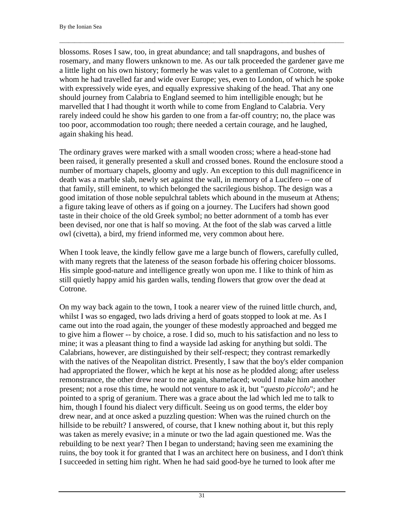blossoms. Roses I saw, too, in great abundance; and tall snapdragons, and bushes of rosemary, and many flowers unknown to me. As our talk proceeded the gardener gave me a little light on his own history; formerly he was valet to a gentleman of Cotrone, with whom he had travelled far and wide over Europe; yes, even to London, of which he spoke with expressively wide eyes, and equally expressive shaking of the head. That any one should journey from Calabria to England seemed to him intelligible enough; but he marvelled that I had thought it worth while to come from England to Calabria. Very rarely indeed could he show his garden to one from a far-off country; no, the place was too poor, accommodation too rough; there needed a certain courage, and he laughed, again shaking his head.

\_\_\_\_\_\_\_\_\_\_\_\_\_\_\_\_\_\_\_\_\_\_\_\_\_\_\_\_\_\_\_\_\_\_\_\_\_\_\_\_\_\_\_\_\_\_\_\_\_\_\_\_\_\_\_\_\_\_\_\_\_\_\_\_\_\_\_\_\_\_\_\_\_\_\_\_\_\_\_\_\_\_\_\_\_\_\_\_\_\_\_\_\_\_\_\_

The ordinary graves were marked with a small wooden cross; where a head-stone had been raised, it generally presented a skull and crossed bones. Round the enclosure stood a number of mortuary chapels, gloomy and ugly. An exception to this dull magnificence in death was a marble slab, newly set against the wall, in memory of a Lucifero -- one of that family, still eminent, to which belonged the sacrilegious bishop. The design was a good imitation of those noble sepulchral tablets which abound in the museum at Athens; a figure taking leave of others as if going on a journey. The Lucifers had shown good taste in their choice of the old Greek symbol; no better adornment of a tomb has ever been devised, nor one that is half so moving. At the foot of the slab was carved a little owl (civetta), a bird, my friend informed me, very common about here.

When I took leave, the kindly fellow gave me a large bunch of flowers, carefully culled, with many regrets that the lateness of the season forbade his offering choicer blossoms. His simple good-nature and intelligence greatly won upon me. I like to think of him as still quietly happy amid his garden walls, tending flowers that grow over the dead at Cotrone.

On my way back again to the town, I took a nearer view of the ruined little church, and, whilst I was so engaged, two lads driving a herd of goats stopped to look at me. As I came out into the road again, the younger of these modestly approached and begged me to give him a flower -- by choice, a rose. I did so, much to his satisfaction and no less to mine; it was a pleasant thing to find a wayside lad asking for anything but soldi. The Calabrians, however, are distinguished by their self-respect; they contrast remarkedly with the natives of the Neapolitan district. Presently, I saw that the boy's elder companion had appropriated the flower, which he kept at his nose as he plodded along; after useless remonstrance, the other drew near to me again, shamefaced; would I make him another present; not a rose this time, he would not venture to ask it, but "*questo piccolo*"; and he pointed to a sprig of geranium. There was a grace about the lad which led me to talk to him, though I found his dialect very difficult. Seeing us on good terms, the elder boy drew near, and at once asked a puzzling question: When was the ruined church on the hillside to be rebuilt? I answered, of course, that I knew nothing about it, but this reply was taken as merely evasive; in a minute or two the lad again questioned me. Was the rebuilding to be next year? Then I began to understand; having seen me examining the ruins, the boy took it for granted that I was an architect here on business, and I don't think I succeeded in setting him right. When he had said good-bye he turned to look after me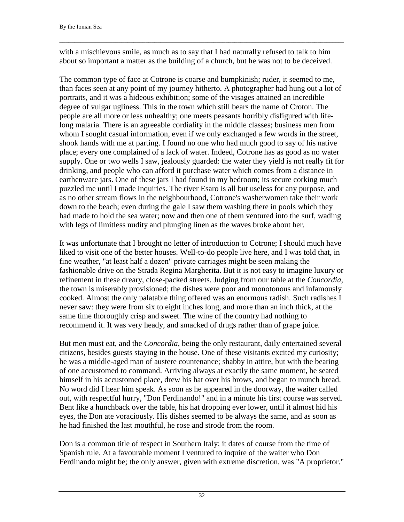with a mischievous smile, as much as to say that I had naturally refused to talk to him about so important a matter as the building of a church, but he was not to be deceived.

\_\_\_\_\_\_\_\_\_\_\_\_\_\_\_\_\_\_\_\_\_\_\_\_\_\_\_\_\_\_\_\_\_\_\_\_\_\_\_\_\_\_\_\_\_\_\_\_\_\_\_\_\_\_\_\_\_\_\_\_\_\_\_\_\_\_\_\_\_\_\_\_\_\_\_\_\_\_\_\_\_\_\_\_\_\_\_\_\_\_\_\_\_\_\_\_

The common type of face at Cotrone is coarse and bumpkinish; ruder, it seemed to me, than faces seen at any point of my journey hitherto. A photographer had hung out a lot of portraits, and it was a hideous exhibition; some of the visages attained an incredible degree of vulgar ugliness. This in the town which still bears the name of Croton. The people are all more or less unhealthy; one meets peasants horribly disfigured with lifelong malaria. There is an agreeable cordiality in the middle classes; business men from whom I sought casual information, even if we only exchanged a few words in the street, shook hands with me at parting. I found no one who had much good to say of his native place; every one complained of a lack of water. Indeed, Cotrone has as good as no water supply. One or two wells I saw, jealously guarded: the water they yield is not really fit for drinking, and people who can afford it purchase water which comes from a distance in earthenware jars. One of these jars I had found in my bedroom; its secure corking much puzzled me until I made inquiries. The river Esaro is all but useless for any purpose, and as no other stream flows in the neighbourhood, Cotrone's washerwomen take their work down to the beach; even during the gale I saw them washing there in pools which they had made to hold the sea water; now and then one of them ventured into the surf, wading with legs of limitless nudity and plunging linen as the waves broke about her.

It was unfortunate that I brought no letter of introduction to Cotrone; I should much have liked to visit one of the better houses. Well-to-do people live here, and I was told that, in fine weather, "at least half a dozen" private carriages might be seen making the fashionable drive on the Strada Regina Margherita. But it is not easy to imagine luxury or refinement in these dreary, close-packed streets. Judging from our table at the *Concordia*, the town is miserably provisioned; the dishes were poor and monotonous and infamously cooked. Almost the only palatable thing offered was an enormous radish. Such radishes I never saw: they were from six to eight inches long, and more than an inch thick, at the same time thoroughly crisp and sweet. The wine of the country had nothing to recommend it. It was very heady, and smacked of drugs rather than of grape juice.

But men must eat, and the *Concordia*, being the only restaurant, daily entertained several citizens, besides guests staying in the house. One of these visitants excited my curiosity; he was a middle-aged man of austere countenance; shabby in attire, but with the bearing of one accustomed to command. Arriving always at exactly the same moment, he seated himself in his accustomed place, drew his hat over his brows, and began to munch bread. No word did I hear him speak. As soon as he appeared in the doorway, the waiter called out, with respectful hurry, "Don Ferdinando!" and in a minute his first course was served. Bent like a hunchback over the table, his hat dropping ever lower, until it almost hid his eyes, the Don ate voraciously. His dishes seemed to be always the same, and as soon as he had finished the last mouthful, he rose and strode from the room.

Don is a common title of respect in Southern Italy; it dates of course from the time of Spanish rule. At a favourable moment I ventured to inquire of the waiter who Don Ferdinando might be; the only answer, given with extreme discretion, was "A proprietor."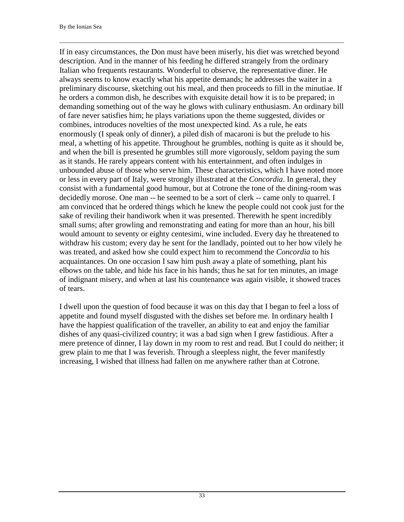If in easy circumstances, the Don must have been miserly, his diet was wretched beyond description. And in the manner of his feeding he differed strangely from the ordinary Italian who frequents restaurants. Wonderful to observe, the representative diner. He always seems to know exactly what his appetite demands; he addresses the waiter in a preliminary discourse, sketching out his meal, and then proceeds to fill in the minutiae. If he orders a common dish, he describes with exquisite detail how it is to be prepared; in demanding something out of the way he glows with culinary enthusiasm. An ordinary bill of fare never satisfies him; he plays variations upon the theme suggested, divides or combines, introduces novelties of the most unexpected kind. As a rule, he eats enormously (I speak only of dinner), a piled dish of macaroni is but the prelude to his meal, a whetting of his appetite. Throughout he grumbles, nothing is quite as it should be, and when the bill is presented he grumbles still more vigorously, seldom paying the sum as it stands. He rarely appears content with his entertainment, and often indulges in unbounded abuse of those who serve him. These characteristics, which I have noted more or less in every part of Italy, were strongly illustrated at the *Concordia*. In general, they consist with a fundamental good humour, but at Cotrone the tone of the dining-room was decidedly morose. One man -- he seemed to be a sort of clerk -- came only to quarrel. I am convinced that he ordered things which he knew the people could not cook just for the sake of reviling their handiwork when it was presented. Therewith he spent incredibly small sums; after growling and remonstrating and eating for more than an hour, his bill would amount to seventy or eighty centesimi, wine included. Every day he threatened to withdraw his custom; every day he sent for the landlady, pointed out to her how vilely he was treated, and asked how she could expect him to recommend the *Concordia* to his acquaintances. On one occasion I saw him push away a plate of something, plant his elbows on the table, and hide his face in his hands; thus he sat for ten minutes, an image of indignant misery, and when at last his countenance was again visible, it showed traces of tears.

\_\_\_\_\_\_\_\_\_\_\_\_\_\_\_\_\_\_\_\_\_\_\_\_\_\_\_\_\_\_\_\_\_\_\_\_\_\_\_\_\_\_\_\_\_\_\_\_\_\_\_\_\_\_\_\_\_\_\_\_\_\_\_\_\_\_\_\_\_\_\_\_\_\_\_\_\_\_\_\_\_\_\_\_\_\_\_\_\_\_\_\_\_\_\_\_

I dwell upon the question of food because it was on this day that I began to feel a loss of appetite and found myself disgusted with the dishes set before me. In ordinary health I have the happiest qualification of the traveller, an ability to eat and enjoy the familiar dishes of any quasi-civilized country; it was a bad sign when I grew fastidious. After a mere pretence of dinner, I lay down in my room to rest and read. But I could do neither; it grew plain to me that I was feverish. Through a sleepless night, the fever manifestly increasing, I wished that illness had fallen on me anywhere rather than at Cotrone.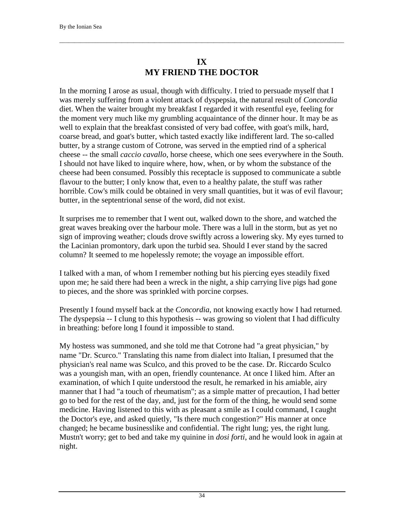# **IX MY FRIEND THE DOCTOR**

<span id="page-35-0"></span>\_\_\_\_\_\_\_\_\_\_\_\_\_\_\_\_\_\_\_\_\_\_\_\_\_\_\_\_\_\_\_\_\_\_\_\_\_\_\_\_\_\_\_\_\_\_\_\_\_\_\_\_\_\_\_\_\_\_\_\_\_\_\_\_\_\_\_\_\_\_\_\_\_\_\_\_\_\_\_\_\_\_\_\_\_\_\_\_\_\_\_\_\_\_\_\_

In the morning I arose as usual, though with difficulty. I tried to persuade myself that I was merely suffering from a violent attack of dyspepsia, the natural result of *Concordia* diet. When the waiter brought my breakfast I regarded it with resentful eye, feeling for the moment very much like my grumbling acquaintance of the dinner hour. It may be as well to explain that the breakfast consisted of very bad coffee, with goat's milk, hard, coarse bread, and goat's butter, which tasted exactly like indifferent lard. The so-called butter, by a strange custom of Cotrone, was served in the emptied rind of a spherical cheese -- the small *caccio cavallo*, horse cheese, which one sees everywhere in the South. I should not have liked to inquire where, how, when, or by whom the substance of the cheese had been consumed. Possibly this receptacle is supposed to communicate a subtle flavour to the butter; I only know that, even to a healthy palate, the stuff was rather horrible. Cow's milk could be obtained in very small quantities, but it was of evil flavour; butter, in the septentrional sense of the word, did not exist.

It surprises me to remember that I went out, walked down to the shore, and watched the great waves breaking over the harbour mole. There was a lull in the storm, but as yet no sign of improving weather; clouds drove swiftly across a lowering sky. My eyes turned to the Lacinian promontory, dark upon the turbid sea. Should I ever stand by the sacred column? It seemed to me hopelessly remote; the voyage an impossible effort.

I talked with a man, of whom I remember nothing but his piercing eyes steadily fixed upon me; he said there had been a wreck in the night, a ship carrying live pigs had gone to pieces, and the shore was sprinkled with porcine corpses.

Presently I found myself back at the *Concordia*, not knowing exactly how I had returned. The dyspepsia -- I clung to this hypothesis -- was growing so violent that I had difficulty in breathing: before long I found it impossible to stand.

My hostess was summoned, and she told me that Cotrone had "a great physician," by name "Dr. Scurco." Translating this name from dialect into Italian, I presumed that the physician's real name was Sculco, and this proved to be the case. Dr. Riccardo Sculco was a youngish man, with an open, friendly countenance. At once I liked him. After an examination, of which I quite understood the result, he remarked in his amiable, airy manner that I had "a touch of rheumatism"; as a simple matter of precaution, I had better go to bed for the rest of the day, and, just for the form of the thing, he would send some medicine. Having listened to this with as pleasant a smile as I could command, I caught the Doctor's eye, and asked quietly, "Is there much congestion?" His manner at once changed; he became businesslike and confidential. The right lung; yes, the right lung. Mustn't worry; get to bed and take my quinine in *dosi forti*, and he would look in again at night.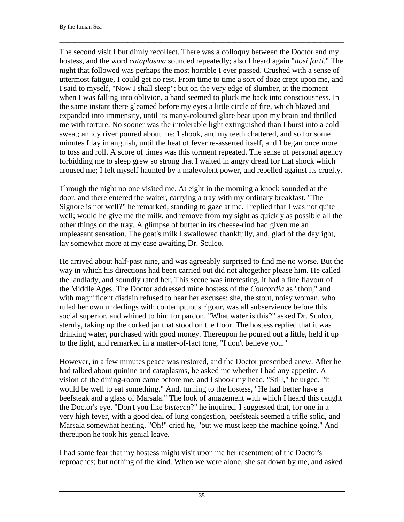The second visit I but dimly recollect. There was a colloquy between the Doctor and my hostess, and the word *cataplasma* sounded repeatedly; also I heard again "*dosi forti*." The night that followed was perhaps the most horrible I ever passed. Crushed with a sense of uttermost fatigue, I could get no rest. From time to time a sort of doze crept upon me, and I said to myself, "Now I shall sleep"; but on the very edge of slumber, at the moment when I was falling into oblivion, a hand seemed to pluck me back into consciousness. In the same instant there gleamed before my eyes a little circle of fire, which blazed and expanded into immensity, until its many-coloured glare beat upon my brain and thrilled me with torture. No sooner was the intolerable light extinguished than I burst into a cold sweat; an icy river poured about me; I shook, and my teeth chattered, and so for some minutes I lay in anguish, until the heat of fever re-asserted itself, and I began once more to toss and roll. A score of times was this torment repeated. The sense of personal agency forbidding me to sleep grew so strong that I waited in angry dread for that shock which aroused me; I felt myself haunted by a malevolent power, and rebelled against its cruelty.

 $\Box$ 

Through the night no one visited me. At eight in the morning a knock sounded at the door, and there entered the waiter, carrying a tray with my ordinary breakfast. "The Signore is not well?" he remarked, standing to gaze at me. I replied that I was not quite well; would he give me the milk, and remove from my sight as quickly as possible all the other things on the tray. A glimpse of butter in its cheese-rind had given me an unpleasant sensation. The goat's milk I swallowed thankfully, and, glad of the daylight, lay somewhat more at my ease awaiting Dr. Sculco.

He arrived about half-past nine, and was agreeably surprised to find me no worse. But the way in which his directions had been carried out did not altogether please him. He called the landlady, and soundly rated her. This scene was interesting, it had a fine flavour of the Middle Ages. The Doctor addressed mine hostess of the *Concordia* as "thou," and with magnificent disdain refused to hear her excuses; she, the stout, noisy woman, who ruled her own underlings with contemptuous rigour, was all subservience before this social superior, and whined to him for pardon. "What water is this?" asked Dr. Sculco, sternly, taking up the corked jar that stood on the floor. The hostess replied that it was drinking water, purchased with good money. Thereupon he poured out a little, held it up to the light, and remarked in a matter-of-fact tone, "I don't believe you."

However, in a few minutes peace was restored, and the Doctor prescribed anew. After he had talked about quinine and cataplasms, he asked me whether I had any appetite. A vision of the dining-room came before me, and I shook my head. "Still," he urged, "it would be well to eat something." And, turning to the hostess, "He had better have a beefsteak and a glass of Marsala." The look of amazement with which I heard this caught the Doctor's eye. "Don't you like *bistecca*?" he inquired. I suggested that, for one in a very high fever, with a good deal of lung congestion, beefsteak seemed a trifle solid, and Marsala somewhat heating. "Oh!" cried he, "but we must keep the machine going." And thereupon he took his genial leave.

I had some fear that my hostess might visit upon me her resentment of the Doctor's reproaches; but nothing of the kind. When we were alone, she sat down by me, and asked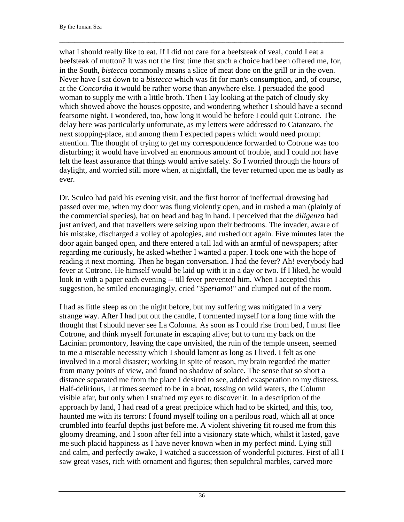what I should really like to eat. If I did not care for a beefsteak of veal, could I eat a beefsteak of mutton? It was not the first time that such a choice had been offered me, for, in the South, *bistecca* commonly means a slice of meat done on the grill or in the oven. Never have I sat down to a *bistecca* which was fit for man's consumption, and, of course, at the *Concordia* it would be rather worse than anywhere else. I persuaded the good woman to supply me with a little broth. Then I lay looking at the patch of cloudy sky which showed above the houses opposite, and wondering whether I should have a second fearsome night. I wondered, too, how long it would be before I could quit Cotrone. The delay here was particularly unfortunate, as my letters were addressed to Catanzaro, the next stopping-place, and among them I expected papers which would need prompt attention. The thought of trying to get my correspondence forwarded to Cotrone was too disturbing; it would have involved an enormous amount of trouble, and I could not have felt the least assurance that things would arrive safely. So I worried through the hours of daylight, and worried still more when, at nightfall, the fever returned upon me as badly as ever.

 $\Box$ 

Dr. Sculco had paid his evening visit, and the first horror of ineffectual drowsing had passed over me, when my door was flung violently open, and in rushed a man (plainly of the commercial species), hat on head and bag in hand. I perceived that the *diligenza* had just arrived, and that travellers were seizing upon their bedrooms. The invader, aware of his mistake, discharged a volley of apologies, and rushed out again. Five minutes later the door again banged open, and there entered a tall lad with an armful of newspapers; after regarding me curiously, he asked whether I wanted a paper. I took one with the hope of reading it next morning. Then he began conversation. I had the fever? Ah! everybody had fever at Cotrone. He himself would be laid up with it in a day or two. If I liked, he would look in with a paper each evening -- till fever prevented him. When I accepted this suggestion, he smiled encouragingly, cried "*Speriamo*!" and clumped out of the room.

I had as little sleep as on the night before, but my suffering was mitigated in a very strange way. After I had put out the candle, I tormented myself for a long time with the thought that I should never see La Colonna. As soon as I could rise from bed, I must flee Cotrone, and think myself fortunate in escaping alive; but to turn my back on the Lacinian promontory, leaving the cape unvisited, the ruin of the temple unseen, seemed to me a miserable necessity which I should lament as long as I lived. I felt as one involved in a moral disaster; working in spite of reason, my brain regarded the matter from many points of view, and found no shadow of solace. The sense that so short a distance separated me from the place I desired to see, added exasperation to my distress. Half-delirious, I at times seemed to be in a boat, tossing on wild waters, the Column visible afar, but only when I strained my eyes to discover it. In a description of the approach by land, I had read of a great precipice which had to be skirted, and this, too, haunted me with its terrors: I found myself toiling on a perilous road, which all at once crumbled into fearful depths just before me. A violent shivering fit roused me from this gloomy dreaming, and I soon after fell into a visionary state which, whilst it lasted, gave me such placid happiness as I have never known when in my perfect mind. Lying still and calm, and perfectly awake, I watched a succession of wonderful pictures. First of all I saw great vases, rich with ornament and figures; then sepulchral marbles, carved more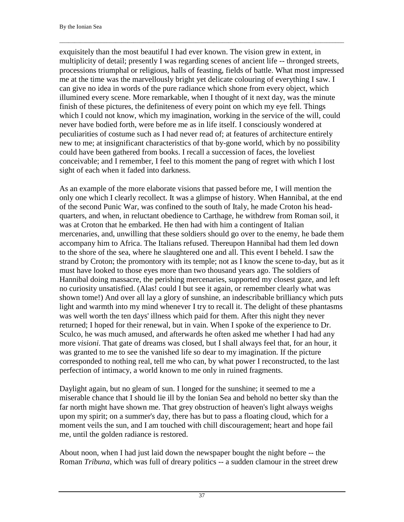exquisitely than the most beautiful I had ever known. The vision grew in extent, in multiplicity of detail; presently I was regarding scenes of ancient life -- thronged streets, processions triumphal or religious, halls of feasting, fields of battle. What most impressed me at the time was the marvellously bright yet delicate colouring of everything I saw. I can give no idea in words of the pure radiance which shone from every object, which illumined every scene. More remarkable, when I thought of it next day, was the minute finish of these pictures, the definiteness of every point on which my eye fell. Things which I could not know, which my imagination, working in the service of the will, could never have bodied forth, were before me as in life itself. I consciously wondered at peculiarities of costume such as I had never read of; at features of architecture entirely new to me; at insignificant characteristics of that by-gone world, which by no possibility could have been gathered from books. I recall a succession of faces, the loveliest conceivable; and I remember, I feel to this moment the pang of regret with which I lost sight of each when it faded into darkness.

 $\Box$ 

As an example of the more elaborate visions that passed before me, I will mention the only one which I clearly recollect. It was a glimpse of history. When Hannibal, at the end of the second Punic War, was confined to the south of Italy, he made Croton his headquarters, and when, in reluctant obedience to Carthage, he withdrew from Roman soil, it was at Croton that he embarked. He then had with him a contingent of Italian mercenaries, and, unwilling that these soldiers should go over to the enemy, he bade them accompany him to Africa. The Italians refused. Thereupon Hannibal had them led down to the shore of the sea, where he slaughtered one and all. This event I beheld. I saw the strand by Croton; the promontory with its temple; not as I know the scene to-day, but as it must have looked to those eyes more than two thousand years ago. The soldiers of Hannibal doing massacre, the perishing mercenaries, supported my closest gaze, and left no curiosity unsatisfied. (Alas! could I but see it again, or remember clearly what was shown tome!) And over all lay a glory of sunshine, an indescribable brilliancy which puts light and warmth into my mind whenever I try to recall it. The delight of these phantasms was well worth the ten days' illness which paid for them. After this night they never returned; I hoped for their renewal, but in vain. When I spoke of the experience to Dr. Sculco, he was much amused, and afterwards he often asked me whether I had had any more *visioni*. That gate of dreams was closed, but I shall always feel that, for an hour, it was granted to me to see the vanished life so dear to my imagination. If the picture corresponded to nothing real, tell me who can, by what power I reconstructed, to the last perfection of intimacy, a world known to me only in ruined fragments.

Daylight again, but no gleam of sun. I longed for the sunshine; it seemed to me a miserable chance that I should lie ill by the Ionian Sea and behold no better sky than the far north might have shown me. That grey obstruction of heaven's light always weighs upon my spirit; on a summer's day, there has but to pass a floating cloud, which for a moment veils the sun, and I am touched with chill discouragement; heart and hope fail me, until the golden radiance is restored.

About noon, when I had just laid down the newspaper bought the night before -- the Roman *Tribuna*, which was full of dreary politics -- a sudden clamour in the street drew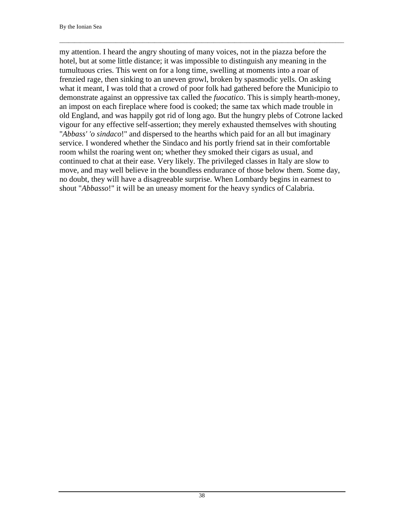my attention. I heard the angry shouting of many voices, not in the piazza before the hotel, but at some little distance; it was impossible to distinguish any meaning in the tumultuous cries. This went on for a long time, swelling at moments into a roar of frenzied rage, then sinking to an uneven growl, broken by spasmodic yells. On asking what it meant, I was told that a crowd of poor folk had gathered before the Municipio to demonstrate against an oppressive tax called the *fuocatico*. This is simply hearth-money, an impost on each fireplace where food is cooked; the same tax which made trouble in old England, and was happily got rid of long ago. But the hungry plebs of Cotrone lacked vigour for any effective self-assertion; they merely exhausted themselves with shouting "*Abbass' 'o sindaco*!" and dispersed to the hearths which paid for an all but imaginary service. I wondered whether the Sindaco and his portly friend sat in their comfortable room whilst the roaring went on; whether they smoked their cigars as usual, and continued to chat at their ease. Very likely. The privileged classes in Italy are slow to move, and may well believe in the boundless endurance of those below them. Some day, no doubt, they will have a disagreeable surprise. When Lombardy begins in earnest to shout "*Abbasso*!" it will be an uneasy moment for the heavy syndics of Calabria.

 $\Box$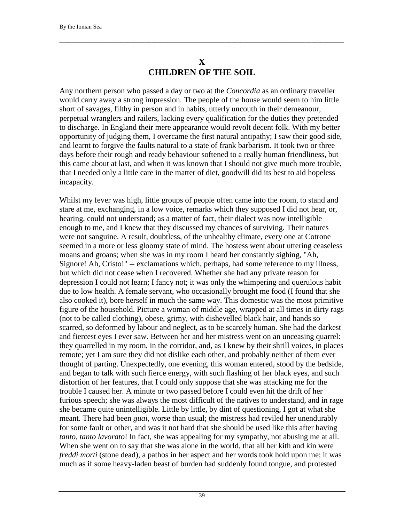### **X CHILDREN OF THE SOIL**

 $\Box$ 

Any northern person who passed a day or two at the *Concordia* as an ordinary traveller would carry away a strong impression. The people of the house would seem to him little short of savages, filthy in person and in habits, utterly uncouth in their demeanour, perpetual wranglers and railers, lacking every qualification for the duties they pretended to discharge. In England their mere appearance would revolt decent folk. With my better opportunity of judging them, I overcame the first natural antipathy; I saw their good side, and learnt to forgive the faults natural to a state of frank barbarism. It took two or three days before their rough and ready behaviour softened to a really human friendliness, but this came about at last, and when it was known that I should not give much more trouble, that I needed only a little care in the matter of diet, goodwill did its best to aid hopeless incapacity.

Whilst my fever was high, little groups of people often came into the room, to stand and stare at me, exchanging, in a low voice, remarks which they supposed I did not hear, or, hearing, could not understand; as a matter of fact, their dialect was now intelligible enough to me, and I knew that they discussed my chances of surviving. Their natures were not sanguine. A result, doubtless, of the unhealthy climate, every one at Cotrone seemed in a more or less gloomy state of mind. The hostess went about uttering ceaseless moans and groans; when she was in my room I heard her constantly sighing, "Ah, Signore! Ah, Cristo!" -- exclamations which, perhaps, had some reference to my illness, but which did not cease when I recovered. Whether she had any private reason for depression I could not learn; I fancy not; it was only the whimpering and querulous habit due to low health. A female servant, who occasionally brought me food (I found that she also cooked it), bore herself in much the same way. This domestic was the most primitive figure of the household. Picture a woman of middle age, wrapped at all times in dirty rags (not to be called clothing), obese, grimy, with dishevelled black hair, and hands so scarred, so deformed by labour and neglect, as to be scarcely human. She had the darkest and fiercest eyes I ever saw. Between her and her mistress went on an unceasing quarrel: they quarrelled in my room, in the corridor, and, as I knew by their shrill voices, in places remote; yet I am sure they did not dislike each other, and probably neither of them ever thought of parting. Unexpectedly, one evening, this woman entered, stood by the bedside, and began to talk with such fierce energy, with such flashing of her black eyes, and such distortion of her features, that I could only suppose that she was attacking me for the trouble I caused her. A minute or two passed before I could even hit the drift of her furious speech; she was always the most difficult of the natives to understand, and in rage she became quite unintelligible. Little by little, by dint of questioning, I got at what she meant. There had been *guai*, worse than usual; the mistress had reviled her unendurably for some fault or other, and was it not hard that she should be used like this after having *tanto, tanto lavorato*! In fact, she was appealing for my sympathy, not abusing me at all. When she went on to say that she was alone in the world, that all her kith and kin were *freddi morti* (stone dead), a pathos in her aspect and her words took hold upon me; it was much as if some heavy-laden beast of burden had suddenly found tongue, and protested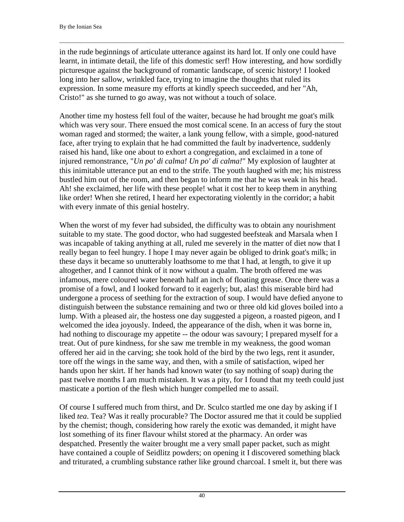in the rude beginnings of articulate utterance against its hard lot. If only one could have learnt, in intimate detail, the life of this domestic serf! How interesting, and how sordidly picturesque against the background of romantic landscape, of scenic history! I looked long into her sallow, wrinkled face, trying to imagine the thoughts that ruled its expression. In some measure my efforts at kindly speech succeeded, and her "Ah, Cristo!" as she turned to go away, was not without a touch of solace.

 $\Box$ 

Another time my hostess fell foul of the waiter, because he had brought me goat's milk which was very sour. There ensued the most comical scene. In an access of fury the stout woman raged and stormed; the waiter, a lank young fellow, with a simple, good-natured face, after trying to explain that he had committed the fault by inadvertence, suddenly raised his hand, like one about to exhort a congregation, and exclaimed in a tone of injured remonstrance, "*Un po' di calma! Un po' di calma!*" My explosion of laughter at this inimitable utterance put an end to the strife. The youth laughed with me; his mistress bustled him out of the room, and then began to inform me that he was weak in his head. Ah! she exclaimed, her life with these people! what it cost her to keep them in anything like order! When she retired, I heard her expectorating violently in the corridor; a habit with every inmate of this genial hostelry.

When the worst of my fever had subsided, the difficulty was to obtain any nourishment suitable to my state. The good doctor, who had suggested beefsteak and Marsala when I was incapable of taking anything at all, ruled me severely in the matter of diet now that I really began to feel hungry. I hope I may never again be obliged to drink goat's milk; in these days it became so unutterably loathsome to me that I had, at length, to give it up altogether, and I cannot think of it now without a qualm. The broth offered me was infamous, mere coloured water beneath half an inch of floating grease. Once there was a promise of a fowl, and I looked forward to it eagerly; but, alas! this miserable bird had undergone a process of seething for the extraction of soup. I would have defied anyone to distinguish between the substance remaining and two or three old kid gloves boiled into a lump. With a pleased air, the hostess one day suggested a pigeon, a roasted pigeon, and I welcomed the idea joyously. Indeed, the appearance of the dish, when it was borne in, had nothing to discourage my appetite -- the odour was savoury; I prepared myself for a treat. Out of pure kindness, for she saw me tremble in my weakness, the good woman offered her aid in the carving; she took hold of the bird by the two legs, rent it asunder, tore off the wings in the same way, and then, with a smile of satisfaction, wiped her hands upon her skirt. If her hands had known water (to say nothing of soap) during the past twelve months I am much mistaken. It was a pity, for I found that my teeth could just masticate a portion of the flesh which hunger compelled me to assail.

Of course I suffered much from thirst, and Dr. Sculco startled me one day by asking if I liked *tea*. Tea? Was it really procurable? The Doctor assured me that it could be supplied by the chemist; though, considering how rarely the exotic was demanded, it might have lost something of its finer flavour whilst stored at the pharmacy. An order was despatched. Presently the waiter brought me a very small paper packet, such as might have contained a couple of Seidlitz powders; on opening it I discovered something black and triturated, a crumbling substance rather like ground charcoal. I smelt it, but there was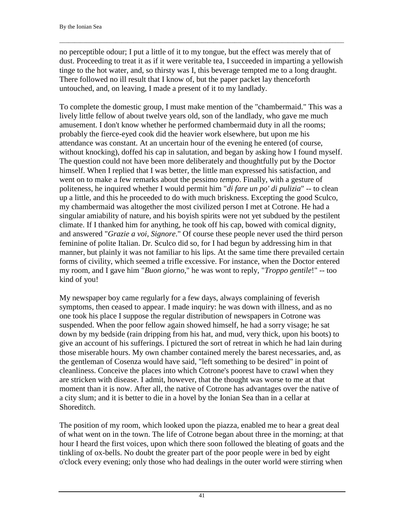no perceptible odour; I put a little of it to my tongue, but the effect was merely that of dust. Proceeding to treat it as if it were veritable tea, I succeeded in imparting a yellowish tinge to the hot water, and, so thirsty was I, this beverage tempted me to a long draught. There followed no ill result that I know of, but the paper packet lay thenceforth untouched, and, on leaving, I made a present of it to my landlady.

 $\Box$ 

To complete the domestic group, I must make mention of the "chambermaid." This was a lively little fellow of about twelve years old, son of the landlady, who gave me much amusement. I don't know whether he performed chambermaid duty in all the rooms; probably the fierce-eyed cook did the heavier work elsewhere, but upon me his attendance was constant. At an uncertain hour of the evening he entered (of course, without knocking), doffed his cap in salutation, and began by asking how I found myself. The question could not have been more deliberately and thoughtfully put by the Doctor himself. When I replied that I was better, the little man expressed his satisfaction, and went on to make a few remarks about the pessimo *tempo*. Finally, with a gesture of politeness, he inquired whether I would permit him "*di fare un po' di pulizia*" -- to clean up a little, and this he proceeded to do with much briskness. Excepting the good Sculco, my chambermaid was altogether the most civilized person I met at Cotrone. He had a singular amiability of nature, and his boyish spirits were not yet subdued by the pestilent climate. If I thanked him for anything, he took off his cap, bowed with comical dignity, and answered "*Grazie a voi, Signore*." Of course these people never used the third person feminine of polite Italian. Dr. Sculco did so, for I had begun by addressing him in that manner, but plainly it was not familiar to his lips. At the same time there prevailed certain forms of civility, which seemed a trifle excessive. For instance, when the Doctor entered my room, and I gave him "*Buon giorno*," he was wont to reply, "*Troppo gentile*!" -- too kind of you!

My newspaper boy came regularly for a few days, always complaining of feverish symptoms, then ceased to appear. I made inquiry: he was down with illness, and as no one took his place I suppose the regular distribution of newspapers in Cotrone was suspended. When the poor fellow again showed himself, he had a sorry visage; he sat down by my bedside (rain dripping from his hat, and mud, very thick, upon his boots) to give an account of his sufferings. I pictured the sort of retreat in which he had lain during those miserable hours. My own chamber contained merely the barest necessaries, and, as the gentleman of Cosenza would have said, "left something to be desired" in point of cleanliness. Conceive the places into which Cotrone's poorest have to crawl when they are stricken with disease. I admit, however, that the thought was worse to me at that moment than it is now. After all, the native of Cotrone has advantages over the native of a city slum; and it is better to die in a hovel by the Ionian Sea than in a cellar at Shoreditch.

The position of my room, which looked upon the piazza, enabled me to hear a great deal of what went on in the town. The life of Cotrone began about three in the morning; at that hour I heard the first voices, upon which there soon followed the bleating of goats and the tinkling of ox-bells. No doubt the greater part of the poor people were in bed by eight o'clock every evening; only those who had dealings in the outer world were stirring when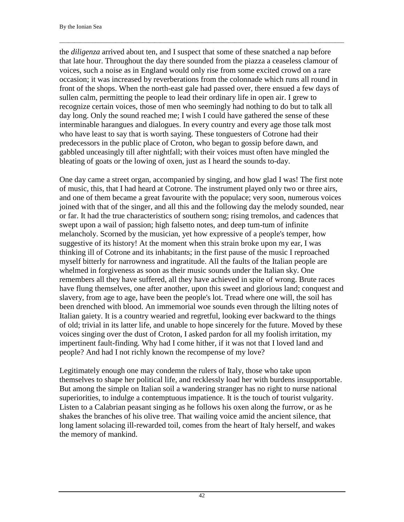the *diligenza* arrived about ten, and I suspect that some of these snatched a nap before that late hour. Throughout the day there sounded from the piazza a ceaseless clamour of voices, such a noise as in England would only rise from some excited crowd on a rare occasion; it was increased by reverberations from the colonnade which runs all round in front of the shops. When the north-east gale had passed over, there ensued a few days of sullen calm, permitting the people to lead their ordinary life in open air. I grew to recognize certain voices, those of men who seemingly had nothing to do but to talk all day long. Only the sound reached me; I wish I could have gathered the sense of these interminable harangues and dialogues. In every country and every age those talk most who have least to say that is worth saying. These tonguesters of Cotrone had their predecessors in the public place of Croton, who began to gossip before dawn, and gabbled unceasingly till after nightfall; with their voices must often have mingled the bleating of goats or the lowing of oxen, just as I heard the sounds to-day.

 $\Box$ 

One day came a street organ, accompanied by singing, and how glad I was! The first note of music, this, that I had heard at Cotrone. The instrument played only two or three airs, and one of them became a great favourite with the populace; very soon, numerous voices joined with that of the singer, and all this and the following day the melody sounded, near or far. It had the true characteristics of southern song; rising tremolos, and cadences that swept upon a wail of passion; high falsetto notes, and deep tum-tum of infinite melancholy. Scorned by the musician, yet how expressive of a people's temper, how suggestive of its history! At the moment when this strain broke upon my ear, I was thinking ill of Cotrone and its inhabitants; in the first pause of the music I reproached myself bitterly for narrowness and ingratitude. All the faults of the Italian people are whelmed in forgiveness as soon as their music sounds under the Italian sky. One remembers all they have suffered, all they have achieved in spite of wrong. Brute races have flung themselves, one after another, upon this sweet and glorious land; conquest and slavery, from age to age, have been the people's lot. Tread where one will, the soil has been drenched with blood. An immemorial woe sounds even through the lilting notes of Italian gaiety. It is a country wearied and regretful, looking ever backward to the things of old; trivial in its latter life, and unable to hope sincerely for the future. Moved by these voices singing over the dust of Croton, I asked pardon for all my foolish irritation, my impertinent fault-finding. Why had I come hither, if it was not that I loved land and people? And had I not richly known the recompense of my love?

Legitimately enough one may condemn the rulers of Italy, those who take upon themselves to shape her political life, and recklessly load her with burdens insupportable. But among the simple on Italian soil a wandering stranger has no right to nurse national superiorities, to indulge a contemptuous impatience. It is the touch of tourist vulgarity. Listen to a Calabrian peasant singing as he follows his oxen along the furrow, or as he shakes the branches of his olive tree. That wailing voice amid the ancient silence, that long lament solacing ill-rewarded toil, comes from the heart of Italy herself, and wakes the memory of mankind.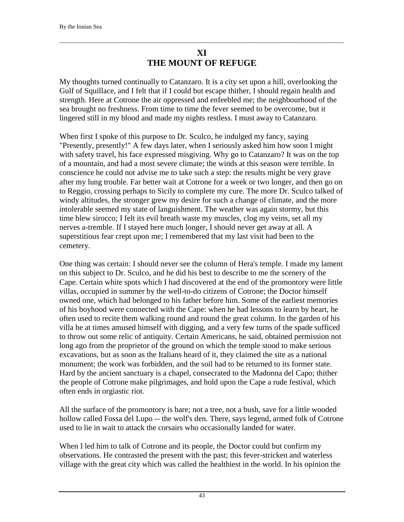# **XI THE MOUNT OF REFUGE**

 $\Box$ 

My thoughts turned continually to Catanzaro. It is a city set upon a hill, overlooking the Gulf of Squillace, and I felt that if I could but escape thither, I should regain health and strength. Here at Cotrone the air oppressed and enfeebled me; the neighbourhood of the sea brought no freshness. From time to time the fever seemed to be overcome, but it lingered still in my blood and made my nights restless. I must away to Catanzaro.

When first I spoke of this purpose to Dr. Sculco, he indulged my fancy, saying "Presently, presently!" A few days later, when I seriously asked him how soon I might with safety travel, his face expressed misgiving. Why go to Catanzaro? It was on the top of a mountain, and had a most severe climate; the winds at this season were terrible. In conscience he could not advise me to take such a step: the results might be very grave after my lung trouble. Far better wait at Cotrone for a week or two longer, and then go on to Reggio, crossing perhaps to Sicily to complete my cure. The more Dr. Sculco talked of windy altitudes, the stronger grew my desire for such a change of climate, and the more intolerable seemed my state of languishment. The weather was again stormy, but this time blew sirocco; I felt its evil breath waste my muscles, clog my veins, set all my nerves a-tremble. If I stayed here much longer, I should never get away at all. A superstitious fear crept upon me; I remembered that my last visit had been to the cemetery.

One thing was certain: I should never see the column of Hera's temple. I made my lament on this subject to Dr. Sculco, and he did his best to describe to me the scenery of the Cape. Certain white spots which I had discovered at the end of the promontory were little villas, occupied in summer by the well-to-do citizens of Cotrone; the Doctor himself owned one, which had belonged to his father before him. Some of the earliest memories of his boyhood were connected with the Cape: when he had lessons to learn by heart, he often used to recite them walking round and round the great column. In the garden of his villa he at times amused himself with digging, and a very few turns of the spade sufficed to throw out some relic of antiquity. Certain Americans, he said, obtained permission not long ago from the proprietor of the ground on which the temple stood to make serious excavations, but as soon as the Italians heard of it, they claimed the site as a national monument; the work was forbidden, and the soil had to be returned to its former state. Hard by the ancient sanctuary is a chapel, consecrated to the Madonna del Capo; thither the people of Cotrone make pilgrimages, and hold upon the Cape a rude festival, which often ends in orgiastic riot.

All the surface of the promontory is bare; not a tree, not a bush, save for a little wooded hollow called Fossa del Lupo -- the wolf's den. There, says legend, armed folk of Cotrone used to lie in wait to attack the corsairs who occasionally landed for water.

When I led him to talk of Cotrone and its people, the Doctor could but confirm my observations. He contrasted the present with the past; this fever-stricken and waterless village with the great city which was called the healthiest in the world. In his opinion the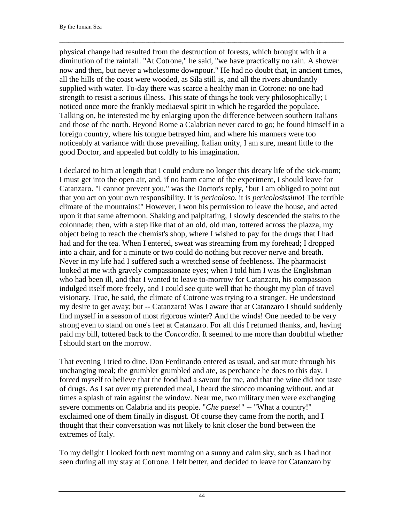physical change had resulted from the destruction of forests, which brought with it a diminution of the rainfall. "At Cotrone," he said, "we have practically no rain. A shower now and then, but never a wholesome downpour." He had no doubt that, in ancient times, all the hills of the coast were wooded, as Sila still is, and all the rivers abundantly supplied with water. To-day there was scarce a healthy man in Cotrone: no one had strength to resist a serious illness. This state of things he took very philosophically; I noticed once more the frankly mediaeval spirit in which he regarded the populace. Talking on, he interested me by enlarging upon the difference between southern Italians and those of the north. Beyond Rome a Calabrian never cared to go; he found himself in a foreign country, where his tongue betrayed him, and where his manners were too noticeably at variance with those prevailing. Italian unity, I am sure, meant little to the good Doctor, and appealed but coldly to his imagination.

 $\Box$ 

I declared to him at length that I could endure no longer this dreary life of the sick-room; I must get into the open air, and, if no harm came of the experiment, I should leave for Catanzaro. "I cannot prevent you," was the Doctor's reply, "but I am obliged to point out that you act on your own responsibility. It is *pericoloso*, it is *pericolosissimo*! The terrible climate of the mountains!" However, I won his permission to leave the house, and acted upon it that same afternoon. Shaking and palpitating, I slowly descended the stairs to the colonnade; then, with a step like that of an old, old man, tottered across the piazza, my object being to reach the chemist's shop, where I wished to pay for the drugs that I had had and for the tea. When I entered, sweat was streaming from my forehead; I dropped into a chair, and for a minute or two could do nothing but recover nerve and breath. Never in my life had I suffered such a wretched sense of feebleness. The pharmacist looked at me with gravely compassionate eyes; when I told him I was the Englishman who had been ill, and that I wanted to leave to-morrow for Catanzaro, his compassion indulged itself more freely, and I could see quite well that he thought my plan of travel visionary. True, he said, the climate of Cotrone was trying to a stranger. He understood my desire to get away; but -- Catanzaro! Was I aware that at Catanzaro I should suddenly find myself in a season of most rigorous winter? And the winds! One needed to be very strong even to stand on one's feet at Catanzaro. For all this I returned thanks, and, having paid my bill, tottered back to the *Concordia*. It seemed to me more than doubtful whether I should start on the morrow.

That evening I tried to dine. Don Ferdinando entered as usual, and sat mute through his unchanging meal; the grumbler grumbled and ate, as perchance he does to this day. I forced myself to believe that the food had a savour for me, and that the wine did not taste of drugs. As I sat over my pretended meal, I heard the sirocco moaning without, and at times a splash of rain against the window. Near me, two military men were exchanging severe comments on Calabria and its people. "*Che paese*!" -- "What a country!" exclaimed one of them finally in disgust. Of course they came from the north, and I thought that their conversation was not likely to knit closer the bond between the extremes of Italy.

To my delight I looked forth next morning on a sunny and calm sky, such as I had not seen during all my stay at Cotrone. I felt better, and decided to leave for Catanzaro by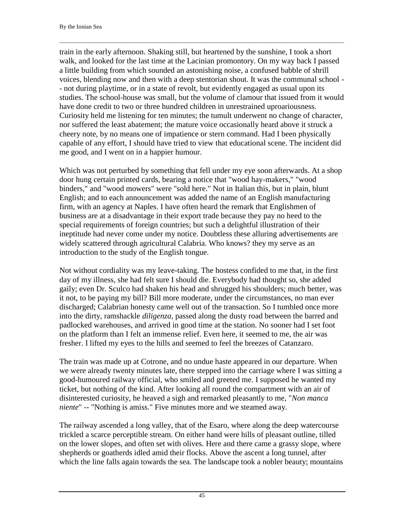train in the early afternoon. Shaking still, but heartened by the sunshine, I took a short walk, and looked for the last time at the Lacinian promontory. On my way back I passed a little building from which sounded an astonishing noise, a confused babble of shrill voices, blending now and then with a deep stentorian shout. It was the communal school - - not during playtime, or in a state of revolt, but evidently engaged as usual upon its studies. The school-house was small, but the volume of clamour that issued from it would have done credit to two or three hundred children in unrestrained uproariousness. Curiosity held me listening for ten minutes; the tumult underwent no change of character, nor suffered the least abatement; the mature voice occasionally heard above it struck a cheery note, by no means one of impatience or stern command. Had I been physically capable of any effort, I should have tried to view that educational scene. The incident did me good, and I went on in a happier humour.

 $\Box$ 

Which was not perturbed by something that fell under my eye soon afterwards. At a shop door hung certain printed cards, bearing a notice that "wood hay-makers," "wood binders," and "wood mowers" were "sold here." Not in Italian this, but in plain, blunt English; and to each announcement was added the name of an English manufacturing firm, with an agency at Naples. I have often heard the remark that Englishmen of business are at a disadvantage in their export trade because they pay no heed to the special requirements of foreign countries; but such a delightful illustration of their ineptitude had never come under my notice. Doubtless these alluring advertisements are widely scattered through agricultural Calabria. Who knows? they my serve as an introduction to the study of the English tongue.

Not without cordiality was my leave-taking. The hostess confided to me that, in the first day of my illness, she had felt sure I should die. Everybody had thought so, she added gaily; even Dr. Sculco had shaken his head and shrugged his shoulders; much better, was it not, to be paying my bill? Bill more moderate, under the circumstances, no man ever discharged; Calabrian honesty came well out of the transaction. So I tumbled once more into the dirty, ramshackle *diligenza*, passed along the dusty road between the barred and padlocked warehouses, and arrived in good time at the station. No sooner had I set foot on the platform than I felt an immense relief. Even here, it seemed to me, the air was fresher. I lifted my eyes to the hills and seemed to feel the breezes of Catanzaro.

The train was made up at Cotrone, and no undue haste appeared in our departure. When we were already twenty minutes late, there stepped into the carriage where I was sitting a good-humoured railway official, who smiled and greeted me. I supposed he wanted my ticket, but nothing of the kind. After looking all round the compartment with an air of disinterested curiosity, he heaved a sigh and remarked pleasantly to me, "*Non manca niente*" -- "Nothing is amiss." Five minutes more and we steamed away.

The railway ascended a long valley, that of the Esaro, where along the deep watercourse trickled a scarce perceptible stream. On either hand were hills of pleasant outline, tilled on the lower slopes, and often set with olives. Here and there came a grassy slope, where shepherds or goatherds idled amid their flocks. Above the ascent a long tunnel, after which the line falls again towards the sea. The landscape took a nobler beauty; mountains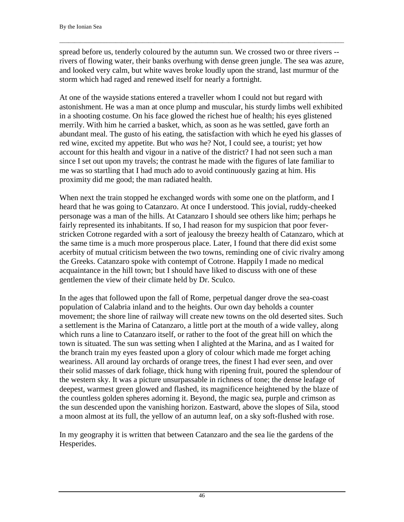spread before us, tenderly coloured by the autumn sun. We crossed two or three rivers - rivers of flowing water, their banks overhung with dense green jungle. The sea was azure, and looked very calm, but white waves broke loudly upon the strand, last murmur of the storm which had raged and renewed itself for nearly a fortnight.

 $\Box$ 

At one of the wayside stations entered a traveller whom I could not but regard with astonishment. He was a man at once plump and muscular, his sturdy limbs well exhibited in a shooting costume. On his face glowed the richest hue of health; his eyes glistened merrily. With him he carried a basket, which, as soon as he was settled, gave forth an abundant meal. The gusto of his eating, the satisfaction with which he eyed his glasses of red wine, excited my appetite. But who *was* he? Not, I could see, a tourist; yet how account for this health and vigour in a native of the district? I had not seen such a man since I set out upon my travels; the contrast he made with the figures of late familiar to me was so startling that I had much ado to avoid continuously gazing at him. His proximity did me good; the man radiated health.

When next the train stopped he exchanged words with some one on the platform, and I heard that he was going to Catanzaro. At once I understood. This jovial, ruddy-cheeked personage was a man of the hills. At Catanzaro I should see others like him; perhaps he fairly represented its inhabitants. If so, I had reason for my suspicion that poor feverstricken Cotrone regarded with a sort of jealousy the breezy health of Catanzaro, which at the same time is a much more prosperous place. Later, I found that there did exist some acerbity of mutual criticism between the two towns, reminding one of civic rivalry among the Greeks. Catanzaro spoke with contempt of Cotrone. Happily I made no medical acquaintance in the hill town; but I should have liked to discuss with one of these gentlemen the view of their climate held by Dr. Sculco.

In the ages that followed upon the fall of Rome, perpetual danger drove the sea-coast population of Calabria inland and to the heights. Our own day beholds a counter movement; the shore line of railway will create new towns on the old deserted sites. Such a settlement is the Marina of Catanzaro, a little port at the mouth of a wide valley, along which runs a line to Catanzaro itself, or rather to the foot of the great hill on which the town is situated. The sun was setting when I alighted at the Marina, and as I waited for the branch train my eyes feasted upon a glory of colour which made me forget aching weariness. All around lay orchards of orange trees, the finest I had ever seen, and over their solid masses of dark foliage, thick hung with ripening fruit, poured the splendour of the western sky. It was a picture unsurpassable in richness of tone; the dense leafage of deepest, warmest green glowed and flashed, its magnificence heightened by the blaze of the countless golden spheres adorning it. Beyond, the magic sea, purple and crimson as the sun descended upon the vanishing horizon. Eastward, above the slopes of Sila, stood a moon almost at its full, the yellow of an autumn leaf, on a sky soft-flushed with rose.

In my geography it is written that between Catanzaro and the sea lie the gardens of the Hesperides.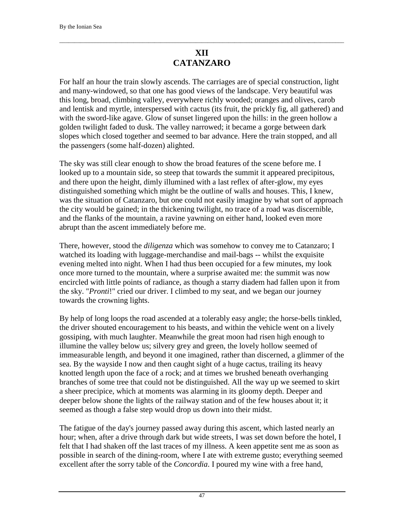## **XII CATANZARO**

 $\Box$ 

For half an hour the train slowly ascends. The carriages are of special construction, light and many-windowed, so that one has good views of the landscape. Very beautiful was this long, broad, climbing valley, everywhere richly wooded; oranges and olives, carob and lentisk and myrtle, interspersed with cactus (its fruit, the prickly fig, all gathered) and with the sword-like agave. Glow of sunset lingered upon the hills: in the green hollow a golden twilight faded to dusk. The valley narrowed; it became a gorge between dark slopes which closed together and seemed to bar advance. Here the train stopped, and all the passengers (some half-dozen) alighted.

The sky was still clear enough to show the broad features of the scene before me. I looked up to a mountain side, so steep that towards the summit it appeared precipitous, and there upon the height, dimly illumined with a last reflex of after-glow, my eyes distinguished something which might be the outline of walls and houses. This, I knew, was the situation of Catanzaro, but one could not easily imagine by what sort of approach the city would be gained; in the thickening twilight, no trace of a road was discernible, and the flanks of the mountain, a ravine yawning on either hand, looked even more abrupt than the ascent immediately before me.

There, however, stood the *diligenza* which was somehow to convey me to Catanzaro; I watched its loading with luggage-merchandise and mail-bags -- whilst the exquisite evening melted into night. When I had thus been occupied for a few minutes, my look once more turned to the mountain, where a surprise awaited me: the summit was now encircled with little points of radiance, as though a starry diadem had fallen upon it from the sky. "*Pronti*!" cried our driver. I climbed to my seat, and we began our journey towards the crowning lights.

By help of long loops the road ascended at a tolerably easy angle; the horse-bells tinkled, the driver shouted encouragement to his beasts, and within the vehicle went on a lively gossiping, with much laughter. Meanwhile the great moon had risen high enough to illumine the valley below us; silvery grey and green, the lovely hollow seemed of immeasurable length, and beyond it one imagined, rather than discerned, a glimmer of the sea. By the wayside I now and then caught sight of a huge cactus, trailing its heavy knotted length upon the face of a rock; and at times we brushed beneath overhanging branches of some tree that could not be distinguished. All the way up we seemed to skirt a sheer precipice, which at moments was alarming in its gloomy depth. Deeper and deeper below shone the lights of the railway station and of the few houses about it; it seemed as though a false step would drop us down into their midst.

The fatigue of the day's journey passed away during this ascent, which lasted nearly an hour; when, after a drive through dark but wide streets, I was set down before the hotel, I felt that I had shaken off the last traces of my illness. A keen appetite sent me as soon as possible in search of the dining-room, where I ate with extreme gusto; everything seemed excellent after the sorry table of the *Concordia*. I poured my wine with a free hand,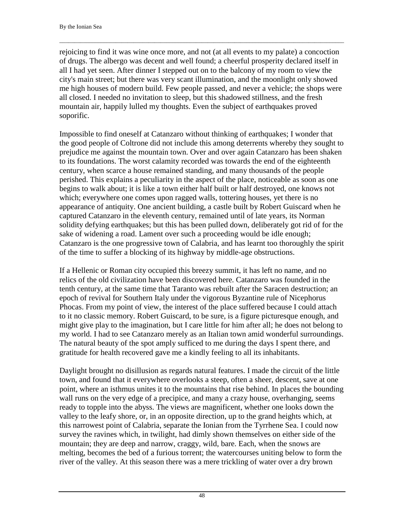rejoicing to find it was wine once more, and not (at all events to my palate) a concoction of drugs. The albergo was decent and well found; a cheerful prosperity declared itself in all I had yet seen. After dinner I stepped out on to the balcony of my room to view the city's main street; but there was very scant illumination, and the moonlight only showed me high houses of modern build. Few people passed, and never a vehicle; the shops were all closed. I needed no invitation to sleep, but this shadowed stillness, and the fresh mountain air, happily lulled my thoughts. Even the subject of earthquakes proved soporific.

 $\Box$ 

Impossible to find oneself at Catanzaro without thinking of earthquakes; I wonder that the good people of Coltrone did not include this among deterrents whereby they sought to prejudice me against the mountain town. Over and over again Catanzaro has been shaken to its foundations. The worst calamity recorded was towards the end of the eighteenth century, when scarce a house remained standing, and many thousands of the people perished. This explains a peculiarity in the aspect of the place, noticeable as soon as one begins to walk about; it is like a town either half built or half destroyed, one knows not which; everywhere one comes upon ragged walls, tottering houses, yet there is no appearance of antiquity. One ancient building, a castle built by Robert Guiscard when he captured Catanzaro in the eleventh century, remained until of late years, its Norman solidity defying earthquakes; but this has been pulled down, deliberately got rid of for the sake of widening a road. Lament over such a proceeding would be idle enough; Catanzaro is the one progressive town of Calabria, and has learnt too thoroughly the spirit of the time to suffer a blocking of its highway by middle-age obstructions.

If a Hellenic or Roman city occupied this breezy summit, it has left no name, and no relics of the old civilization have been discovered here. Catanzaro was founded in the tenth century, at the same time that Taranto was rebuilt after the Saracen destruction; an epoch of revival for Southern Italy under the vigorous Byzantine rule of Nicephorus Phocas. From my point of view, the interest of the place suffered because I could attach to it no classic memory. Robert Guiscard, to be sure, is a figure picturesque enough, and might give play to the imagination, but I care little for him after all; he does not belong to my world. I had to see Catanzaro merely as an Italian town amid wonderful surroundings. The natural beauty of the spot amply sufficed to me during the days I spent there, and gratitude for health recovered gave me a kindly feeling to all its inhabitants.

Daylight brought no disillusion as regards natural features. I made the circuit of the little town, and found that it everywhere overlooks a steep, often a sheer, descent, save at one point, where an isthmus unites it to the mountains that rise behind. In places the bounding wall runs on the very edge of a precipice, and many a crazy house, overhanging, seems ready to topple into the abyss. The views are magnificent, whether one looks down the valley to the leafy shore, or, in an opposite direction, up to the grand heights which, at this narrowest point of Calabria, separate the Ionian from the Tyrrhene Sea. I could now survey the ravines which, in twilight, had dimly shown themselves on either side of the mountain; they are deep and narrow, craggy, wild, bare. Each, when the snows are melting, becomes the bed of a furious torrent; the watercourses uniting below to form the river of the valley. At this season there was a mere trickling of water over a dry brown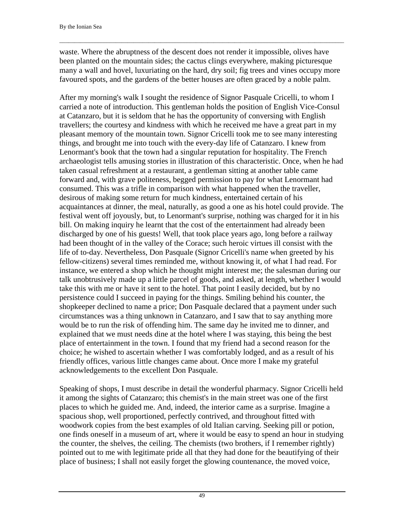waste. Where the abruptness of the descent does not render it impossible, olives have been planted on the mountain sides; the cactus clings everywhere, making picturesque many a wall and hovel, luxuriating on the hard, dry soil; fig trees and vines occupy more favoured spots, and the gardens of the better houses are often graced by a noble palm.

 $\Box$ 

After my morning's walk I sought the residence of Signor Pasquale Cricelli, to whom I carried a note of introduction. This gentleman holds the position of English Vice-Consul at Catanzaro, but it is seldom that he has the opportunity of conversing with English travellers; the courtesy and kindness with which he received me have a great part in my pleasant memory of the mountain town. Signor Cricelli took me to see many interesting things, and brought me into touch with the every-day life of Catanzaro. I knew from Lenormant's book that the town had a singular reputation for hospitality. The French archaeologist tells amusing stories in illustration of this characteristic. Once, when he had taken casual refreshment at a restaurant, a gentleman sitting at another table came forward and, with grave politeness, begged permission to pay for what Lenormant had consumed. This was a trifle in comparison with what happened when the traveller, desirous of making some return for much kindness, entertained certain of his acquaintances at dinner, the meal, naturally, as good a one as his hotel could provide. The festival went off joyously, but, to Lenormant's surprise, nothing was charged for it in his bill. On making inquiry he learnt that the cost of the entertainment had already been discharged by one of his guests! Well, that took place years ago, long before a railway had been thought of in the valley of the Corace; such heroic virtues ill consist with the life of to-day. Nevertheless, Don Pasquale (Signor Cricelli's name when greeted by his fellow-citizens) several times reminded me, without knowing it, of what I had read. For instance, we entered a shop which he thought might interest me; the salesman during our talk unobtrusively made up a little parcel of goods, and asked, at length, whether I would take this with me or have it sent to the hotel. That point I easily decided, but by no persistence could I succeed in paying for the things. Smiling behind his counter, the shopkeeper declined to name a price; Don Pasquale declared that a payment under such circumstances was a thing unknown in Catanzaro, and I saw that to say anything more would be to run the risk of offending him. The same day he invited me to dinner, and explained that we must needs dine at the hotel where I was staying, this being the best place of entertainment in the town. I found that my friend had a second reason for the choice; he wished to ascertain whether I was comfortably lodged, and as a result of his friendly offices, various little changes came about. Once more I make my grateful acknowledgements to the excellent Don Pasquale.

Speaking of shops, I must describe in detail the wonderful pharmacy. Signor Cricelli held it among the sights of Catanzaro; this chemist's in the main street was one of the first places to which he guided me. And, indeed, the interior came as a surprise. Imagine a spacious shop, well proportioned, perfectly contrived, and throughout fitted with woodwork copies from the best examples of old Italian carving. Seeking pill or potion, one finds oneself in a museum of art, where it would be easy to spend an hour in studying the counter, the shelves, the ceiling. The chemists (two brothers, if I remember rightly) pointed out to me with legitimate pride all that they had done for the beautifying of their place of business; I shall not easily forget the glowing countenance, the moved voice,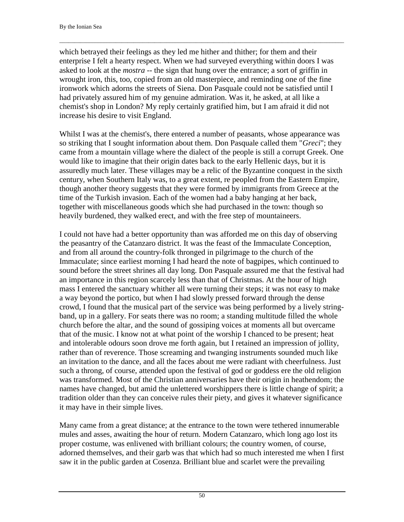which betrayed their feelings as they led me hither and thither; for them and their enterprise I felt a hearty respect. When we had surveyed everything within doors I was asked to look at the *mostra* -- the sign that hung over the entrance; a sort of griffin in wrought iron, this, too, copied from an old masterpiece, and reminding one of the fine ironwork which adorns the streets of Siena. Don Pasquale could not be satisfied until I had privately assured him of my genuine admiration. Was it, he asked, at all like a chemist's shop in London? My reply certainly gratified him, but I am afraid it did not increase his desire to visit England.

 $\Box$ 

Whilst I was at the chemist's, there entered a number of peasants, whose appearance was so striking that I sought information about them. Don Pasquale called them "*Greci*"; they came from a mountain village where the dialect of the people is still a corrupt Greek. One would like to imagine that their origin dates back to the early Hellenic days, but it is assuredly much later. These villages may be a relic of the Byzantine conquest in the sixth century, when Southern Italy was, to a great extent, re peopled from the Eastern Empire, though another theory suggests that they were formed by immigrants from Greece at the time of the Turkish invasion. Each of the women had a baby hanging at her back, together with miscellaneous goods which she had purchased in the town: though so heavily burdened, they walked erect, and with the free step of mountaineers.

I could not have had a better opportunity than was afforded me on this day of observing the peasantry of the Catanzaro district. It was the feast of the Immaculate Conception, and from all around the country-folk thronged in pilgrimage to the church of the Immaculate; since earliest morning I had heard the note of bagpipes, which continued to sound before the street shrines all day long. Don Pasquale assured me that the festival had an importance in this region scarcely less than that of Christmas. At the hour of high mass I entered the sanctuary whither all were turning their steps; it was not easy to make a way beyond the portico, but when I had slowly pressed forward through the dense crowd, I found that the musical part of the service was being performed by a lively stringband, up in a gallery. For seats there was no room; a standing multitude filled the whole church before the altar, and the sound of gossiping voices at moments all but overcame that of the music. I know not at what point of the worship I chanced to be present; heat and intolerable odours soon drove me forth again, but I retained an impression of jollity, rather than of reverence. Those screaming and twanging instruments sounded much like an invitation to the dance, and all the faces about me were radiant with cheerfulness. Just such a throng, of course, attended upon the festival of god or goddess ere the old religion was transformed. Most of the Christian anniversaries have their origin in heathendom; the names have changed, but amid the unlettered worshippers there is little change of spirit; a tradition older than they can conceive rules their piety, and gives it whatever significance it may have in their simple lives.

Many came from a great distance; at the entrance to the town were tethered innumerable mules and asses, awaiting the hour of return. Modern Catanzaro, which long ago lost its proper costume, was enlivened with brilliant colours; the country women, of course, adorned themselves, and their garb was that which had so much interested me when I first saw it in the public garden at Cosenza. Brilliant blue and scarlet were the prevailing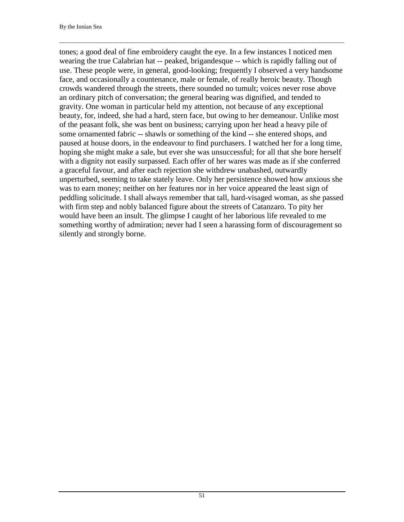tones; a good deal of fine embroidery caught the eye. In a few instances I noticed men wearing the true Calabrian hat -- peaked, brigandesque -- which is rapidly falling out of use. These people were, in general, good-looking; frequently I observed a very handsome face, and occasionally a countenance, male or female, of really heroic beauty. Though crowds wandered through the streets, there sounded no tumult; voices never rose above an ordinary pitch of conversation; the general bearing was dignified, and tended to gravity. One woman in particular held my attention, not because of any exceptional beauty, for, indeed, she had a hard, stern face, but owing to her demeanour. Unlike most of the peasant folk, she was bent on business; carrying upon her head a heavy pile of some ornamented fabric -- shawls or something of the kind -- she entered shops, and paused at house doors, in the endeavour to find purchasers. I watched her for a long time, hoping she might make a sale, but ever she was unsuccessful; for all that she bore herself with a dignity not easily surpassed. Each offer of her wares was made as if she conferred a graceful favour, and after each rejection she withdrew unabashed, outwardly unperturbed, seeming to take stately leave. Only her persistence showed how anxious she was to earn money; neither on her features nor in her voice appeared the least sign of peddling solicitude. I shall always remember that tall, hard-visaged woman, as she passed with firm step and nobly balanced figure about the streets of Catanzaro. To pity her would have been an insult. The glimpse I caught of her laborious life revealed to me something worthy of admiration; never had I seen a harassing form of discouragement so silently and strongly borne.

 $\Box$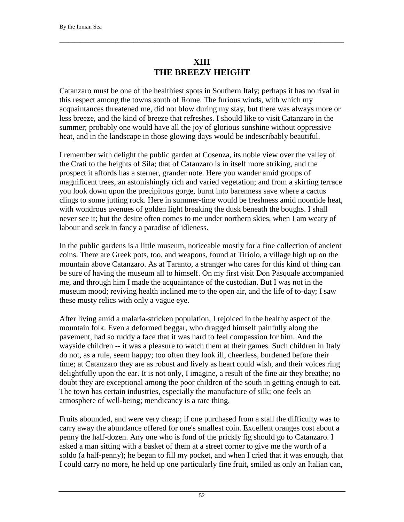# **XIII THE BREEZY HEIGHT**

 $\Box$ 

Catanzaro must be one of the healthiest spots in Southern Italy; perhaps it has no rival in this respect among the towns south of Rome. The furious winds, with which my acquaintances threatened me, did not blow during my stay, but there was always more or less breeze, and the kind of breeze that refreshes. I should like to visit Catanzaro in the summer; probably one would have all the joy of glorious sunshine without oppressive heat, and in the landscape in those glowing days would be indescribably beautiful.

I remember with delight the public garden at Cosenza, its noble view over the valley of the Crati to the heights of Sila; that of Catanzaro is in itself more striking, and the prospect it affords has a sterner, grander note. Here you wander amid groups of magnificent trees, an astonishingly rich and varied vegetation; and from a skirting terrace you look down upon the precipitous gorge, burnt into barenness save where a cactus clings to some jutting rock. Here in summer-time would be freshness amid noontide heat, with wondrous avenues of golden light breaking the dusk beneath the boughs. I shall never see it; but the desire often comes to me under northern skies, when I am weary of labour and seek in fancy a paradise of idleness.

In the public gardens is a little museum, noticeable mostly for a fine collection of ancient coins. There are Greek pots, too, and weapons, found at Tiriolo, a village high up on the mountain above Catanzaro. As at Taranto, a stranger who cares for this kind of thing can be sure of having the museum all to himself. On my first visit Don Pasquale accompanied me, and through him I made the acquaintance of the custodian. But I was not in the museum mood; reviving health inclined me to the open air, and the life of to-day; I saw these musty relics with only a vague eye.

After living amid a malaria-stricken population, I rejoiced in the healthy aspect of the mountain folk. Even a deformed beggar, who dragged himself painfully along the pavement, had so ruddy a face that it was hard to feel compassion for him. And the wayside children -- it was a pleasure to watch them at their games. Such children in Italy do not, as a rule, seem happy; too often they look ill, cheerless, burdened before their time; at Catanzaro they are as robust and lively as heart could wish, and their voices ring delightfully upon the ear. It is not only, I imagine, a result of the fine air they breathe; no doubt they are exceptional among the poor children of the south in getting enough to eat. The town has certain industries, especially the manufacture of silk; one feels an atmosphere of well-being; mendicancy is a rare thing.

Fruits abounded, and were very cheap; if one purchased from a stall the difficulty was to carry away the abundance offered for one's smallest coin. Excellent oranges cost about a penny the half-dozen. Any one who is fond of the prickly fig should go to Catanzaro. I asked a man sitting with a basket of them at a street corner to give me the worth of a soldo (a half-penny); he began to fill my pocket, and when I cried that it was enough, that I could carry no more, he held up one particularly fine fruit, smiled as only an Italian can,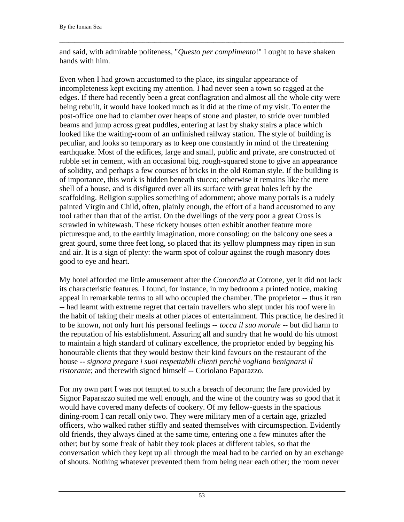and said, with admirable politeness, "*Questo per complimento*!" I ought to have shaken hands with him.

 $\Box$ 

Even when I had grown accustomed to the place, its singular appearance of incompleteness kept exciting my attention. I had never seen a town so ragged at the edges. If there had recently been a great conflagration and almost all the whole city were being rebuilt, it would have looked much as it did at the time of my visit. To enter the post-office one had to clamber over heaps of stone and plaster, to stride over tumbled beams and jump across great puddles, entering at last by shaky stairs a place which looked like the waiting-room of an unfinished railway station. The style of building is peculiar, and looks so temporary as to keep one constantly in mind of the threatening earthquake. Most of the edifices, large and small, public and private, are constructed of rubble set in cement, with an occasional big, rough-squared stone to give an appearance of solidity, and perhaps a few courses of bricks in the old Roman style. If the building is of importance, this work is hidden beneath stucco; otherwise it remains like the mere shell of a house, and is disfigured over all its surface with great holes left by the scaffolding. Religion supplies something of adornment; above many portals is a rudely painted Virgin and Child, often, plainly enough, the effort of a hand accustomed to any tool rather than that of the artist. On the dwellings of the very poor a great Cross is scrawled in whitewash. These rickety houses often exhibit another feature more picturesque and, to the earthly imagination, more consoling; on the balcony one sees a great gourd, some three feet long, so placed that its yellow plumpness may ripen in sun and air. It is a sign of plenty: the warm spot of colour against the rough masonry does good to eye and heart.

My hotel afforded me little amusement after the *Concordia* at Cotrone, yet it did not lack its characteristic features. I found, for instance, in my bedroom a printed notice, making appeal in remarkable terms to all who occupied the chamber. The proprietor -- thus it ran -- had learnt with extreme regret that certain travellers who slept under his roof were in the habit of taking their meals at other places of entertainment. This practice, he desired it to be known, not only hurt his personal feelings -- *tocca il suo morale* -- but did harm to the reputation of his establishment. Assuring all and sundry that he would do his utmost to maintain a high standard of culinary excellence, the proprietor ended by begging his honourable clients that they would bestow their kind favours on the restaurant of the house -- *signora pregare i suoi respettabili clienti perchè vogliano benignarsi il ristorante*; and therewith signed himself -- Coriolano Paparazzo.

For my own part I was not tempted to such a breach of decorum; the fare provided by Signor Paparazzo suited me well enough, and the wine of the country was so good that it would have covered many defects of cookery. Of my fellow-guests in the spacious dining-room I can recall only two. They were military men of a certain age, grizzled officers, who walked rather stiffly and seated themselves with circumspection. Evidently old friends, they always dined at the same time, entering one a few minutes after the other; but by some freak of habit they took places at different tables, so that the conversation which they kept up all through the meal had to be carried on by an exchange of shouts. Nothing whatever prevented them from being near each other; the room never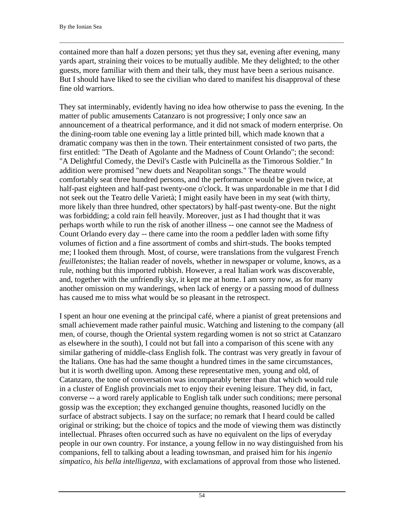contained more than half a dozen persons; yet thus they sat, evening after evening, many yards apart, straining their voices to be mutually audible. Me they delighted; to the other guests, more familiar with them and their talk, they must have been a serious nuisance. But I should have liked to see the civilian who dared to manifest his disapproval of these fine old warriors.

 $\Box$ 

They sat interminably, evidently having no idea how otherwise to pass the evening. In the matter of public amusements Catanzaro is not progressive; I only once saw an announcement of a theatrical performance, and it did not smack of modern enterprise. On the dining-room table one evening lay a little printed bill, which made known that a dramatic company was then in the town. Their entertainment consisted of two parts, the first entitled: "The Death of Agolante and the Madness of Count Orlando"; the second: "A Delightful Comedy, the Devil's Castle with Pulcinella as the Timorous Soldier." In addition were promised "new duets and Neapolitan songs." The theatre would comfortably seat three hundred persons, and the performance would be given twice, at half-past eighteen and half-past twenty-one o'clock. It was unpardonable in me that I did not seek out the Teatro delle Varietà; I might easily have been in my seat (with thirty, more likely than three hundred, other spectators) by half-past twenty-one. But the night was forbidding; a cold rain fell heavily. Moreover, just as I had thought that it was perhaps worth while to run the risk of another illness -- one cannot see the Madness of Count Orlando every day -- there came into the room a peddler laden with some fifty volumes of fiction and a fine assortment of combs and shirt-studs. The books tempted me; I looked them through. Most, of course, were translations from the vulgarest French *feuilletonistes*; the Italian reader of novels, whether in newspaper or volume, knows, as a rule, nothing but this imported rubbish. However, a real Italian work was discoverable, and, together with the unfriendly sky, it kept me at home. I am sorry now, as for many another omission on my wanderings, when lack of energy or a passing mood of dullness has caused me to miss what would be so pleasant in the retrospect.

I spent an hour one evening at the principal café, where a pianist of great pretensions and small achievement made rather painful music. Watching and listening to the company (all men, of course, though the Oriental system regarding women is not so strict at Catanzaro as elsewhere in the south), I could not but fall into a comparison of this scene with any similar gathering of middle-class English folk. The contrast was very greatly in favour of the Italians. One has had the same thought a hundred times in the same circumstances, but it is worth dwelling upon. Among these representative men, young and old, of Catanzaro, the tone of conversation was incomparably better than that which would rule in a cluster of English provincials met to enjoy their evening leisure. They did, in fact, converse -- a word rarely applicable to English talk under such conditions; mere personal gossip was the exception; they exchanged genuine thoughts, reasoned lucidly on the surface of abstract subjects. I say on the surface; no remark that I heard could be called original or striking; but the choice of topics and the mode of viewing them was distinctly intellectual. Phrases often occurred such as have no equivalent on the lips of everyday people in our own country. For instance, a young fellow in no way distinguished from his companions, fell to talking about a leading townsman, and praised him for his *ingenio simpatico, his bella intelligenza*, with exclamations of approval from those who listened.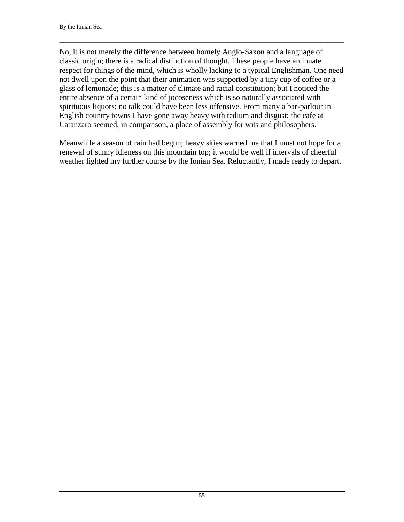No, it is not merely the difference between homely Anglo-Saxon and a language of classic origin; there is a radical distinction of thought. These people have an innate respect for things of the mind, which is wholly lacking to a typical Englishman. One need not dwell upon the point that their animation was supported by a tiny cup of coffee or a glass of lemonade; this is a matter of climate and racial constitution; but I noticed the entire absence of a certain kind of jocoseness which is so naturally associated with spirituous liquors; no talk could have been less offensive. From many a bar-parlour in English country towns I have gone away heavy with tedium and disgust; the cafe at Catanzaro seemed, in comparison, a place of assembly for wits and philosophers.

 $\Box$ 

Meanwhile a season of rain had begun; heavy skies warned me that I must not hope for a renewal of sunny idleness on this mountain top; it would be well if intervals of cheerful weather lighted my further course by the Ionian Sea. Reluctantly, I made ready to depart.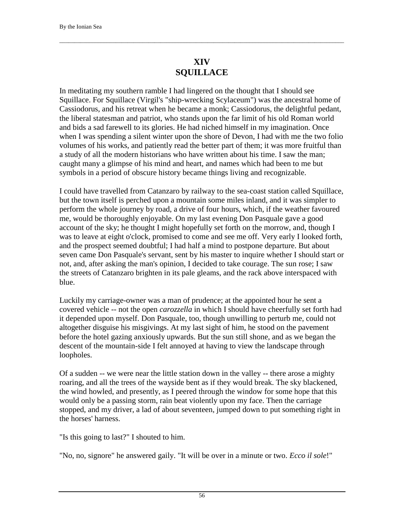### **XIV SQUILLACE**

 $\Box$ 

In meditating my southern ramble I had lingered on the thought that I should see Squillace. For Squillace (Virgil's "ship-wrecking Scylaceum") was the ancestral home of Cassiodorus, and his retreat when he became a monk; Cassiodorus, the delightful pedant, the liberal statesman and patriot, who stands upon the far limit of his old Roman world and bids a sad farewell to its glories. He had niched himself in my imagination. Once when I was spending a silent winter upon the shore of Devon, I had with me the two folio volumes of his works, and patiently read the better part of them; it was more fruitful than a study of all the modern historians who have written about his time. I saw the man; caught many a glimpse of his mind and heart, and names which had been to me but symbols in a period of obscure history became things living and recognizable.

I could have travelled from Catanzaro by railway to the sea-coast station called Squillace, but the town itself is perched upon a mountain some miles inland, and it was simpler to perform the whole journey by road, a drive of four hours, which, if the weather favoured me, would be thoroughly enjoyable. On my last evening Don Pasquale gave a good account of the sky; he thought I might hopefully set forth on the morrow, and, though I was to leave at eight o'clock, promised to come and see me off. Very early I looked forth, and the prospect seemed doubtful; I had half a mind to postpone departure. But about seven came Don Pasquale's servant, sent by his master to inquire whether I should start or not, and, after asking the man's opinion, I decided to take courage. The sun rose; I saw the streets of Catanzaro brighten in its pale gleams, and the rack above interspaced with blue.

Luckily my carriage-owner was a man of prudence; at the appointed hour he sent a covered vehicle -- not the open *carozzella* in which I should have cheerfully set forth had it depended upon myself. Don Pasquale, too, though unwilling to perturb me, could not altogether disguise his misgivings. At my last sight of him, he stood on the pavement before the hotel gazing anxiously upwards. But the sun still shone, and as we began the descent of the mountain-side I felt annoyed at having to view the landscape through loopholes.

Of a sudden -- we were near the little station down in the valley -- there arose a mighty roaring, and all the trees of the wayside bent as if they would break. The sky blackened, the wind howled, and presently, as I peered through the window for some hope that this would only be a passing storm, rain beat violently upon my face. Then the carriage stopped, and my driver, a lad of about seventeen, jumped down to put something right in the horses' harness.

"Is this going to last?" I shouted to him.

"No, no, signore" he answered gaily. "It will be over in a minute or two. *Ecco il sole*!"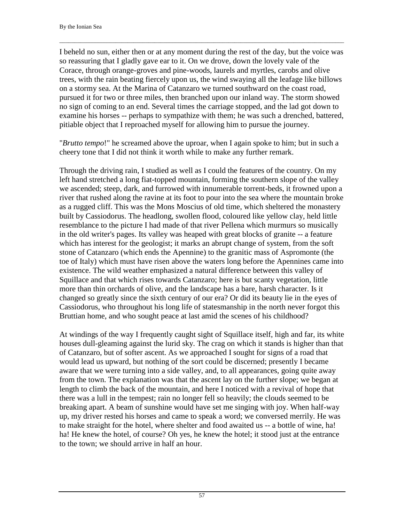I beheld no sun, either then or at any moment during the rest of the day, but the voice was so reassuring that I gladly gave ear to it. On we drove, down the lovely vale of the Corace, through orange-groves and pine-woods, laurels and myrtles, carobs and olive trees, with the rain beating fiercely upon us, the wind swaying all the leafage like billows on a stormy sea. At the Marina of Catanzaro we turned southward on the coast road, pursued it for two or three miles, then branched upon our inland way. The storm showed no sign of coming to an end. Several times the carriage stopped, and the lad got down to examine his horses -- perhaps to sympathize with them; he was such a drenched, battered, pitiable object that I reproached myself for allowing him to pursue the journey.

 $\Box$ 

"*Brutto tempo*!" he screamed above the uproar, when I again spoke to him; but in such a cheery tone that I did not think it worth while to make any further remark.

Through the driving rain, I studied as well as I could the features of the country. On my left hand stretched a long fiat-topped mountain, forming the southern slope of the valley we ascended; steep, dark, and furrowed with innumerable torrent-beds, it frowned upon a river that rushed along the ravine at its foot to pour into the sea where the mountain broke as a rugged cliff. This was the Mons Moscius of old time, which sheltered the monastery built by Cassiodorus. The headlong, swollen flood, coloured like yellow clay, held little resemblance to the picture I had made of that river Pellena which murmurs so musically in the old writer's pages. Its valley was heaped with great blocks of granite -- a feature which has interest for the geologist; it marks an abrupt change of system, from the soft stone of Catanzaro (which ends the Apennine) to the granitic mass of Aspromonte (the toe of Italy) which must have risen above the waters long before the Apennines came into existence. The wild weather emphasized a natural difference between this valley of Squillace and that which rises towards Catanzaro; here is but scanty vegetation, little more than thin orchards of olive, and the landscape has a bare, harsh character. Is it changed so greatly since the sixth century of our era? Or did its beauty lie in the eyes of Cassiodorus, who throughout his long life of statesmanship in the north never forgot this Bruttian home, and who sought peace at last amid the scenes of his childhood?

At windings of the way I frequently caught sight of Squillace itself, high and far, its white houses dull-gleaming against the lurid sky. The crag on which it stands is higher than that of Catanzaro, but of softer ascent. As we approached I sought for signs of a road that would lead us upward, but nothing of the sort could be discerned; presently I became aware that we were turning into a side valley, and, to all appearances, going quite away from the town. The explanation was that the ascent lay on the further slope; we began at length to climb the back of the mountain, and here I noticed with a revival of hope that there was a lull in the tempest; rain no longer fell so heavily; the clouds seemed to be breaking apart. A beam of sunshine would have set me singing with joy. When half-way up, my driver rested his horses and came to speak a word; we conversed merrily. He was to make straight for the hotel, where shelter and food awaited us -- a bottle of wine, ha! ha! He knew the hotel, of course? Oh yes, he knew the hotel; it stood just at the entrance to the town; we should arrive in half an hour.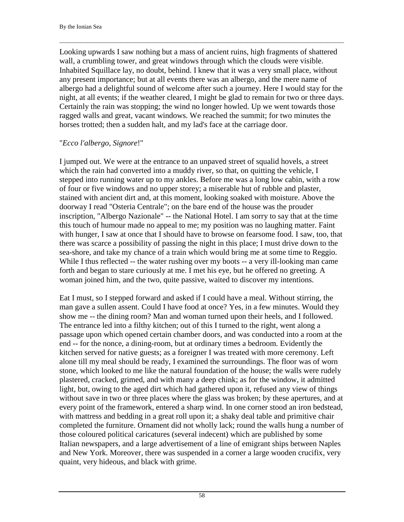Looking upwards I saw nothing but a mass of ancient ruins, high fragments of shattered wall, a crumbling tower, and great windows through which the clouds were visible. Inhabited Squillace lay, no doubt, behind. I knew that it was a very small place, without any present importance; but at all events there was an albergo, and the mere name of albergo had a delightful sound of welcome after such a journey. Here I would stay for the night, at all events; if the weather cleared, I might be glad to remain for two or three days. Certainly the rain was stopping; the wind no longer howled. Up we went towards those ragged walls and great, vacant windows. We reached the summit; for two minutes the horses trotted; then a sudden halt, and my lad's face at the carriage door.

 $\Box$ 

#### "*Ecco l'albergo, Signore*!"

I jumped out. We were at the entrance to an unpaved street of squalid hovels, a street which the rain had converted into a muddy river, so that, on quitting the vehicle, I stepped into running water up to my ankles. Before me was a long low cabin, with a row of four or five windows and no upper storey; a miserable hut of rubble and plaster, stained with ancient dirt and, at this moment, looking soaked with moisture. Above the doorway I read "Osteria Centrale"; on the bare end of the house was the prouder inscription, "Albergo Nazionale" -- the National Hotel. I am sorry to say that at the time this touch of humour made no appeal to me; my position was no laughing matter. Faint with hunger, I saw at once that I should have to browse on fearsome food. I saw, too, that there was scarce a possibility of passing the night in this place; I must drive down to the sea-shore, and take my chance of a train which would bring me at some time to Reggio. While I thus reflected -- the water rushing over my boots -- a very ill-looking man came forth and began to stare curiously at me. I met his eye, but he offered no greeting. A woman joined him, and the two, quite passive, waited to discover my intentions.

Eat I must, so I stepped forward and asked if I could have a meal. Without stirring, the man gave a sullen assent. Could I have food at once? Yes, in a few minutes. Would they show me -- the dining room? Man and woman turned upon their heels, and I followed. The entrance led into a filthy kitchen; out of this I turned to the right, went along a passage upon which opened certain chamber doors, and was conducted into a room at the end -- for the nonce, a dining-room, but at ordinary times a bedroom. Evidently the kitchen served for native guests; as a foreigner I was treated with more ceremony. Left alone till my meal should be ready, I examined the surroundings. The floor was of worn stone, which looked to me like the natural foundation of the house; the walls were rudely plastered, cracked, grimed, and with many a deep chink; as for the window, it admitted light, but, owing to the aged dirt which had gathered upon it, refused any view of things without save in two or three places where the glass was broken; by these apertures, and at every point of the framework, entered a sharp wind. In one corner stood an iron bedstead, with mattress and bedding in a great roll upon it; a shaky deal table and primitive chair completed the furniture. Ornament did not wholly lack; round the walls hung a number of those coloured political caricatures (several indecent) which are published by some Italian newspapers, and a large advertisement of a line of emigrant ships between Naples and New York. Moreover, there was suspended in a corner a large wooden crucifix, very quaint, very hideous, and black with grime.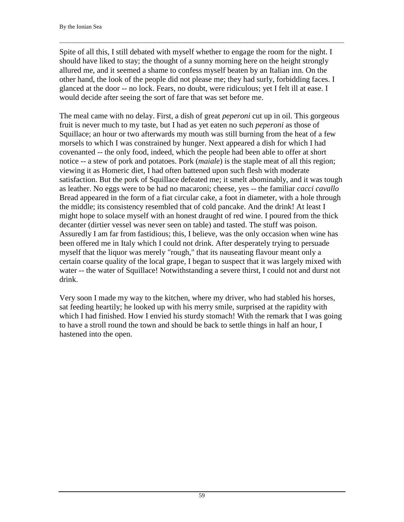Spite of all this, I still debated with myself whether to engage the room for the night. I should have liked to stay; the thought of a sunny morning here on the height strongly allured me, and it seemed a shame to confess myself beaten by an Italian inn. On the other hand, the look of the people did not please me; they had surly, forbidding faces. I glanced at the door -- no lock. Fears, no doubt, were ridiculous; yet I felt ill at ease. I would decide after seeing the sort of fare that was set before me.

 $\Box$ 

The meal came with no delay. First, a dish of great *peperoni* cut up in oil. This gorgeous fruit is never much to my taste, but I had as yet eaten no such *peperoni* as those of Squillace; an hour or two afterwards my mouth was still burning from the heat of a few morsels to which I was constrained by hunger. Next appeared a dish for which I had covenanted -- the only food, indeed, which the people had been able to offer at short notice -- a stew of pork and potatoes. Pork (*maiale*) is the staple meat of all this region; viewing it as Homeric diet, I had often battened upon such flesh with moderate satisfaction. But the pork of Squillace defeated me; it smelt abominably, and it was tough as leather. No eggs were to be had no macaroni; cheese, yes -- the familiar *cacci cavallo* Bread appeared in the form of a fiat circular cake, a foot in diameter, with a hole through the middle; its consistency resembled that of cold pancake. And the drink! At least I might hope to solace myself with an honest draught of red wine. I poured from the thick decanter (dirtier vessel was never seen on table) and tasted. The stuff was poison. Assuredly I am far from fastidious; this, I believe, was the only occasion when wine has been offered me in Italy which I could not drink. After desperately trying to persuade myself that the liquor was merely "rough," that its nauseating flavour meant only a certain coarse quality of the local grape, I began to suspect that it was largely mixed with water -- the water of Squillace! Notwithstanding a severe thirst, I could not and durst not drink.

Very soon I made my way to the kitchen, where my driver, who had stabled his horses, sat feeding heartily; he looked up with his merry smile, surprised at the rapidity with which I had finished. How I envied his sturdy stomach! With the remark that I was going to have a stroll round the town and should be back to settle things in half an hour, I hastened into the open.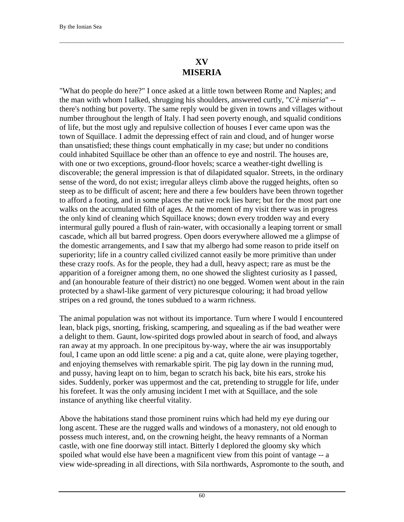## **XV MISERIA**

 $\Box$ 

"What do people do here?" I once asked at a little town between Rome and Naples; and the man with whom I talked, shrugging his shoulders, answered curtly, "*C'è miseria*" - there's nothing but poverty. The same reply would be given in towns and villages without number throughout the length of Italy. I had seen poverty enough, and squalid conditions of life, but the most ugly and repulsive collection of houses I ever came upon was the town of Squillace. I admit the depressing effect of rain and cloud, and of hunger worse than unsatisfied; these things count emphatically in my case; but under no conditions could inhabited Squillace be other than an offence to eye and nostril. The houses are, with one or two exceptions, ground-floor hovels; scarce a weather-tight dwelling is discoverable; the general impression is that of dilapidated squalor. Streets, in the ordinary sense of the word, do not exist; irregular alleys climb above the rugged heights, often so steep as to be difficult of ascent; here and there a few boulders have been thrown together to afford a footing, and in some places the native rock lies bare; but for the most part one walks on the accumulated filth of ages. At the moment of my visit there was in progress the only kind of cleaning which Squillace knows; down every trodden way and every intermural gully poured a flush of rain-water, with occasionally a leaping torrent or small cascade, which all but barred progress. Open doors everywhere allowed me a glimpse of the domestic arrangements, and I saw that my albergo had some reason to pride itself on superiority; life in a country called civilized cannot easily be more primitive than under these crazy roofs. As for the people, they had a dull, heavy aspect; rare as must be the apparition of a foreigner among them, no one showed the slightest curiosity as I passed, and (an honourable feature of their district) no one begged. Women went about in the rain protected by a shawl-like garment of very picturesque colouring; it had broad yellow stripes on a red ground, the tones subdued to a warm richness.

The animal population was not without its importance. Turn where I would I encountered lean, black pigs, snorting, frisking, scampering, and squealing as if the bad weather were a delight to them. Gaunt, low-spirited dogs prowled about in search of food, and always ran away at my approach. In one precipitous by-way, where the air was insupportably foul, I came upon an odd little scene: a pig and a cat, quite alone, were playing together, and enjoying themselves with remarkable spirit. The pig lay down in the running mud, and pussy, having leapt on to him, began to scratch his back, bite his ears, stroke his sides. Suddenly, porker was uppermost and the cat, pretending to struggle for life, under his forefeet. It was the only amusing incident I met with at Squillace, and the sole instance of anything like cheerful vitality.

Above the habitations stand those prominent ruins which had held my eye during our long ascent. These are the rugged walls and windows of a monastery, not old enough to possess much interest, and, on the crowning height, the heavy remnants of a Norman castle, with one fine doorway still intact. Bitterly I deplored the gloomy sky which spoiled what would else have been a magnificent view from this point of vantage -- a view wide-spreading in all directions, with Sila northwards, Aspromonte to the south, and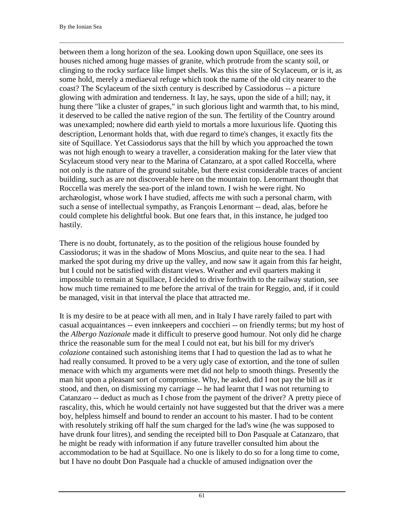between them a long horizon of the sea. Looking down upon Squillace, one sees its houses niched among huge masses of granite, which protrude from the scanty soil, or clinging to the rocky surface like limpet shells. Was this the site of Scylaceum, or is it, as some hold, merely a mediaeval refuge which took the name of the old city nearer to the coast? The Scylaceum of the sixth century is described by Cassiodorus -- a picture glowing with admiration and tenderness. It lay, he says, upon the side of a hill; nay, it hung there "like a cluster of grapes," in such glorious light and warmth that, to his mind, it deserved to be called the native region of the sun. The fertility of the Country around was unexampled; nowhere did earth yield to mortals a more luxurious life. Quoting this description, Lenormant holds that, with due regard to time's changes, it exactly fits the site of Squillace. Yet Cassiodorus says that the hill by which you approached the town was not high enough to weary a traveller, a consideration making for the later view that Scylaceum stood very near to the Marina of Catanzaro, at a spot called Roccella, where not only is the nature of the ground suitable, but there exist considerable traces of ancient building, such as are not discoverable here on the mountain top. Lenormant thought that Roccella was merely the sea-port of the inland town. I wish he were right. No archæologist, whose work I have studied, affects me with such a personal charm, with such a sense of intellectual sympathy, as François Lenormant -- dead, alas, before he could complete his delightful book. But one fears that, in this instance, he judged too hastily.

 $\Box$ 

There is no doubt, fortunately, as to the position of the religious house founded by Cassiodorus; it was in the shadow of Mons Moscius, and quite near to the sea. I had marked the spot during my drive up the valley, and now saw it again from this far height, but I could not be satisfied with distant views. Weather and evil quarters making it impossible to remain at Squillace, I decided to drive forthwith to the railway station, see how much time remained to me before the arrival of the train for Reggio, and, if it could be managed, visit in that interval the place that attracted me.

It is my desire to be at peace with all men, and in Italy I have rarely failed to part with casual acquaintances -- even innkeepers and cocchieri -- on friendly terms; but my host of the *Albergo Nazionale* made it difficult to preserve good humour. Not only did he charge thrice the reasonable sum for the meal I could not eat, but his bill for my driver's *colazione* contained such astonishing items that I had to question the lad as to what he had really consumed. It proved to be a very ugly case of extortion, and the tone of sullen menace with which my arguments were met did not help to smooth things. Presently the man hit upon a pleasant sort of compromise. Why, he asked, did I not pay the bill as it stood, and then, on dismissing my carriage -- he had learnt that I was not returning to Catanzaro -- deduct as much as I chose from the payment of the driver? A pretty piece of rascality, this, which he would certainly not have suggested but that the driver was a mere boy, helpless himself and bound to render an account to his master. I had to be content with resolutely striking off half the sum charged for the lad's wine (he was supposed to have drunk four litres), and sending the receipted bill to Don Pasquale at Catanzaro, that he might be ready with information if any future traveller consulted him about the accommodation to be had at Squillace. No one is likely to do so for a long time to come, but I have no doubt Don Pasquale had a chuckle of amused indignation over the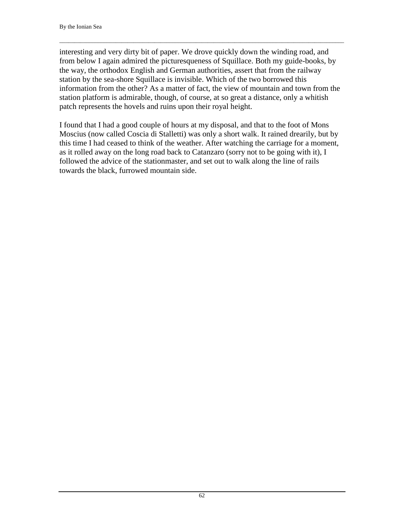interesting and very dirty bit of paper. We drove quickly down the winding road, and from below I again admired the picturesqueness of Squillace. Both my guide-books, by the way, the orthodox English and German authorities, assert that from the railway station by the sea-shore Squillace is invisible. Which of the two borrowed this information from the other? As a matter of fact, the view of mountain and town from the station platform is admirable, though, of course, at so great a distance, only a whitish patch represents the hovels and ruins upon their royal height.

 $\Box$ 

I found that I had a good couple of hours at my disposal, and that to the foot of Mons Moscius (now called Coscia di Stalletti) was only a short walk. It rained drearily, but by this time I had ceased to think of the weather. After watching the carriage for a moment, as it rolled away on the long road back to Catanzaro (sorry not to be going with it), I followed the advice of the stationmaster, and set out to walk along the line of rails towards the black, furrowed mountain side.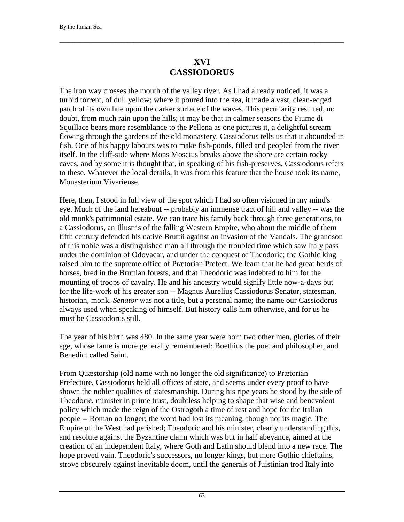## **XVI CASSIODORUS**

 $\Box$ 

The iron way crosses the mouth of the valley river. As I had already noticed, it was a turbid torrent, of dull yellow; where it poured into the sea, it made a vast, clean-edged patch of its own hue upon the darker surface of the waves. This peculiarity resulted, no doubt, from much rain upon the hills; it may be that in calmer seasons the Fiume di Squillace bears more resemblance to the Pellena as one pictures it, a delightful stream flowing through the gardens of the old monastery. Cassiodorus tells us that it abounded in fish. One of his happy labours was to make fish-ponds, filled and peopled from the river itself. In the cliff-side where Mons Moscius breaks above the shore are certain rocky caves, and by some it is thought that, in speaking of his fish-preserves, Cassiodorus refers to these. Whatever the local details, it was from this feature that the house took its name, Monasterium Vivariense.

Here, then, I stood in full view of the spot which I had so often visioned in my mind's eye. Much of the land hereabout -- probably an immense tract of hill and valley -- was the old monk's patrimonial estate. We can trace his family back through three generations, to a Cassiodorus, an Illustris of the falling Western Empire, who about the middle of them fifth century defended his native Bruttii against an invasion of the Vandals. The grandson of this noble was a distinguished man all through the troubled time which saw Italy pass under the dominion of Odovacar, and under the conquest of Theodoric; the Gothic king raised him to the supreme office of Prætorian Prefect. We learn that he had great herds of horses, bred in the Bruttian forests, and that Theodoric was indebted to him for the mounting of troops of cavalry. He and his ancestry would signify little now-a-days but for the life-work of his greater son -- Magnus Aurelius Cassiodorus Senator, statesman, historian, monk. *Senator* was not a title, but a personal name; the name our Cassiodorus always used when speaking of himself. But history calls him otherwise, and for us he must be Cassiodorus still.

The year of his birth was 480. In the same year were born two other men, glories of their age, whose fame is more generally remembered: Boethius the poet and philosopher, and Benedict called Saint.

From Quæstorship (old name with no longer the old significance) to Prætorian Prefecture, Cassiodorus held all offices of state, and seems under every proof to have shown the nobler qualities of statesmanship. During his ripe years he stood by the side of Theodoric, minister in prime trust, doubtless helping to shape that wise and benevolent policy which made the reign of the Ostrogoth a time of rest and hope for the Italian people -- Roman no longer; the word had lost its meaning, though not its magic. The Empire of the West had perished; Theodoric and his minister, clearly understanding this, and resolute against the Byzantine claim which was but in half abeyance, aimed at the creation of an independent Italy, where Goth and Latin should blend into a new race. The hope proved vain. Theodoric's successors, no longer kings, but mere Gothic chieftains, strove obscurely against inevitable doom, until the generals of Juistinian trod Italy into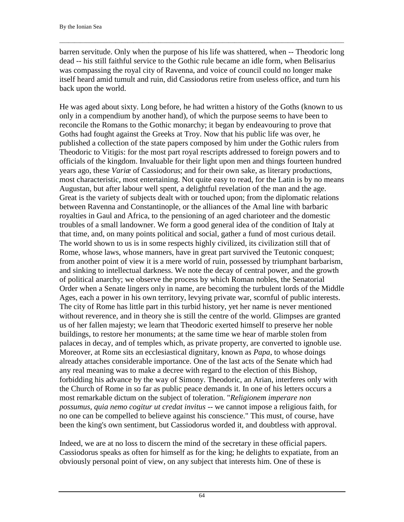barren servitude. Only when the purpose of his life was shattered, when -- Theodoric long dead -- his still faithful service to the Gothic rule became an idle form, when Belisarius was compassing the royal city of Ravenna, and voice of council could no longer make itself heard amid tumult and ruin, did Cassiodorus retire from useless office, and turn his back upon the world.

 $\Box$ 

He was aged about sixty. Long before, he had written a history of the Goths (known to us only in a compendium by another hand), of which the purpose seems to have been to reconcile the Romans to the Gothic monarchy; it began by endeavouring to prove that Goths had fought against the Greeks at Troy. Now that his public life was over, he published a collection of the state papers composed by him under the Gothic rulers from Theodoric to Vitigis: for the most part royal rescripts addressed to foreign powers and to officials of the kingdom. Invaluable for their light upon men and things fourteen hundred years ago, these *Variæ* of Cassiodorus; and for their own sake, as literary productions, most characteristic, most entertaining. Not quite easy to read, for the Latin is by no means Augustan, but after labour well spent, a delightful revelation of the man and the age. Great is the variety of subjects dealt with or touched upon; from the diplomatic relations between Ravenna and Constantinople, or the alliances of the Amal line with barbaric royalties in Gaul and Africa, to the pensioning of an aged charioteer and the domestic troubles of a small landowner. We form a good general idea of the condition of Italy at that time, and, on many points political and social, gather a fund of most curious detail. The world shown to us is in some respects highly civilized, its civilization still that of Rome, whose laws, whose manners, have in great part survived the Teutonic conquest; from another point of view it is a mere world of ruin, possessed by triumphant barbarism, and sinking to intellectual darkness. We note the decay of central power, and the growth of political anarchy; we observe the process by which Roman nobles, the Senatorial Order when a Senate lingers only in name, are becoming the turbulent lords of the Middle Ages, each a power in his own territory, levying private war, scornful of public interests. The city of Rome has little part in this turbid history, yet her name is never mentioned without reverence, and in theory she is still the centre of the world. Glimpses are granted us of her fallen majesty; we learn that Theodoric exerted himself to preserve her noble buildings, to restore her monuments; at the same time we hear of marble stolen from palaces in decay, and of temples which, as private property, are converted to ignoble use. Moreover, at Rome sits an ecclesiastical dignitary, known as *Papa*, to whose doings already attaches considerable importance. One of the last acts of the Senate which had any real meaning was to make a decree with regard to the election of this Bishop, forbidding his advance by the way of Simony. Theodoric, an Arian, interferes only with the Church of Rome in so far as public peace demands it. In one of his letters occurs a most remarkable dictum on the subject of toleration. "*Religionem imperare non possumus, quia nemo cogitur ut credat invitus* -- we cannot impose a religious faith, for no one can be compelled to believe against his conscience." This must, of course, have been the king's own sentiment, but Cassiodorus worded it, and doubtless with approval.

Indeed, we are at no loss to discern the mind of the secretary in these official papers. Cassiodorus speaks as often for himself as for the king; he delights to expatiate, from an obviously personal point of view, on any subject that interests him. One of these is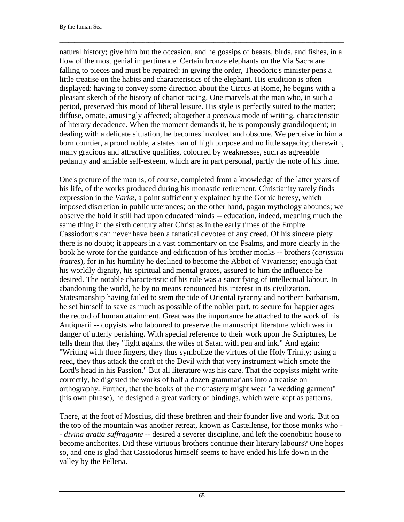natural history; give him but the occasion, and he gossips of beasts, birds, and fishes, in a flow of the most genial impertinence. Certain bronze elephants on the Via Sacra are falling to pieces and must be repaired: in giving the order, Theodoric's minister pens a little treatise on the habits and characteristics of the elephant. His erudition is often displayed: having to convey some direction about the Circus at Rome, he begins with a pleasant sketch of the history of chariot racing. One marvels at the man who, in such a period, preserved this mood of liberal leisure. His style is perfectly suited to the matter; diffuse, ornate, amusingly affected; altogether a *precious* mode of writing, characteristic of literary decadence. When the moment demands it, he is pompously grandiloquent; in dealing with a delicate situation, he becomes involved and obscure. We perceive in him a born courtier, a proud noble, a statesman of high purpose and no little sagacity; therewith, many gracious and attractive qualities, coloured by weaknesses, such as agreeable pedantry and amiable self-esteem, which are in part personal, partly the note of his time.

 $\Box$ 

One's picture of the man is, of course, completed from a knowledge of the latter years of his life, of the works produced during his monastic retirement. Christianity rarely finds expression in the *Variæ*, a point sufficiently explained by the Gothic heresy, which imposed discretion in public utterances; on the other hand, pagan mythology abounds; we observe the hold it still had upon educated minds -- education, indeed, meaning much the same thing in the sixth century after Christ as in the early times of the Empire. Cassiodorus can never have been a fanatical devotee of any creed. Of his sincere piety there is no doubt; it appears in a vast commentary on the Psalms, and more clearly in the book he wrote for the guidance and edification of his brother monks -- brothers (*carissimi fratres*), for in his humility he declined to become the Abbot of Vivariense; enough that his worldly dignity, his spiritual and mental graces, assured to him the influence he desired. The notable characteristic of his rule was a sanctifying of intellectual labour. In abandoning the world, he by no means renounced his interest in its civilization. Statesmanship having failed to stem the tide of Oriental tyranny and northern barbarism, he set himself to save as much as possible of the nobler part, to secure for happier ages the record of human attainment. Great was the importance he attached to the work of his Antiquarii -- copyists who laboured to preserve the manuscript literature which was in danger of utterly perishing. With special reference to their work upon the Scriptures, he tells them that they "fight against the wiles of Satan with pen and ink." And again: "Writing with three fingers, they thus symbolize the virtues of the Holy Trinity; using a reed, they thus attack the craft of the Devil with that very instrument which smote the Lord's head in his Passion." But all literature was his care. That the copyists might write correctly, he digested the works of half a dozen grammarians into a treatise on orthography. Further, that the books of the monastery might wear "a wedding garment" (his own phrase), he designed a great variety of bindings, which were kept as patterns.

There, at the foot of Moscius, did these brethren and their founder live and work. But on the top of the mountain was another retreat, known as Castellense, for those monks who - - *divina gratia suffragante* -- desired a severer discipline, and left the coenobitic house to become anchorites. Did these virtuous brothers continue their literary labours? One hopes so, and one is glad that Cassiodorus himself seems to have ended his life down in the valley by the Pellena.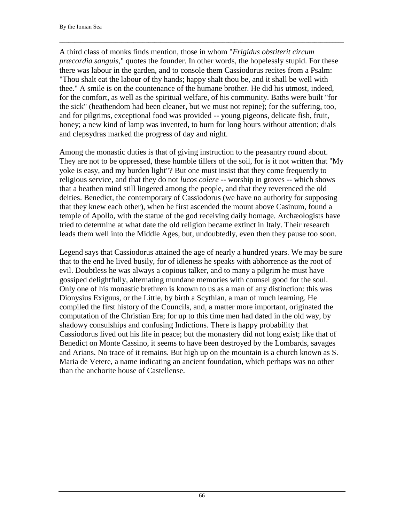A third class of monks finds mention, those in whom "*Frigidus obstiterit circum præcordia sanguis*," quotes the founder. In other words, the hopelessly stupid. For these there was labour in the garden, and to console them Cassiodorus recites from a Psalm: "Thou shalt eat the labour of thy hands; happy shalt thou be, and it shall be well with thee." A smile is on the countenance of the humane brother. He did his utmost, indeed, for the comfort, as well as the spiritual welfare, of his community. Baths were built "for the sick" (heathendom had been cleaner, but we must not repine); for the suffering, too, and for pilgrims, exceptional food was provided -- young pigeons, delicate fish, fruit, honey; a new kind of lamp was invented, to burn for long hours without attention; dials and clepsydras marked the progress of day and night.

 $\Box$ 

Among the monastic duties is that of giving instruction to the peasantry round about. They are not to be oppressed, these humble tillers of the soil, for is it not written that "My yoke is easy, and my burden light"? But one must insist that they come frequently to religious service, and that they do not *lucos colere* -- worship in groves -- which shows that a heathen mind still lingered among the people, and that they reverenced the old deities. Benedict, the contemporary of Cassiodorus (we have no authority for supposing that they knew each other), when he first ascended the mount above Casinum, found a temple of Apollo, with the statue of the god receiving daily homage. Archæologists have tried to determine at what date the old religion became extinct in Italy. Their research leads them well into the Middle Ages, but, undoubtedly, even then they pause too soon.

Legend says that Cassiodorus attained the age of nearly a hundred years. We may be sure that to the end he lived busily, for of idleness he speaks with abhorrence as the root of evil. Doubtless he was always a copious talker, and to many a pilgrim he must have gossiped delightfully, alternating mundane memories with counsel good for the soul. Only one of his monastic brethren is known to us as a man of any distinction: this was Dionysius Exiguus, or the Little, by birth a Scythian, a man of much learning. He compiled the first history of the Councils, and, a matter more important, originated the computation of the Christian Era; for up to this time men had dated in the old way, by shadowy consulships and confusing Indictions. There is happy probability that Cassiodorus lived out his life in peace; but the monastery did not long exist; like that of Benedict on Monte Cassino, it seems to have been destroyed by the Lombards, savages and Arians. No trace of it remains. But high up on the mountain is a church known as S. Maria de Vetere, a name indicating an ancient foundation, which perhaps was no other than the anchorite house of Castellense.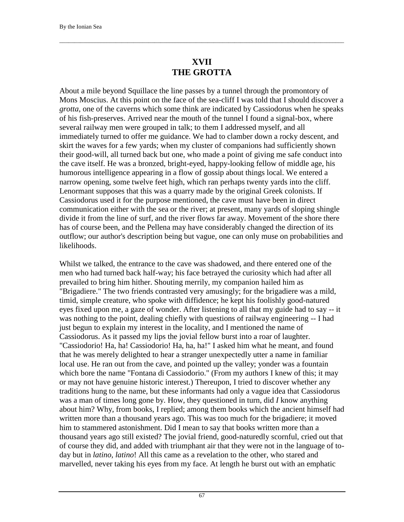## **XVII THE GROTTA**

 $\Box$ 

About a mile beyond Squillace the line passes by a tunnel through the promontory of Mons Moscius. At this point on the face of the sea-cliff I was told that I should discover a *grotta*, one of the caverns which some think are indicated by Cassiodorus when he speaks of his fish-preserves. Arrived near the mouth of the tunnel I found a signal-box, where several railway men were grouped in talk; to them I addressed myself, and all immediately turned to offer me guidance. We had to clamber down a rocky descent, and skirt the waves for a few yards; when my cluster of companions had sufficiently shown their good-will, all turned back but one, who made a point of giving me safe conduct into the cave itself. He was a bronzed, bright-eyed, happy-looking fellow of middle age, his humorous intelligence appearing in a flow of gossip about things local. We entered a narrow opening, some twelve feet high, which ran perhaps twenty yards into the cliff. Lenormant supposes that this was a quarry made by the original Greek colonists. If Cassiodorus used it for the purpose mentioned, the cave must have been in direct communication either with the sea or the river; at present, many yards of sloping shingle divide it from the line of surf, and the river flows far away. Movement of the shore there has of course been, and the Pellena may have considerably changed the direction of its outflow; our author's description being but vague, one can only muse on probabilities and likelihoods.

Whilst we talked, the entrance to the cave was shadowed, and there entered one of the men who had turned back half-way; his face betrayed the curiosity which had after all prevailed to bring him hither. Shouting merrily, my companion hailed him as "Brigadiere." The two friends contrasted very amusingly; for the brigadiere was a mild, timid, simple creature, who spoke with diffidence; he kept his foolishly good-natured eyes fixed upon me, a gaze of wonder. After listening to all that my guide had to say -- it was nothing to the point, dealing chiefly with questions of railway engineering -- I had just begun to explain my interest in the locality, and I mentioned the name of Cassiodorus. As it passed my lips the jovial fellow burst into a roar of laughter. "Cassiodorio! Ha, ha! Cassiodorio! Ha, ha, ha!" I asked him what he meant, and found that he was merely delighted to hear a stranger unexpectedly utter a name in familiar local use. He ran out from the cave, and pointed up the valley; yonder was a fountain which bore the name "Fontana di Cassiodorio." (From my authors I knew of this; it may or may not have genuine historic interest.) Thereupon, I tried to discover whether any traditions hung to the name, but these informants had only a vague idea that Cassiodorus was a man of times long gone by. How, they questioned in turn, did *I* know anything about him? Why, from books, I replied; among them books which the ancient himself had written more than a thousand years ago. This was too much for the brigadiere; it moved him to stammered astonishment. Did I mean to say that books written more than a thousand years ago still existed? The jovial friend, good-naturedly scornful, cried out that of course they did, and added with triumphant air that they were not in the language of today but in *latino, latino*! All this came as a revelation to the other, who stared and marvelled, never taking his eyes from my face. At length he burst out with an emphatic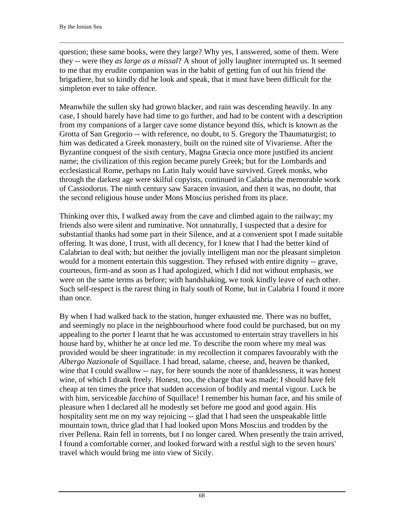question; these same books, were they large? Why yes, I answered, some of them. Were they -- were they *as large as a missal*? A shout of jolly laughter interrupted us. It seemed to me that my erudite companion was in the habit of getting fun of out his friend the brigadiere, but so kindly did he look and speak, that it must have been difficult for the simpleton ever to take offence.

 $\Box$ 

Meanwhile the sullen sky had grown blacker, and rain was descending heavily. In any case, I should barely have had time to go further, and had to be content with a description from my companions of a larger cave some distance beyond this, which is known as the Grotta of San Gregorio -- with reference, no doubt, to S. Gregory the Thaumaturgist; to him was dedicated a Greek monastery, built on the ruined site of Vivariense. After the Byzantine conquest of the sixth century, Magna Græcia once more justified its ancient name; the civilization of this region became purely Greek; but for the Lombards and ecclesiastical Rome, perhaps no Latin Italy would have survived. Greek monks, who through the darkest age were skilful copyists, continued in Calabria the memorable work of Cassiodorus. The ninth century saw Saracen invasion, and then it was, no doubt, that the second religious house under Mons Moscius perished from its place.

Thinking over this, I walked away from the cave and climbed again to the railway; my friends also were silent and ruminative. Not unnaturally, I suspected that a desire for substantial thanks had some part in their Silence, and at a convenient spot I made suitable offering. It was done, I trust, with all decency, for I knew that I had the better kind of Calabrian to deal with; but neither the jovially intelligent man nor the pleasant simpleton would for a moment entertain this suggestion. They refused with entire dignity -- grave, courteous, firm-and as soon as I had apologized, which I did not without emphasis, we were on the same terms as before; with handshaking, we took kindly leave of each other. Such self-respect is the rarest thing in Italy south of Rome, but in Calabria I found it more than once.

By when I had walked back to the station, hunger exhausted me. There was no buffet, and seemingly no place in the neighbourhood where food could be purchased, but on my appealing to the porter I learnt that he was accustomed to entertain stray travellers in his house hard by, whither he at once led me. To describe the room where my meal was provided would be sheer ingratitude: in my recollection it compares favourably with the *Albergo Nazionale* of Squillace. I had bread, salame, cheese, and, heaven be thanked, wine that I could swallow -- nay, for here sounds the note of thanklessness, it was honest wine, of which I drank freely. Honest, too, the charge that was made; I should have felt cheap at ten times the price that sudden accession of bodily and mental vigour. Luck be with him, serviceable *facchino* of Squillace! I remember his human face, and his smile of pleasure when I declared all he modestly set before me good and good again. His hospitality sent me on my way rejoicing -- glad that I had seen the unspeakable little mountain town, thrice glad that I had looked upon Mons Moscius and trodden by the river Pellena. Rain fell in torrents, but I no longer cared. When presently the train arrived, I found a comfortable corner, and looked forward with a restful sigh to the seven hours' travel which would bring me into view of Sicily.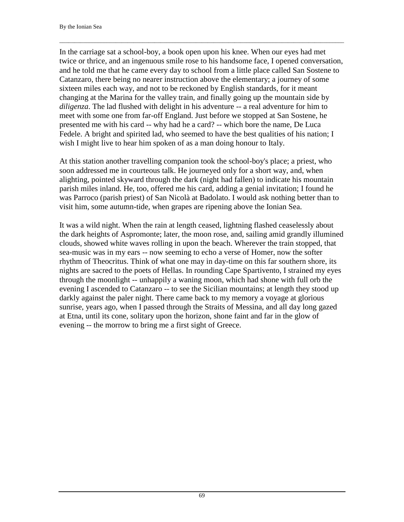In the carriage sat a school-boy, a book open upon his knee. When our eyes had met twice or thrice, and an ingenuous smile rose to his handsome face, I opened conversation, and he told me that he came every day to school from a little place called San Sostene to Catanzaro, there being no nearer instruction above the elementary; a journey of some sixteen miles each way, and not to be reckoned by English standards, for it meant changing at the Marina for the valley train, and finally going up the mountain side by *diligenza*. The lad flushed with delight in his adventure -- a real adventure for him to meet with some one from far-off England. Just before we stopped at San Sostene, he presented me with his card -- why had he a card? -- which bore the name, De Luca Fedele. A bright and spirited lad, who seemed to have the best qualities of his nation; I wish I might live to hear him spoken of as a man doing honour to Italy.

 $\Box$ 

At this station another travelling companion took the school-boy's place; a priest, who soon addressed me in courteous talk. He journeyed only for a short way, and, when alighting, pointed skyward through the dark (night had fallen) to indicate his mountain parish miles inland. He, too, offered me his card, adding a genial invitation; I found he was Parroco (parish priest) of San Nicolà at Badolato. I would ask nothing better than to visit him, some autumn-tide, when grapes are ripening above the Ionian Sea.

It was a wild night. When the rain at length ceased, lightning flashed ceaselessly about the dark heights of Aspromonte; later, the moon rose, and, sailing amid grandly illumined clouds, showed white waves rolling in upon the beach. Wherever the train stopped, that sea-music was in my ears -- now seeming to echo a verse of Homer, now the softer rhythm of Theocritus. Think of what one may in day-time on this far southern shore, its nights are sacred to the poets of Hellas. In rounding Cape Spartivento, I strained my eyes through the moonlight -- unhappily a waning moon, which had shone with full orb the evening I ascended to Catanzaro -- to see the Sicilian mountains; at length they stood up darkly against the paler night. There came back to my memory a voyage at glorious sunrise, years ago, when I passed through the Straits of Messina, and all day long gazed at Etna, until its cone, solitary upon the horizon, shone faint and far in the glow of evening -- the morrow to bring me a first sight of Greece.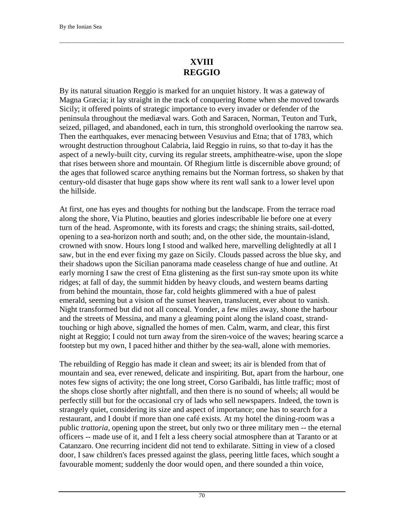## **XVIII REGGIO**

 $\Box$ 

By its natural situation Reggio is marked for an unquiet history. It was a gateway of Magna Græcia; it lay straight in the track of conquering Rome when she moved towards Sicily; it offered points of strategic importance to every invader or defender of the peninsula throughout the mediæval wars. Goth and Saracen, Norman, Teuton and Turk, seized, pillaged, and abandoned, each in turn, this stronghold overlooking the narrow sea. Then the earthquakes, ever menacing between Vesuvius and Etna; that of 1783, which wrought destruction throughout Calabria, laid Reggio in ruins, so that to-day it has the aspect of a newly-built city, curving its regular streets, amphitheatre-wise, upon the slope that rises between shore and mountain. Of Rhegium little is discernible above ground; of the ages that followed scarce anything remains but the Norman fortress, so shaken by that century-old disaster that huge gaps show where its rent wall sank to a lower level upon the hillside.

At first, one has eyes and thoughts for nothing but the landscape. From the terrace road along the shore, Via Plutino, beauties and glories indescribable lie before one at every turn of the head. Aspromonte, with its forests and crags; the shining straits, sail-dotted, opening to a sea-horizon north and south; and, on the other side, the mountain-island, crowned with snow. Hours long I stood and walked here, marvelling delightedly at all I saw, but in the end ever fixing my gaze on Sicily. Clouds passed across the blue sky, and their shadows upon the Sicilian panorama made ceaseless change of hue and outline. At early morning I saw the crest of Etna glistening as the first sun-ray smote upon its white ridges; at fall of day, the summit hidden by heavy clouds, and western beams darting from behind the mountain, those far, cold heights glimmered with a hue of palest emerald, seeming but a vision of the sunset heaven, translucent, ever about to vanish. Night transformed but did not all conceal. Yonder, a few miles away, shone the harbour and the streets of Messina, and many a gleaming point along the island coast, strandtouching or high above, signalled the homes of men. Calm, warm, and clear, this first night at Reggio; I could not turn away from the siren-voice of the waves; hearing scarce a footstep but my own, I paced hither and thither by the sea-wall, alone with memories.

The rebuilding of Reggio has made it clean and sweet; its air is blended from that of mountain and sea, ever renewed, delicate and inspiriting. But, apart from the harbour, one notes few signs of activity; the one long street, Corso Garibaldi, has little traffic; most of the shops close shortly after nightfall, and then there is no sound of wheels; all would be perfectly still but for the occasional cry of lads who sell newspapers. Indeed, the town is strangely quiet, considering its size and aspect of importance; one has to search for a restaurant, and I doubt if more than one café exists. At my hotel the dining-room was a public *trattoria*, opening upon the street, but only two or three military men -- the eternal officers -- made use of it, and I felt a less cheery social atmosphere than at Taranto or at Catanzaro. One recurring incident did not tend to exhilarate. Sitting in view of a closed door, I saw children's faces pressed against the glass, peering little faces, which sought a favourable moment; suddenly the door would open, and there sounded a thin voice,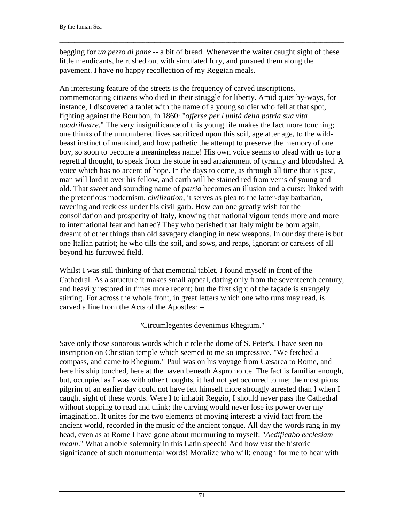begging for *un pezzo di pane* -- a bit of bread. Whenever the waiter caught sight of these little mendicants, he rushed out with simulated fury, and pursued them along the pavement. I have no happy recollection of my Reggian meals.

 $\Box$ 

An interesting feature of the streets is the frequency of carved inscriptions, commemorating citizens who died in their struggle for liberty. Amid quiet by-ways, for instance, I discovered a tablet with the name of a young soldier who fell at that spot, fighting against the Bourbon, in 1860: "*offerse per l'unità della patria sua vita quadrilustre*." The very insignificance of this young life makes the fact more touching; one thinks of the unnumbered lives sacrificed upon this soil, age after age, to the wildbeast instinct of mankind, and how pathetic the attempt to preserve the memory of one boy, so soon to become a meaningless name! His own voice seems to plead with us for a regretful thought, to speak from the stone in sad arraignment of tyranny and bloodshed. A voice which has no accent of hope. In the days to come, as through all time that is past, man will lord it over his fellow, and earth will be stained red from veins of young and old. That sweet and sounding name of *patria* becomes an illusion and a curse; linked with the pretentious modernism, *civilization*, it serves as plea to the latter-day barbarian, ravening and reckless under his civil garb. How can one greatly wish for the consolidation and prosperity of Italy, knowing that national vigour tends more and more to international fear and hatred? They who perished that Italy might be born again, dreamt of other things than old savagery clanging in new weapons. In our day there is but one Italian patriot; he who tills the soil, and sows, and reaps, ignorant or careless of all beyond his furrowed field.

Whilst I was still thinking of that memorial tablet, I found myself in front of the Cathedral. As a structure it makes small appeal, dating only from the seventeenth century, and heavily restored in times more recent; but the first sight of the façade is strangely stirring. For across the whole front, in great letters which one who runs may read, is carved a line from the Acts of the Apostles: --

"Circumlegentes devenimus Rhegium."

Save only those sonorous words which circle the dome of S. Peter's, I have seen no inscription on Christian temple which seemed to me so impressive. "We fetched a compass, and came to Rhegium." Paul was on his voyage from Cæsarea to Rome, and here his ship touched, here at the haven beneath Aspromonte. The fact is familiar enough, but, occupied as I was with other thoughts, it had not yet occurred to me; the most pious pilgrim of an earlier day could not have felt himself more strongly arrested than I when I caught sight of these words. Were I to inhabit Reggio, I should never pass the Cathedral without stopping to read and think; the carving would never lose its power over my imagination. It unites for me two elements of moving interest: a vivid fact from the ancient world, recorded in the music of the ancient tongue. All day the words rang in my head, even as at Rome I have gone about murmuring to myself: "*Aedificabo ecclesiam meam*." What a noble solemnity in this Latin speech! And how vast the historic significance of such monumental words! Moralize who will; enough for me to hear with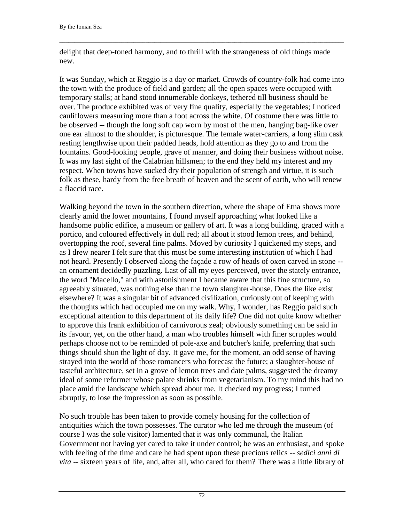delight that deep-toned harmony, and to thrill with the strangeness of old things made new.

 $\Box$ 

It was Sunday, which at Reggio is a day or market. Crowds of country-folk had come into the town with the produce of field and garden; all the open spaces were occupied with temporary stalls; at hand stood innumerable donkeys, tethered till business should be over. The produce exhibited was of very fine quality, especially the vegetables; I noticed cauliflowers measuring more than a foot across the white. Of costume there was little to be observed -- though the long soft cap worn by most of the men, hanging bag-like over one ear almost to the shoulder, is picturesque. The female water-carriers, a long slim cask resting lengthwise upon their padded heads, hold attention as they go to and from the fountains. Good-looking people, grave of manner, and doing their business without noise. It was my last sight of the Calabrian hillsmen; to the end they held my interest and my respect. When towns have sucked dry their population of strength and virtue, it is such folk as these, hardy from the free breath of heaven and the scent of earth, who will renew a flaccid race.

Walking beyond the town in the southern direction, where the shape of Etna shows more clearly amid the lower mountains, I found myself approaching what looked like a handsome public edifice, a museum or gallery of art. It was a long building, graced with a portico, and coloured effectively in dull red; all about it stood lemon trees, and behind, overtopping the roof, several fine palms. Moved by curiosity I quickened my steps, and as I drew nearer I felt sure that this must be some interesting institution of which I had not heard. Presently I observed along the façade a row of heads of oxen carved in stone - an ornament decidedly puzzling. Last of all my eyes perceived, over the stately entrance, the word "Macello," and with astonishment I became aware that this fine structure, so agreeably situated, was nothing else than the town slaughter-house. Does the like exist elsewhere? It was a singular bit of advanced civilization, curiously out of keeping with the thoughts which had occupied me on my walk. Why, I wonder, has Reggio paid such exceptional attention to this department of its daily life? One did not quite know whether to approve this frank exhibition of carnivorous zeal; obviously something can be said in its favour, yet, on the other hand, a man who troubles himself with finer scruples would perhaps choose not to be reminded of pole-axe and butcher's knife, preferring that such things should shun the light of day. It gave me, for the moment, an odd sense of having strayed into the world of those romancers who forecast the future; a slaughter-house of tasteful architecture, set in a grove of lemon trees and date palms, suggested the dreamy ideal of some reformer whose palate shrinks from vegetarianism. To my mind this had no place amid the landscape which spread about me. It checked my progress; I turned abruptly, to lose the impression as soon as possible.

No such trouble has been taken to provide comely housing for the collection of antiquities which the town possesses. The curator who led me through the museum (of course I was the sole visitor) lamented that it was only communal, the Italian Government not having yet cared to take it under control; he was an enthusiast, and spoke with feeling of the time and care he had spent upon these precious relics -- *sedici anni di vita* -- sixteen years of life, and, after all, who cared for them? There was a little library of